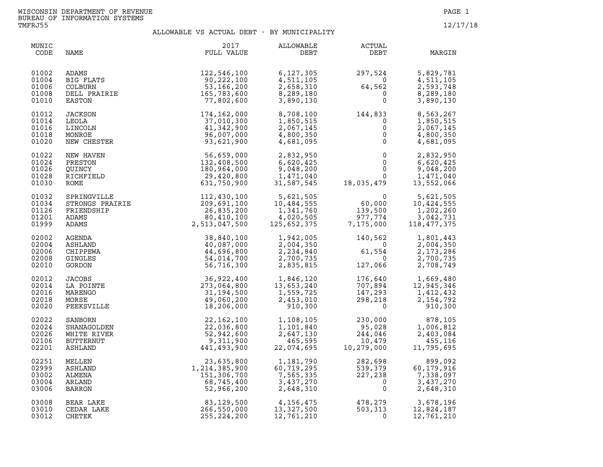| MUNIC<br>CODE                             | NAME                                                 | 2017<br>FULL VALUE                                                                                                                                                                                                                                               | ALLOWABLE<br>DEBT                                                                              | ACTUAL<br>DEBT                                                                                                                    | MARGIN                                                                         |
|-------------------------------------------|------------------------------------------------------|------------------------------------------------------------------------------------------------------------------------------------------------------------------------------------------------------------------------------------------------------------------|------------------------------------------------------------------------------------------------|-----------------------------------------------------------------------------------------------------------------------------------|--------------------------------------------------------------------------------|
| 01002<br>01004<br>01006<br>01008<br>01010 |                                                      | ADAMS<br>BIG FLATS<br>COLBURN 90,222,100<br>COLBURN 53,166,200<br>DELL PRAIRIE<br>TRAIRIE<br>TRAIRIE<br>TRAIRIE<br>TRAIRIE<br>TRAIRIE<br>TRAIRIE<br>TRAIRIE<br>TRAIRIE<br>TRAIRIE<br>TRAIRIE<br>TRAIRIE<br>TRAIRIE<br>TRAIRIE                                    | 6, 127, 305<br>4,511,105<br>2,658,310<br>8,289,180<br>3,890,130                                | $297,524$<br>$64,562$<br>$0$<br>0<br>297,524<br>0                                                                                 | 5,829,781<br>4,511,105<br>2,593,748<br>8,289,180<br>3,890,130                  |
| 01012<br>01014<br>01016<br>01018<br>01020 | JACKSON<br>LEOLA<br>LINCOLN<br>MONROE<br>NEW CHESTER | 174,162,000<br>37,010,300<br>41,342,900<br>96,007,000<br>93,621,900                                                                                                                                                                                              | 8,708,100<br>1,850,515<br>2,067,145<br>4,800,350<br>4,681,095                                  | 144,833<br>$\begin{bmatrix} 0 \\ 0 \\ 0 \\ 0 \\ 0 \end{bmatrix}$                                                                  | 8,563,267<br>1,850,515<br>$\frac{0}{0}$<br>2,067,145<br>4,800,350<br>4,681,095 |
| 01022<br>01024<br>01026<br>01028<br>01030 | NEW HAVEN<br>PRESTON<br>OUINCY<br>RICHFIELD<br>ROME  | 56,659,000<br>132,408,500<br>180,964,000<br>29,420,800<br>631,750,900                                                                                                                                                                                            | 2,832,950<br>6,620,425<br>9,048,200<br>1,471,040<br>31,587,545<br>9,048,200                    | $\begin{array}{c} 0 \\ 0 \\ 0 \\ 0 \\ 0 \\ 18,035,479 \end{array}$                                                                | 2,832,950<br>6,620,425<br>9,048,200<br>1,471,040<br>13,552,066                 |
| 01032<br>01034<br>01126<br>01201<br>01999 |                                                      | ROME<br>SPRINGVILLE<br>STRINGVILLE<br>STRINGVILLE<br>TRIENDSHIP<br>201, 430, 100<br>ADAMS<br>201, 430, 100<br>201, 430, 100<br>201, 430, 100<br>201, 500<br>80, 410, 100<br>80, 410, 100<br>2, 513, 047, 500<br>2, 513, 047, 500<br>AGENDA<br>CHIPPEWA<br>40, 08 | 5,621,505<br>10,484,555<br>1,341,760<br>4,020,505<br>125,652,375                               | $\begin{array}{c} 0 \\ 60,000 \\ 139,500 \\ 977,774 \\ 7,175,000 \end{array}$                                                     | 5,621,505<br>10,424,555<br>1,202,260<br>3,042,731<br>118,477,375               |
| 02002<br>02004<br>02006<br>02008<br>02010 |                                                      |                                                                                                                                                                                                                                                                  |                                                                                                | $1,942,005$<br>$2,004,350$<br>$2,234,840$<br>$2,700,735$<br>$2,835,815$<br>$127,066$                                              | 1,801,443<br>2,004,350<br>2, 173, 286<br>2,700,735<br>2,708,749                |
| 02012<br>02014<br>02016<br>02018<br>02020 |                                                      |                                                                                                                                                                                                                                                                  | 36,922,400 1,846,120<br>273,064,800 13,653,240<br>31,194,500 1,559,725<br>2,453,010<br>910,300 | $\begin{array}{cc} 176,640 & 1,669,480\ 707,894 & 12,945,346\ 147,293 & 1,412,432\ 298,218 & 2,154,792\ 0 & 910,300\ \end{array}$ |                                                                                |
| 02022<br>02024<br>02026<br>02106<br>02201 |                                                      |                                                                                                                                                                                                                                                                  | 1,108,105<br>1,101,840<br>2,647,130<br>465,595<br>22,074,695                                   | $\frac{1}{2}$<br>230,000<br>95,028<br>244,046<br>10,479<br>95,028<br>244.046<br>10, 279, 000                                      | 878,105<br>1,006,812<br>2,403,084<br>455,116<br>11,795,695                     |
| 02251<br>02999<br>03002<br>03004<br>03006 | MELLEN<br>ASHLAND<br>ALMENA<br>ARLAND<br>BARRON      | $23,635,800$<br>$1,214,385,900$<br>$151,306,700$<br>$68,745,400$<br>$52,966,200$<br>$266,550,000$<br>$255,224.200$                                                                                                                                               | 1,181,790<br>60,719,295<br>7,565,335<br>3,437,270<br>2,648,310                                 | 282,698<br>539,379<br>227,238<br>0<br>$227, 238$<br>227, 238<br>0<br>79                                                           | 899,092<br>60,179,916<br>7,338,097<br>3,437,270<br>2,648,310                   |
| 03008<br>03010<br>03012                   | BEAR LAKE<br>CEDAR LAKE<br>CHETEK                    | 255, 224, 200                                                                                                                                                                                                                                                    | 4,156,475<br>13,327,500<br>12,761,210                                                          | 478,279<br>503,313<br>0                                                                                                           | 3,678,196<br>12,824,187<br>12,761,210                                          |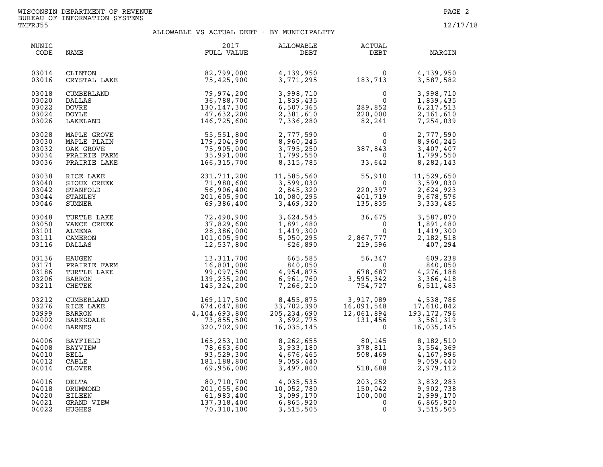| MUNIC<br>CODE                             | NAME                                                          | 2017<br>FULL VALUE                                                                                                               | ALLOWABLE<br>DEBT                                                                                                                                                                                                                                                                                                                                                                                                                                    | ACTUAL<br>DEBT                                                                                                                               | MARGIN                                                         |
|-------------------------------------------|---------------------------------------------------------------|----------------------------------------------------------------------------------------------------------------------------------|------------------------------------------------------------------------------------------------------------------------------------------------------------------------------------------------------------------------------------------------------------------------------------------------------------------------------------------------------------------------------------------------------------------------------------------------------|----------------------------------------------------------------------------------------------------------------------------------------------|----------------------------------------------------------------|
| 03014<br>03016                            | CLINTON<br>CRYSTAL LAKE                                       | $\overline{E}$<br>82,799,000<br>75,425,900                                                                                       | 4,139,950<br>3,771,295                                                                                                                                                                                                                                                                                                                                                                                                                               | $\begin{array}{cc} & 0 & 4,139,950 \\ 183,713 & 3,587,582 \end{array}$                                                                       |                                                                |
| 03018<br>03020<br>03022<br>03024<br>03026 | CUMBERLAND<br>DALLAS<br><b>DOVRE</b><br>DOYLE<br>LAKELAND     | 0<br>79, 974, 200<br>36, 788, 700<br>130, 147, 300<br>47, 632, 200<br>146, 725, 600                                              |                                                                                                                                                                                                                                                                                                                                                                                                                                                      | $\begin{array}{llll} 3,998,710 & 0 \\ 1,839,435 & 0 \\ 6,507,365 & 289,852 \\ 2,381,610 & 220,000 \\ 7,336,280 & 82,241 \end{array}$         | 3,998,710<br>1,839,435<br>6,217,513<br>2,161,610<br>7,254,039  |
| 03028<br>03030<br>03032<br>03034<br>03036 |                                                               | MAPLE GROVE 55,551,800<br>MAPLE PLAIN 179,204,900<br>OAK GROVE 75,905,000<br>PRAIRIE FARM 35,991,000<br>PRAIRIE LAKE 166,315,700 |                                                                                                                                                                                                                                                                                                                                                                                                                                                      | $2, 777, 590$<br>$8, 960, 245$<br>$3, 795, 250$<br>$1, 799, 550$<br>$8, 315, 785$<br>$33, 642$                                               | 2,777,590<br>8,960,245<br>3,407,407<br>1,799,550<br>8,282,143  |
| 03038<br>03040<br>03042<br>03044<br>03046 | RICE LAKE<br>SIOUX CREEK<br>STANFOLD<br>STANLEY<br>SUMNER     | 231,711,200<br>71,980,600<br>56,906,400<br>201,605,900<br>69,386,400                                                             | 11,585,560<br>3,599,030<br>2,845,320<br>10,080,295<br>3,469,320                                                                                                                                                                                                                                                                                                                                                                                      | $\begin{array}{llll} 11,585,560 & 55,910 \\ 3,599,030 & 0 \\ 2,845,320 & 220,397 \\ 10,080,295 & 401,719 \\ 3,469,320 & 135,835 \end{array}$ | 11,529,650<br>3,599,030<br>2,624,923<br>9,678,576<br>3,333,485 |
| 03048<br>03050<br>03101<br>03111<br>03116 | TURTLE LAKE<br>VANCE CREEK<br>ALMENA<br>CAMERON<br>DALLAS     | 72,490,900<br>37,829,600<br>28,386,000<br>101,005,900<br>12,537,800                                                              | $\begin{bmatrix} 3 \\ 1 \\ 1 \\ 5 \end{bmatrix}$                                                                                                                                                                                                                                                                                                                                                                                                     | 3,624,545<br>1,891,480<br>1,419,300<br>5,050,295<br>626,890<br>219,596                                                                       | 3,587,870<br>1,891,480<br>1,419,300<br>2,182,518<br>407,294    |
| 03136<br>03171<br>03186<br>03206<br>03211 | HAUGEN<br>PRAIRIE FARM<br>TURTLE LAKE<br>BARRON 1<br>CHETEK 1 | 13, 311, 700<br>16,801,000<br>99,097,500<br>139,235,200<br>145,324,200                                                           | $\begin{array}{cccc} 665,585 & 56,347 & 609,238 \\ 840,050 & 0 & 840,050 \\ 4,954,875 & 678,687 & 4,276,188 \\ 6,961,760 & 3,595,342 & 3,366,418 \\ 7,266,210 & 754,727 & 6,511,483 \end{array}$                                                                                                                                                                                                                                                     |                                                                                                                                              |                                                                |
| 03212<br>03276<br>03999<br>04002<br>04004 | CUMBERLAND<br>RICE LAKE<br>BARRON<br>BARKSDALE<br>BARNES      | 169,117,500<br>674,047,800<br>4,104,693,800<br>73,855,500<br>320,702,900                                                         | 8,455,875<br>33,702,390<br>205,234,690<br>3,692,775<br>16,035,145                                                                                                                                                                                                                                                                                                                                                                                    | 3,917,089<br>16,091,548<br>12,061,894<br>131,456<br>131,456<br>16,035,145<br>16,035,145                                                      |                                                                |
| 04006<br>04008<br>04010<br>04012<br>04014 | BAYFIELD<br>BAYVIEW<br>BELL<br>CABLE<br>CLOVER                | 165,253,100<br>78,663,600<br>93,529,300<br>181,188,800<br>69,956,000                                                             |                                                                                                                                                                                                                                                                                                                                                                                                                                                      | 8, 262, 655<br>3, 933, 180<br>4, 676, 465<br>9, 059, 440<br>3, 497, 800<br>518, 688                                                          | 8,182,510<br>3,554,369<br>4,167,996<br>9,059,440<br>2,979,112  |
| 04016<br>04018<br>04020<br>04021<br>04022 | DELTA<br>DRUMMOND<br>EILEEN<br>GRAND VIEW<br>HUGHES           | 70,310,100                                                                                                                       | $\begin{array}{cccc} 80,710,700 & \phantom{00} & \phantom{0}4,035,535 & \phantom{00} & \phantom{00} & \phantom{00} & \phantom{00} & \phantom{0} & \phantom{0} & \phantom{0} & \phantom{0} & \phantom{0} & \phantom{0} & \phantom{0} & \phantom{0} & \phantom{0} & \phantom{0} & \phantom{0} & \phantom{0} & \phantom{0} & \phantom{0} & \phantom{0} & \phantom{0} & \phantom{0} & \phantom{0} & \phantom{0} & \phantom{0} & \phantom{0$<br>3,515,505 | $\frac{150}{100}$                                                                                                                            | 3,832,283<br>9,902,738<br>2,999,170<br>6,865,920<br>3,515,505  |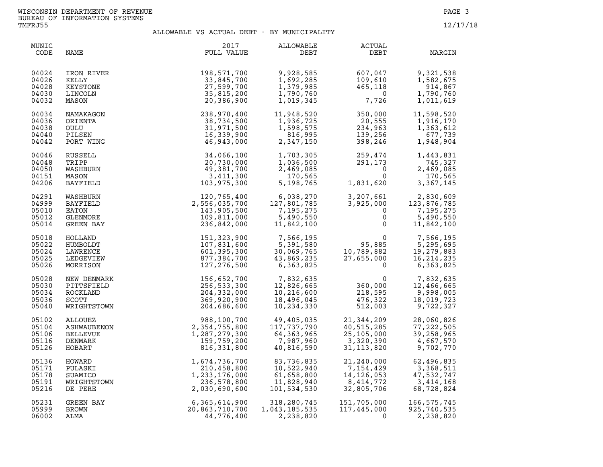| MUNIC<br>CODE                             | NAME                                                   | 2017<br>FULL VALUE                                                        | ALLOWABLE<br>DEBT                                                | ACTUAL<br>DEBT                                                             | MARGIN                                                           |
|-------------------------------------------|--------------------------------------------------------|---------------------------------------------------------------------------|------------------------------------------------------------------|----------------------------------------------------------------------------|------------------------------------------------------------------|
| 04024<br>04026<br>04028<br>04030<br>04032 | IRON RIVER<br>KELLY<br>KEYSTONE<br>LINCOLN<br>MASON    | 198,571,700<br>33,845,700<br>27,599,700<br>35,815,200<br>20,386,900       | 9,928,585<br>1,692,285<br>1,379,985<br>1,790,760<br>1,019,345    | 607,047<br>109,610<br>465,118<br>$\overline{0}$<br>7,726                   | 9,321,538<br>1,582,675<br>914,867<br>1,790,760<br>1,011,619      |
| 04034<br>04036<br>04038<br>04040<br>04042 | NAMAKAGON<br>ORIENTA<br>OULU<br>PILSEN<br>PORT WING    | 238,970,400<br>38,734,500<br>31,971,500<br>16,339,900<br>46,943,000       | 11,948,520<br>1,936,725<br>1,598,575<br>816,995<br>2,347,150     | 350,000<br>20,555<br>234,963<br>139,256<br>398,246                         | 11,598,520<br>1,916,170<br>1,363,612<br>677,739<br>1,948,904     |
| 04046                                     | RUSSELL                                                | 34,066,100                                                                | 1,703,305                                                        | $259,474$<br>$291,173$<br>$0$<br>$1,831,620$                               | 1,443,831                                                        |
| 04048                                     | TRIPP                                                  | 20,730,000                                                                | 1,036,500                                                        |                                                                            | 745,327                                                          |
| 04050                                     | WASHBURN                                               | 49,381,700                                                                | 2,469,085                                                        |                                                                            | 2,469,085                                                        |
| 04151                                     | MASON                                                  | 3,411,300                                                                 | 170,565                                                          |                                                                            | 170,565                                                          |
| 04206                                     | <b>BAYFIELD</b>                                        | 103,975,300                                                               | 5,198,765                                                        |                                                                            | 3,367,145                                                        |
| 04291<br>04999<br>05010<br>05012<br>05014 | WASHBURN<br>BAYFIELD<br>EATON<br>GLENMORE<br>GREEN BAY | 120,765,400<br>2,556,035,700<br>143,905,500<br>109,811,000<br>236,842,000 | 6,038,270<br>127,801,785<br>7,195,275<br>5,490,550<br>11,842,100 | 3,207,661<br>3,925,000 12<br>0<br>$\Omega$<br>$\mathsf{O}$<br>$\mathbf{0}$ | 2,830,609<br>123,876,785<br>7,195,275<br>5,490,550<br>11,842,100 |
| 05018                                     | HOLLAND                                                | 151,323,900                                                               | 7,566,195                                                        | $\overline{0}$                                                             | 7,566,195                                                        |
| 05022                                     | HUMBOLDT                                               | 107,831,600                                                               | 5,391,580                                                        | 95,885                                                                     | 5,295,695                                                        |
| 05024                                     | LAWRENCE                                               | 601,395,300                                                               | 30,069,765                                                       | 10,789,882                                                                 | 19,279,883                                                       |
| 05025                                     | LEDGEVIEW                                              | 877,384,700                                                               | 43,869,235                                                       | 27,655,000                                                                 | 16, 214, 235                                                     |
| 05026                                     | MORRISON                                               | 127,276,500                                                               | 6,363,825                                                        | $\Omega$                                                                   | 6,363,825                                                        |
| 05028                                     | NEW DENMARK                                            | 156,652,700                                                               | 7,832,635                                                        | 0<br>360,000<br>218,595<br>476,322<br>512,003                              | 7,832,635                                                        |
| 05030                                     | PITTSFIELD                                             | 256,533,300                                                               | 12,826,665                                                       |                                                                            | 12,466,665                                                       |
| 05034                                     | ROCKLAND                                               | 204,332,000                                                               | 10,216,600                                                       |                                                                            | 9,998,005                                                        |
| 05036                                     | <b>SCOTT</b>                                           | 369,920,900                                                               | 18,496,045                                                       |                                                                            | 18,019,723                                                       |
| 05040                                     | WRIGHTSTOWN                                            | 204,686,600                                                               | 10,234,330                                                       |                                                                            | 9,722,327                                                        |
| 05102                                     | ALLOUEZ                                                | 988,100,700                                                               | 49,405,035                                                       | 21,344,209                                                                 | 28,060,826                                                       |
| 05104                                     | ASHWAUBENON                                            | 2,354,755,800                                                             | 117,737,790                                                      | 40,515,285                                                                 | 77, 222, 505                                                     |
| 05106                                     | <b>BELLEVUE</b>                                        | 1,287,279,300                                                             | 64,363,965                                                       | 25,105,000                                                                 | 39,258,965                                                       |
| 05116                                     | DENMARK                                                | 159,759,200                                                               | 7,987,960                                                        | 3,320,390                                                                  | 4,667,570                                                        |
| 05126                                     | HOBART                                                 | 816,331,800                                                               | 40,816,590                                                       | 31, 113, 820                                                               | 9,702,770                                                        |
| 05136                                     | HOWARD                                                 | 1,674,736,700                                                             | 83,736,835                                                       | 21,240,000                                                                 | 62,496,835                                                       |
| 05171                                     | PULASKI                                                | 210,458,800                                                               | 10,522,940                                                       | 7,154,429                                                                  | 3,368,511                                                        |
| 05178                                     | SUAMICO                                                | 1,233,176,000                                                             | 61,658,800                                                       | 14,126,053                                                                 | 47,532,747                                                       |
| 05191                                     | WRIGHTSTOWN                                            | 236,578,800                                                               | 11,828,940                                                       | 8,414,772                                                                  | 3,414,168                                                        |
| 05216                                     | DE PERE                                                | 2,030,690,600                                                             | 101,534,530                                                      | 32,805,706                                                                 | 68,728,824                                                       |
| 05231                                     | GREEN BAY                                              | 6,365,614,900                                                             | 318,280,745                                                      | 151,705,000                                                                | 166, 575, 745                                                    |
| 05999                                     | <b>BROWN</b>                                           | 20,863,710,700                                                            | 1,043,185,535                                                    | 117,445,000                                                                | 925,740,535                                                      |
| 06002                                     | ALMA                                                   | 44,776,400                                                                | 2,238,820                                                        | $\Omega$                                                                   | 2,238,820                                                        |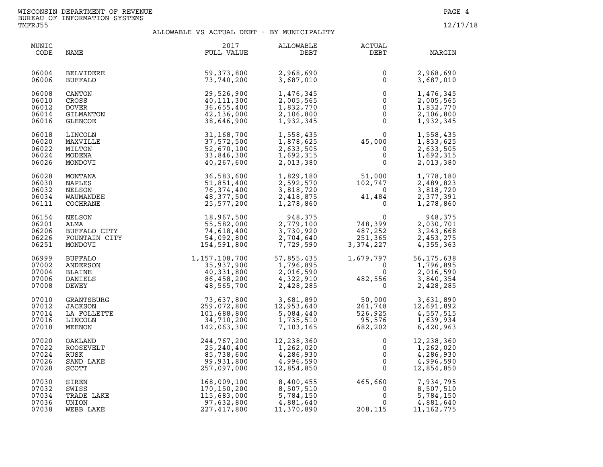| MUNIC<br>CODE                             | NAME                                                             | 2017<br>FULL VALUE                                                               | ALLOWABLE<br>DEBT                                                     | ACTUAL<br>DEBT                                                                 | MARGIN                                                           |
|-------------------------------------------|------------------------------------------------------------------|----------------------------------------------------------------------------------|-----------------------------------------------------------------------|--------------------------------------------------------------------------------|------------------------------------------------------------------|
| 06004<br>06006                            | <b>BELVIDERE</b><br><b>BUFFALO</b>                               | 59,373,800<br>73,740,200                                                         | 2,968,690<br>3,687,010                                                | $\mathbf{0}$<br>$\Omega$                                                       | 2,968,690<br>3,687,010                                           |
| 06008<br>06010<br>06012<br>06014<br>06016 | CANTON<br>CROSS<br><b>DOVER</b><br>GILMANTON<br>GLENCOE          | 29,526,900<br>40,111,300<br>36,655,400<br>42,136,000<br>38,646,900               | 1,476,345<br>2,005,565<br>1,832,770<br>2,106,800<br>1,932,345         | $\mathbf 0$<br>$\overline{0}$<br>$\mathsf{O}$<br>$\mathsf 0$<br>$\mathbf{0}$   | 1,476,345<br>2,005,565<br>1,832,770<br>2,106,800<br>1,932,345    |
| 06018<br>06020<br>06022<br>06024<br>06026 | LINCOLN<br>MAXVILLE<br>MILTON<br>MODENA<br>MONDOVI               | 31,168,700<br>37,572,500<br>52,670,100<br>33,846,300<br>40,267,600               | 1,558,435<br>1,878,625<br>2,633,505<br>1,692,315<br>2,013,380         | $45,000$<br>0<br>0<br>0<br>0                                                   | 1,558,435<br>1,833,625<br>2,633,505<br>1,692,315<br>2,013,380    |
| 06028<br>06030<br>06032<br>06034<br>06111 | MONTANA<br>NAPLES<br>NELSON<br>WAUMANDEE<br>COCHRANE             | 36,583,600<br>51,851,400<br>76,374,400<br>48,377,500<br>25,577,200               | 1,829,180<br>2,592,570<br>3,818,720<br>2,418,875<br>1,278,860         | $51,000$<br>$102,747$<br>$0$<br>$41,484$<br>$0$                                | 1,778,180<br>2,489,823<br>3,818,720<br>2,377,391<br>1,278,860    |
| 06154<br>06201<br>06206<br>06226<br>06251 | NELSON<br>ALMA<br>BUFFALO CITY<br>FOUNTAIN CITY<br>MONDOVI       | 18,967,500<br>55,582,000<br>74,618,400<br>54,092,800<br>154,591,800              | 948,375<br>2,779,100<br>3,730,920<br>2,704,640<br>7,729,590           | $\begin{array}{c} 0 \\ 748,399 \\ 487,252 \\ 251,365 \\ 3,374,227 \end{array}$ | 948,375<br>2,030,701<br>3,243,668<br>2,453,275<br>4,355,363      |
| 06999<br>07002<br>07004<br>07006<br>07008 | BUFFALO<br>ANDERSON<br><b>BLAINE</b><br>DANIELS<br>DEWEY         | 1, 157, 108, 700<br>35, 937, 900<br>40, 331, 800<br>86, 458, 200<br>48, 565, 700 | 57,855,435<br>1,796,895<br>2,016.590<br>4,322,910<br>2,428,285        | $1,679,797$<br>0<br>$482,556$<br>0                                             | 56, 175, 638<br>1,796,895<br>2,016,590<br>3,840,354<br>2,428,285 |
| 07010<br>07012<br>07014<br>07016<br>07018 | GRANTSBURG<br><b>JACKSON</b><br>LA FOLLETTE<br>LINCOLN<br>MEENON | 73,637,800<br>259,072,800<br>101,688,800<br>34,710,200<br>142,063,300            | 3,681,890<br>12,953,640<br>5,084,440<br>1,735,510<br>7,103,165        | 50,000<br>261,748<br>261,748<br>526,925<br>95,576<br>682,202                   | 3,631,890<br>12,691,892<br>4,557,515<br>1,639,934<br>6,420,963   |
| 07020<br>07022<br>07024<br>07026<br>07028 | OAKLAND<br>ROOSEVELT<br>RUSK<br>SAND LAKE<br><b>SCOTT</b>        | 244,767,200<br>25,240,400<br>85,738,600<br>99,931,800<br>257,097,000             | $12, 250, 020$<br>1, 262, 020<br>4,286,930<br>4,996,590<br>12,854,850 | 0<br>0<br>$\mathsf{O}\xspace$<br>$\overline{0}$<br>$\Omega$                    | 12,238,360<br>1,262,020<br>4,286,930<br>4,996,590<br>12,854,850  |
| 07030<br>07032<br>07034<br>07036<br>07038 | SIREN<br>SWISS<br>TRADE LAKE<br>UNION<br>WEBB LAKE               | 168,009,100<br>170,150,200<br>115,683,000<br>97,632,800<br>227,417,800           | 8,400,455<br>8,507,510<br>5,784,150<br>4,881,640<br>11,370,890        | $465,660$<br>0<br>0<br>0<br>$\mathbf 0$<br>208,115                             | 7,934,795<br>8,507,510<br>5,784,150<br>4,881,640<br>11, 162, 775 |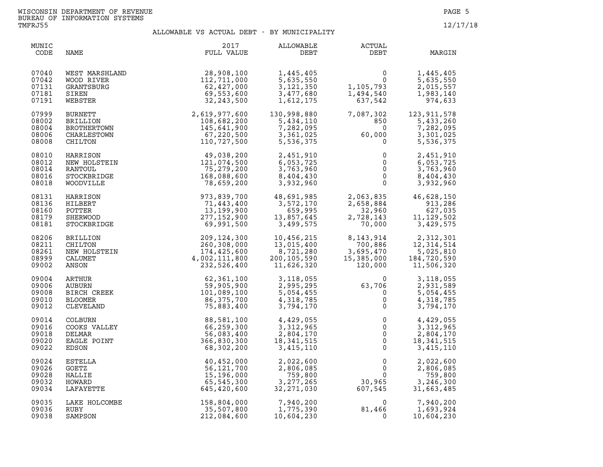| MUNIC<br>CODE                             | NAME                                                                                                                          | 2017<br>FULL VALUE                                                                                                                                                                                                                                                                 | ALLOWABLE<br>DEBT                                                                 | <b>ACTUAL</b><br>DEBT                                                                                                                                      | MARGIN                                                                                                                             |
|-------------------------------------------|-------------------------------------------------------------------------------------------------------------------------------|------------------------------------------------------------------------------------------------------------------------------------------------------------------------------------------------------------------------------------------------------------------------------------|-----------------------------------------------------------------------------------|------------------------------------------------------------------------------------------------------------------------------------------------------------|------------------------------------------------------------------------------------------------------------------------------------|
| 07040<br>07042<br>07131<br>07181<br>07191 | WEST MARSHLAND<br>WOOD RIVER<br>GRANTSBURG<br>SIREN<br>WEBSTER                                                                | 28,908,100<br>112,711,000<br>62,427,000<br>69,553,600<br>32,243,500                                                                                                                                                                                                                | 1,445,405<br>5,635,550<br>3,121,350<br>3,477,680<br>1,612,175                     | $\begin{smallmatrix}&&&0\01,105,793\1,494,540\037,542\end{smallmatrix}$                                                                                    | 1,445,405<br>5,635,550<br>2,015,557<br>1,983,140<br>974,633                                                                        |
| 07999<br>08002<br>08004<br>08006<br>08008 | <b>BURNETT</b><br><b>BRILLION</b><br>BROTHERTOWN<br>CHARLESTOWN<br>CHILTON                                                    | 2,619,977,600<br>108,682,200<br>145,641,900<br>57,220,500<br>110,727,500                                                                                                                                                                                                           | 130,998,880<br>5,434,110<br>7,282,095<br>3,361,025<br>5,536,375                   | 60,000                                                                                                                                                     | $\begin{array}{cc} 7,087,302 & 123,911,578 \\ 850 & 5,433,260 \\ 0 & 7,282,095 \\ 60,000 & 3,301,025 \\ 0 & 5,536,375 \end{array}$ |
| 08010<br>08012<br>08014<br>08016<br>08018 |                                                                                                                               | 110, 727, 500<br>NEW HOLSTEIN<br>NEW HOLSTEIN<br>RANTOUL<br>STOCKBRIDGE<br>STOCKBRIDGE<br>WOODVILLE<br>HARRISON<br>HARRISON<br>TOPS<br>CONTRIBUTE:<br>TOPS<br>TOPS<br>TOPS<br>TOPS<br>TOPS<br>TOPS<br>TOPS<br>TOPS<br>TOPS<br>TOPS<br>TOPS<br>TOPS<br>TOPS<br>TOPS<br>TOPS<br>TOPS | 2,451,910<br>6,053,725<br>3,763,960<br>8,404,430<br>3,932,960                     | $\begin{bmatrix} 0 \\ 0 \\ 0 \\ 0 \end{bmatrix}$                                                                                                           | $\overline{0}$<br>2,451,910<br>6,053,725<br>3,763,960<br>8,404,430<br>3,932,960                                                    |
| 08131<br>08136<br>08160<br>08179<br>08181 | HARRISON<br>HILBERT<br>POTTER<br>SHERWOOD<br>STOCKBRIDGE                                                                      | 973,839,700<br>71,443,400<br>13,199,900<br>277, 152, 900<br>69,991,500                                                                                                                                                                                                             | 48,691,985<br>3,572,170<br>659,995<br>13,857,645<br>3,499,575                     | 2,063,835<br>2,658,884<br>32,960<br>2,728,143<br>70,000                                                                                                    | 46,628,150<br>913,286<br>627,035<br>11, 129, 502<br>3,429,575                                                                      |
| 08206<br>08211<br>08261<br>08999<br>09002 | BRILLION<br>CHILTON<br>NEW HOLSTEIN<br>CALUMET<br>CALUMET<br>ANSON<br>ARTHUR<br>AUBURN<br>BIRCH CREEK<br>BLOOMER<br>CLEVELAND | 209,124,300<br>260,308,000<br>174,425,600<br>4,002,111,800<br>232,526,400                                                                                                                                                                                                          | 10,456,215<br>13,015,400<br>$\frac{1}{8}$ , 721, 280<br>200,105,590<br>11,626,320 | $\begin{array}{cc} 8,143,914 & 2,312,301 \\ 700,886 & 12,314,514 \\ 3,695,470 & 5,025,810 \\ 15,385,000 & 184,720,590 \\ 120,000 & 11,506,320 \end{array}$ |                                                                                                                                    |
| 09004<br>09006<br>09008<br>09010<br>09012 |                                                                                                                               | 62,361,100<br>59,905,900<br>101,089,100<br>86, 375, 700<br>75,883,400                                                                                                                                                                                                              | 3,118,055<br>2,995,295<br>5,054,455<br>4,318,785<br>3,794,170                     | $63,706$<br>0<br>0<br>0<br>0                                                                                                                               | 3,118,055<br>2,931,589<br>5,054,455<br>4,318,785<br>3,794,170                                                                      |
| 09014<br>09016<br>09018<br>09020<br>09022 | COLBURN<br>COOKS VALLEY<br>DELMAR<br>EAGLE POINT<br>EDSON                                                                     | 88,581,100<br>66,259,300<br>56,083,400<br>366,830,300<br>68,302,200                                                                                                                                                                                                                | 4,429,055<br>3, 312, 965<br>2, 804, 170<br>18, 341, 515<br>3, 415, 110            | $\begin{bmatrix} 0 \ 0 \ 0 \ 0 \ 0 \ 0 \ 0 \end{bmatrix}$<br>$\overline{0}$                                                                                | 4,429,055<br>3,312,965<br>2,804,170<br>18, 341, 515<br>3, 415, 110                                                                 |
| 09024<br>09026<br>09028<br>09032<br>09034 | ESTELLA<br>GOETZ<br>HALLIE<br>HOWARD<br>LAFAYETTE                                                                             | 40,452,000<br>56, 121, 700<br>15,196,000<br>65,545,300<br>645,420,600                                                                                                                                                                                                              | 2,022,600<br>2,806,085<br>759,800<br>3, 277, 265<br>32, 271, 030                  | $\begin{array}{ccc}\n 0 & 0 \\  0 & 0 \\  30,965 \\  607,545\n\end{array}$                                                                                 | 2,022,600<br>2,806,085<br>759,800<br>3,246,300<br>31,663,485                                                                       |
| 09035<br>09036<br>09038                   | LAKE HOLCOMBE<br>RUBY<br>^`````^^```                                                                                          | 158,804,000<br>35,507,800<br>212,084,600                                                                                                                                                                                                                                           | 7,940,200<br>1,775,390<br>10,604,230                                              | $81,466$<br>0                                                                                                                                              | 7,940,200<br>1,693,924<br>10,604,230                                                                                               |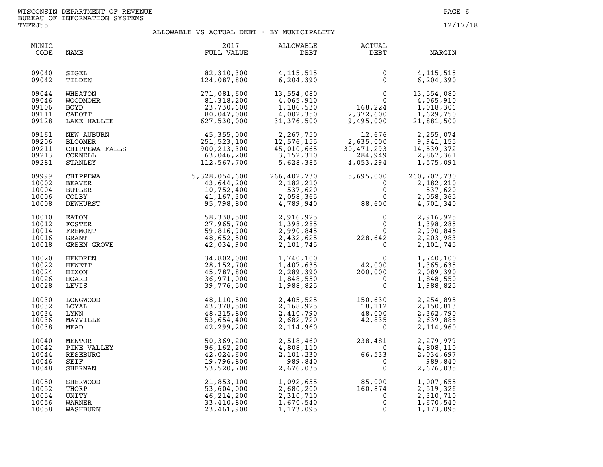| MUNIC<br>CODE                             | NAME                                                                    | 2017<br>FULL VALUE                                                      | ALLOWABLE<br>DEBT                                                 | ACTUAL<br>DEBT                                                | MARGIN                                                         |
|-------------------------------------------|-------------------------------------------------------------------------|-------------------------------------------------------------------------|-------------------------------------------------------------------|---------------------------------------------------------------|----------------------------------------------------------------|
| 09040                                     | SIGEL                                                                   | 82,310,300                                                              | 4, 115, 515                                                       | $\mathbf 0$                                                   | 4, 115, 515                                                    |
| 09042                                     | TILDEN                                                                  | 124,087,800                                                             | 6, 204, 390                                                       | $\mathbf{0}$                                                  | 6,204,390                                                      |
| 09044                                     | WHEATON                                                                 | 271,081,600                                                             | 13,554,080                                                        | $\mathbf{0}$                                                  | 13,554,080                                                     |
| 09046                                     | <b>WOODMOHR</b>                                                         | 81,318,200                                                              | 4,065,910                                                         | $\mathbf 0$                                                   | 4,065,910                                                      |
| 09106                                     | BOYD                                                                    | 23,730,600                                                              | 1,186,530                                                         | 168,224                                                       | 1,018,306                                                      |
| 09111                                     | <b>CADOTT</b>                                                           | 80,047,000                                                              | 4,002,350                                                         | 2,372,600                                                     | 1,629,750                                                      |
| 09128                                     | LAKE HALLIE                                                             | 627,530,000                                                             | 31,376,500                                                        | 9,495,000                                                     | 21,881,500                                                     |
| 09161<br>09206<br>09211<br>09213<br>09281 | NEW AUBURN<br>BLOOMER<br>CHIPPEWA FALLS<br>COBNET<br>CORNELL<br>STANLEY | 45,355,000<br>251,523,100<br>900, 213, 300<br>63,046,200<br>112,567,700 | 2,267,750<br>12,576,155<br>45,010,665<br>3, 152, 310<br>5,628,385 | 12,676<br>2,635,000<br>30,471,293<br>284,949<br>4,053,294     | 2,255,074<br>9,941,155<br>14,539,372<br>2,867,361<br>1,575,091 |
| 09999<br>10002<br>10004<br>10006<br>10008 | CHIPPEWA<br>BEAVER<br><b>BUTLER</b><br>COLBY<br>DEWHURST                | 5,328,054,600<br>43,644,200<br>10,752,400<br>41, 167, 300<br>95,798,800 | 266,402,730<br>2,182,210<br>537,620<br>2,058,365<br>4,789,940     | 5,695,000<br>$\mathbf 0$<br>$\mathsf 0$<br>$\Omega$<br>88,600 | 260,707,730<br>2,182,210<br>537,620<br>2,058,365<br>4,701,340  |
| 10010                                     | EATON                                                                   | 58,338,500                                                              | 2,916,925                                                         | 0                                                             | 2,916,925                                                      |
| 10012                                     | FOSTER                                                                  | 27,965,700                                                              | 1,398,285                                                         | 0                                                             | 1,398,285                                                      |
| 10014                                     | FREMONT                                                                 | 59,816,900                                                              | 2,990,845                                                         | $\mathbf{0}$                                                  | 2,990,845                                                      |
| 10016                                     | GRANT                                                                   | 48,652,500                                                              | 2,432,625                                                         | 228,642                                                       | 2,203,983                                                      |
| 10018                                     | GREEN GROVE                                                             | 42,034,900                                                              | 2,101,745                                                         | $\mathbf 0$                                                   | 2,101,745                                                      |
| 10020                                     | HENDREN                                                                 | 34,802,000                                                              | 1,740,100                                                         | 0                                                             | 1,740,100                                                      |
| 10022                                     | HEWETT                                                                  | 28, 152, 700                                                            | 1,407,635                                                         | 42,000                                                        | 1,365,635                                                      |
| 10024                                     | HIXON                                                                   | 45,787,800                                                              | 2,289,390                                                         | 200,000                                                       | 2,089,390                                                      |
| 10026                                     | HOARD                                                                   | 36,971,000                                                              | 1,848,550                                                         | $\mathbf 0$                                                   | 1,848,550                                                      |
| 10028                                     | LEVIS                                                                   | 39,776,500                                                              | 1,988,825                                                         | $\mathbf 0$                                                   | 1,988,825                                                      |
| 10030                                     | LONGWOOD                                                                | 48,110,500                                                              | 2,405,525                                                         | 150,630                                                       | 2,254,895                                                      |
| 10032                                     | LOYAL                                                                   | 43,378,500                                                              | 2,168,925                                                         | 18,112                                                        | 2,150,813                                                      |
| 10034                                     | LYNN                                                                    | 48,215,800                                                              | 2,410,790                                                         | 48,000                                                        | 2,362,790                                                      |
| 10036                                     | MAYVILLE                                                                | 53,654,400                                                              | 2,682,720                                                         | 42,835                                                        | 2,639,885                                                      |
| 10038                                     | MEAD                                                                    | 42,299,200                                                              | 2,114,960                                                         | $\Omega$                                                      | 2,114,960                                                      |
| 10040                                     | MENTOR                                                                  | 50,369,200                                                              | 2,518,460                                                         | 238,481                                                       | 2,279,979                                                      |
| 10042                                     | PINE VALLEY                                                             | 96,162,200                                                              | 4,808,110                                                         | $\overline{0}$                                                | 4,808,110                                                      |
| 10044                                     | RESEBURG                                                                | 42,024,600                                                              | 2,101,230                                                         | 66,533                                                        | 2,034,697                                                      |
| 10046                                     | <b>SEIF</b>                                                             | 19,796,800                                                              | 989,840                                                           | $\Omega$                                                      | 989,840                                                        |
| 10048                                     | SHERMAN                                                                 | 53,520,700                                                              | 2,676,035                                                         | $\mathbf{0}$                                                  | 2,676,035                                                      |
| 10050                                     | SHERWOOD                                                                | 21,853,100                                                              | 1,092,655                                                         | 85,000                                                        | 1,007,655                                                      |
| 10052                                     | THORP                                                                   | 53,604,000                                                              | 2,680,200                                                         | 160,874                                                       | 2,519,326                                                      |
| 10054                                     | UNITY                                                                   | 46, 214, 200                                                            | 2,310,710                                                         | 0                                                             | 2,310,710                                                      |
| 10056                                     | WARNER                                                                  | 33,410,800                                                              | 1,670,540                                                         | $\mathbf 0$                                                   | 1,670,540                                                      |
| 10058                                     | WASHBURN                                                                | 23,461,900                                                              | 1,173,095                                                         | $\mathbf 0$                                                   | 1,173,095                                                      |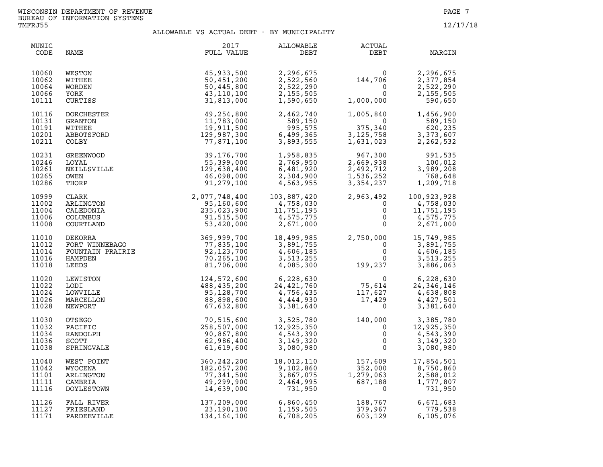| MUNIC<br>CODE                             | NAME                                          | 2017<br>FULL VALUE                                                                                                                                                                                                                                                                                                   | ALLOWABLE<br>DEBT                                             | ACTUAL<br>DEBT                                                                                                         | MARGIN                                                      |
|-------------------------------------------|-----------------------------------------------|----------------------------------------------------------------------------------------------------------------------------------------------------------------------------------------------------------------------------------------------------------------------------------------------------------------------|---------------------------------------------------------------|------------------------------------------------------------------------------------------------------------------------|-------------------------------------------------------------|
| 10060<br>10062<br>10064<br>10066<br>10111 | WESTON<br>WITHEE<br>WORDEN<br>YORK<br>CURTISS | 45,933,500<br>50,451,200<br>50,445,800<br>43,110,100<br>31,813,000                                                                                                                                                                                                                                                   | 2,296,675<br>2,522,560<br>2,522,290<br>2,155,505<br>1,590,650 | $144, 706\n0$<br>0<br>1,000,000                                                                                        | 2,296,675<br>2,377,854<br>2,522,290<br>2,155,505<br>590,650 |
| 10116<br>10131<br>10191<br>10201<br>10211 | DORCHESTER<br>GRANTON                         | $49,254,800$<br>$11,783,000$<br>$19,911,500$<br>$129,987,300$<br>$77,871,100$<br>$29,176,700$                                                                                                                                                                                                                        | 2,462,740<br>589,150                                          | 1,005,840<br>$\begin{array}{r} 1,000,001 \\ 375,340 \\ 3,125,758 \\ 1,631,023 \end{array}$                             | 1,456,900<br>589,150<br>620,235<br>3,373,607<br>2,262,532   |
| 10231<br>10246<br>10261<br>10265<br>10286 |                                               | $\begin{tabular}{l c c c c} \multicolumn{1}{c}{\textbf{GREENWOOD}} & $\begin{smallmatrix} & $129$, $987', 300$ & $6, 499, 36:\\ 995, 57 & $77, 871, 100$ & $3, 893, 551$ \\ 129, 987, 300 & $6, 499, 360\\ 100YAL & $55, 399, 000$ & $2, 769, 950\\ \texttt{NEILSVILLE} & $129, 638, 400$ & $6, 481, 920\\ 995, 551$ |                                                               | 967,300<br>2,669,938<br>2,492,712<br>1,536,252<br>3,354,237                                                            | 991,535<br>100,012<br>3,989,208<br>768,648<br>1,209,718     |
| 10999<br>11002<br>11004<br>11006<br>11008 |                                               |                                                                                                                                                                                                                                                                                                                      |                                                               | $\begin{array}{ccc} 2,963,492 & 100,923,928\ 0 & 4,758,030\ 0 & 11,751,195\ 0 & 4,575,775\ 0 & 2,671,000\ \end{array}$ |                                                             |
| 11010<br>11012<br>11014<br>11016<br>11018 |                                               |                                                                                                                                                                                                                                                                                                                      |                                                               |                                                                                                                        |                                                             |
| 11020<br>11022<br>11024<br>11026<br>11028 |                                               |                                                                                                                                                                                                                                                                                                                      |                                                               |                                                                                                                        |                                                             |
| 11030<br>11032<br>11034<br>11036<br>11038 |                                               |                                                                                                                                                                                                                                                                                                                      |                                                               |                                                                                                                        |                                                             |
| 11040<br>11042<br>11101<br>11111<br>11116 | WYOCENA<br>ARLINGTON<br>CAMBRIA<br>DOYLESTOWN | 182,057,200<br>77,341,500<br>49,299,900<br>14,639,000                                                                                                                                                                                                                                                                | 18,012,110<br>9,102,860<br>3,867,075<br>2,464,995<br>731,950  | $157,609$<br>$352,000$<br>$1,279,063$<br>$687,188$<br>$0$                                                              | 8,750,860<br>2,588,012<br>1,777,807<br>731,950              |
| 11126<br>11127<br>11171                   | FALL RIVER<br>FRIESLAND<br>PARDEEVILLE        | 137,209,000<br>23,190,100<br>134,164,100                                                                                                                                                                                                                                                                             | 6,860,450<br>1,159,505<br>6,708,205                           | 188,767<br>379,967<br>603.129<br>603,129                                                                               | 6,671,683<br>779,538<br>6,105,076                           |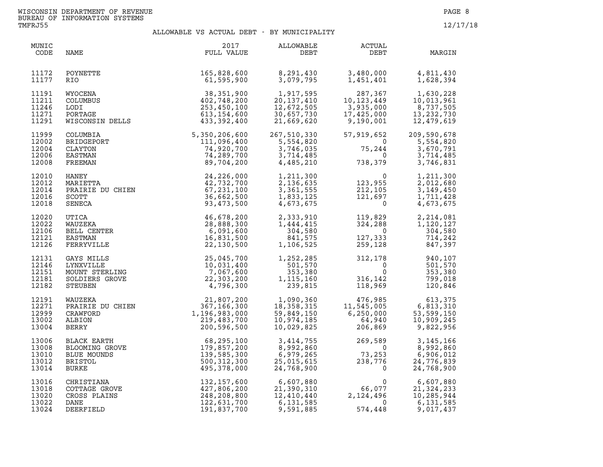| MUNIC<br>CODE                             | NAME                                                                    | 2017<br>FULL VALUE                                                                                                                                                                                                                             | ALLOWABLE<br>DEBT                                                 | ACTUAL<br>DEBT                                                                                                                                                                                               | MARGIN                                                                                                                                                         |
|-------------------------------------------|-------------------------------------------------------------------------|------------------------------------------------------------------------------------------------------------------------------------------------------------------------------------------------------------------------------------------------|-------------------------------------------------------------------|--------------------------------------------------------------------------------------------------------------------------------------------------------------------------------------------------------------|----------------------------------------------------------------------------------------------------------------------------------------------------------------|
| 11172<br>11177                            | POYNETTE<br>RIO.                                                        | 165,828,600<br>61,595,900                                                                                                                                                                                                                      | 8,291,430<br>3,079,795                                            | 3,480,000<br>1,451,401                                                                                                                                                                                       | 4,811,430<br>1,628,394                                                                                                                                         |
| 11191<br>11211<br>11246<br>11271<br>11291 | WYOCENA<br>COLUMBUS<br>LODI<br>PORTAGE<br>WISCONSIN DELLS               | 38,351,900<br>402,748,200<br>253,450,100<br>613,154,600<br>433,392,400                                                                                                                                                                         | 1,917,595<br>20,137,410<br>12,672,505<br>30,657,730<br>21,669,620 | 3,935,000<br>9,190,001                                                                                                                                                                                       | $\begin{array}{cccc} 287,367 & 1,630,228 \\ 10,123,449 & 10,013,961 \\ 3,935,000 & 8,737,505 \\ 17,425,000 & 13,232,730 \\ 9,190,001 & 12,479,619 \end{array}$ |
| 11999<br>12002<br>12004<br>12006<br>12008 |                                                                         | COLUMBIA<br>COLUMBIA<br>BRIDGEPORT<br>CLAYTON<br>CLAYTON 74,920,700<br>EASTMAN 74,289,700<br>FREEMAN 74,289,700<br>FREEMAN 89,704,200<br>MARIETTA 22,732,700<br>PRAIRIE DU CHIEN 42,732,700<br>PRAIRIE DU CHIEN 67,231,100<br>SCOTT 36,662,500 | 267,510,330<br>5,554,820<br>3,746,035<br>3,714,485<br>4,485,210   | 57,919,652<br>$75,244$<br>0<br>738 255<br>738,379                                                                                                                                                            | 209,590,678<br>5,554,820<br>3,670,791<br>3,714,485<br>3,746,831                                                                                                |
| 12010<br>12012<br>12014<br>12016<br>12018 | SCOTT<br>SENECA                                                         | 36,662,500<br>93,473,500                                                                                                                                                                                                                       | 1,211,300<br>2,136,635<br>3,361,555<br>1,833,125<br>4,673,675     | $\begin{smallmatrix}&&&0\123,955\212,105\121,697\0\end{smallmatrix}$                                                                                                                                         | 1,211,300<br>2,012,680<br>3, 149, 450<br>1,711,428<br>4,673,675                                                                                                |
| 12020<br>12022<br>12106<br>12121<br>12126 | UTICA<br>WAUZEKA<br>BELL CENTER<br>EASTMAN<br>FERRYVILLE                | 46,678,200<br>28,888,300<br>6,091,600<br>16,831,500<br>22,130,500                                                                                                                                                                              | 2,333,910<br>1,444,415<br>304,580<br>841,575<br>1,106,525         | $\begin{array}{cc} 119\,, 829 & 2\,, 214\,, 081 \\ 324\,, 288 & 1\,, 120\,, 127 \\ 0 & 304\,, 580 \\ 127\,, 333 & 714\,, 242 \\ 259\,, 128 & 847\,, 397 \end{array}$                                         |                                                                                                                                                                |
| 12131<br>12146<br>12151<br>12181<br>12182 | GAYS MILLS<br>LYNXVILLE<br>MOUNT STERLING<br>SOLDIERS GROVE<br>STEUBEN  | 25, 045, 700<br>10, 031, 400<br>7, 067, 600<br>7E<br>22, 303, 200<br>4, 796, 300                                                                                                                                                               | 1,252,285<br>501,570<br>353,380<br>1,115,160<br>239,815           | $\begin{array}{cc} 312\,, 178 & \qquad & 940\,, 107 \\ \text{0} & \qquad & 501\,, 570 \\ \text{0} & \qquad & 353\,, 380 \\ 316\,, 142 & \qquad & 799\,, 018 \\ 118\,, 969 & \qquad & 120\,, 846 \end{array}$ |                                                                                                                                                                |
| 12191<br>12271<br>12999<br>13002<br>13004 | WAUZEKA<br>PRAIRIE DU CHIEN<br>CRAWFORD<br>ALBION<br>BERRY<br>BERRY     | 21,807,200<br>367,166,300<br>1,196,983,000<br>219,483,700<br>200,596,500                                                                                                                                                                       | 1,090,360<br>18,358,315<br>59,849,150<br>10,974,185<br>10,029,825 | $\begin{array}{ccc} 476,985 & 613,375 \\ 11,545,005 & 6,813,310 \\ 6,250,000 & 53,599,150 \\ 64,940 & 10,909,245 \\ 206,869 & 9,822,956 \end{array}$                                                         |                                                                                                                                                                |
| 13006<br>13008<br>13010<br>13012<br>13014 | BLACK EARTH<br>BLOOMING GROVE<br>BLUE MOUNDS<br><b>BRISTOL</b><br>BURKE | 68,295,100<br>179,857,200<br>139,585,300<br>500, 312, 300<br>495,378,000                                                                                                                                                                       | 3,414,755<br>8,992,860<br>6,979,265<br>25,015,615<br>24,768,900   | $269,589$<br>0<br>73,253<br>238,776<br>589<br>0<br>$\overline{0}$                                                                                                                                            | 3, 145, 166<br>8,992,860<br>6,906,012<br>24,776,839<br>24,768,900                                                                                              |
| 13016<br>13018<br>13020<br>13022<br>13024 | CHRISTIANA<br>COTTAGE GROVE<br>CROSS PLAINS<br>DANE<br>DEERFIELD        | 132,157,600<br>427,806,200<br>248,208,800<br>122,631,700<br>191,837,700                                                                                                                                                                        | 9,591,885                                                         | $6,607,880$<br>$21,390,310$<br>$12,410,440$<br>$6,131,585$<br>$1,585$<br>$-$<br>$0$<br>574,448                                                                                                               | 6,607,880<br>21, 324, 233<br>10,285,944<br>6,131,585<br>9,017,437                                                                                              |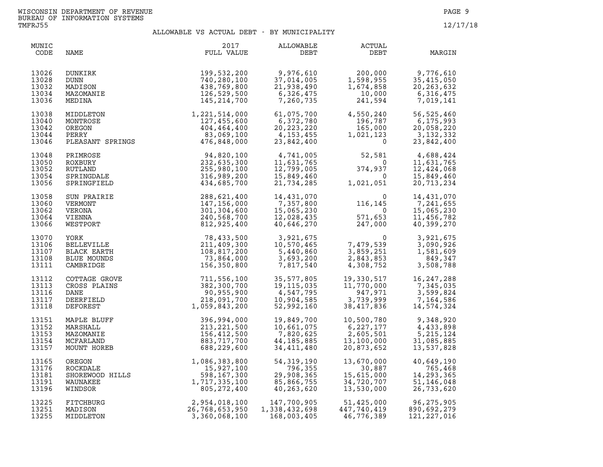| MUNIC<br>CODE                             | NAME                                                                      | 2017<br>FULL VALUE                                                                                                        | ALLOWABLE<br>DEBT                                                  | ACTUAL<br>DEBT                                                                                                                                    | MARGIN                                                                                                                          |
|-------------------------------------------|---------------------------------------------------------------------------|---------------------------------------------------------------------------------------------------------------------------|--------------------------------------------------------------------|---------------------------------------------------------------------------------------------------------------------------------------------------|---------------------------------------------------------------------------------------------------------------------------------|
| 13026<br>13028<br>13032<br>13034<br>13036 | DUNKIRK<br>DUNN<br>MADISON<br>MAZOMANIE<br>MEDINA                         | 199,532,200<br>740,280,100<br>438,769,800<br>126,529,500<br>145,214,700                                                   | 9,976,610<br>37,014,005<br>21,938,490<br>6,326,475<br>7,260,735    | $\begin{array}{ccc} 200,000 & 9,776,610 \ 1,598,955 & 35,415,050 \ 1,674,858 & 20,263,632 \ 10,000 & 6,316,475 \ 241,594 & 7,019,141 \end{array}$ |                                                                                                                                 |
| 13038<br>13040<br>13042<br>13044<br>13046 |                                                                           | MIDDLETON 1,221,514,000<br>MONTROSE 127,455,600<br>OREGON 404,464,400<br>PERRY 83,069,100<br>PLEASANT SPRINGS 476,848,000 | 61,075,700<br>6,372,780<br>20, 223, 220<br>4,153,455<br>23,842,400 | $4,550,240$<br>$196,787$<br>$165,000$<br>$1,021,123$<br>$0$                                                                                       | 56,525,460<br>6,175,993<br>20,058,220<br>3,132,332<br>23,842,400                                                                |
| 13048<br>13050<br>13052<br>13054<br>13056 | PRIMROSE<br>ROXBURY<br>RUTLAND<br>SPRINGDALE<br>SPRINGFIELD               | $476,848,000$<br>94,820,100<br>232,635,300<br>255,980,100<br>316,989                                                      |                                                                    | $\begin{array}{cc} 4,741,005 & 52,581 \ 11,631,765 & 0 \ 12,799,005 & 374,937 \ 15,849,460 & 0 \ 21,734,285 & 1,021,051 \end{array}$              | 4,688,424<br>11,631,765<br>12,424,068<br>15,849,460<br>20,713,234                                                               |
| 13058<br>13060<br>13062<br>13064<br>13066 | SUN PRAIRIE<br>VERMONT<br>VERONA<br>VIENNA<br>WESTPORT                    | 288,621,400<br>147,156,000<br>301,304,600<br>240,568,700<br>812,925,400                                                   | 14,431,070<br>7,357,800<br>15,065,230<br>12,028,435<br>40,646,270  | $\begin{array}{c} 0 \\ 116,145 \\ 0 \\ 571,653 \\ 247,000 \end{array}$                                                                            | 14,431,070<br>7,241,655<br>15,065,230<br>11,456,782<br>40,399,270                                                               |
| 13070<br>13106<br>13107<br>13108<br>13111 | YORK<br>BELLEVILLE<br>BLACK EARTH<br>BLUE MOUNDS<br>CAMBRIDGE             | 78,433,500<br>211,409,300<br>108,817,200<br>73,864,000<br>156,350,800                                                     |                                                                    | 3,921,675<br>10,570,465 7,479,539<br>5,440,860 3,859,251<br>3,693,200 2,843,853<br>7,817,540 4,308,752                                            | 3,921,675<br>3,090,926<br>1,581,609<br>849,347<br>3,508,788                                                                     |
| 13112<br>13113<br>13116<br>13117<br>13118 | COTTAGE GROVE<br>CROSS PLAINS<br>DANE<br>DEERFIELD<br>DEFOREST            | 711,556,100<br>NS<br>NS<br>382,300,700<br>90,955,900<br>218,091,700<br>1,059,843,200                                      | 35,577,805<br>19,115,035<br>4,547,795<br>10,904,585<br>52,992,160  |                                                                                                                                                   | 19,330,517 16,247,288<br>$11,770,000$<br>$947,971$<br>$3,599,824$<br>$3,739,999$<br>$7,164,586$<br>$38,417,836$<br>$14,574,324$ |
| 13151<br>13152<br>13153<br>13154<br>13157 | MAPLE BLUFF<br>MARSHALL<br>MAZOMANIE<br>MCFARLAND<br>MOUNT HOREB          | 396,994,000<br>213, 221, 500<br>156,412,500<br>883,717,700<br>688,229,600                                                 | 19,849,700<br>10,661,075<br>7,820,625<br>44,185,885<br>34,411,480  | 10,500,780<br>$\begin{array}{r} 25,2827,177\ 6,227,177\ 2,605,501\ 13,100,000\ 20,873,652 \end{array}$                                            | 9,348,920<br>4,433,898<br>5, 215, 124<br>31,085,885<br>13,537,828                                                               |
| 13165<br>13176<br>13181<br>13191<br>13196 | UKEGON<br>ROCKDALE<br>SHOREWOOD HILLS<br>WAUNAKEE<br>WINDSOR<br>RIMANISOR | 1,086,383,800<br>15,927,100<br>598,167,300<br>1,717,335,100<br>805, 272, 400                                              | 54, 319, 190<br>796,355<br>29,908,365<br>85,866,755<br>40,263,620  | 13,670,000<br>30,887<br>$-3,000$<br>$-4,720,707$<br>$13,530,000$<br>$51,425$                                                                      | 40,649,190<br>765,468<br>14, 293, 365<br>51,146,048<br>26,733,620                                                               |
| 13225<br>13251<br>13255                   | FITCHBURG<br>MADISON<br>MIDDLETON                                         | 2,954,018,100<br>26,768,653,950<br>3,360,068,100                                                                          | 147,700,905<br>1,338,432,698<br>168,003,405                        | 1,425,000<br>447,740,419<br>46,776,389                                                                                                            | 96,275,905<br>890,692,279<br>121, 227, 016                                                                                      |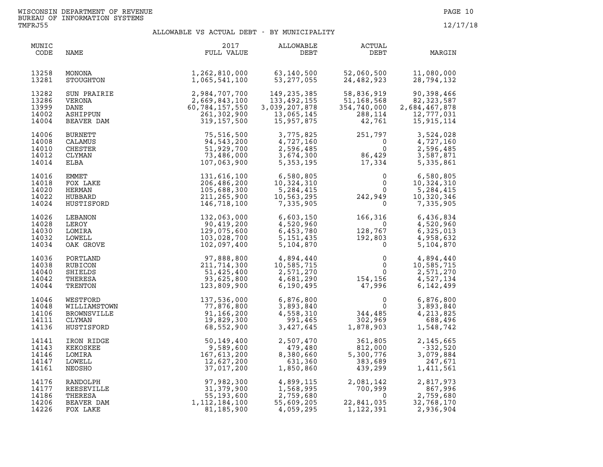| MUNIC<br>CODE                             | NAME                                                                   | 2017<br>FULL VALUE                                                             | ALLOWABLE<br>DEBT                                                        | <b>ACTUAL</b><br>DEBT                                                                    | MARGIN                                                                    |
|-------------------------------------------|------------------------------------------------------------------------|--------------------------------------------------------------------------------|--------------------------------------------------------------------------|------------------------------------------------------------------------------------------|---------------------------------------------------------------------------|
| 13258<br>13281                            | MONONA<br>STOUGHTON                                                    | 1,262,810,000<br>1,065,541,100                                                 | 63,140,500<br>53, 277, 055                                               | 52,060,500<br>24,482,923                                                                 | 11,080,000<br>28,794,132                                                  |
| 13282<br>13286<br>13999<br>14002<br>14004 | SUN PRAIRIE<br>VERONA<br>DANE<br>ASHIPPUN<br>BEAVER DAM                | 2,984,707,700<br>2,669,843,100<br>60,784,157,550<br>261,302,900<br>319,157,500 | 149,235,385<br>133,492,155<br>3,039,207,878<br>13,065,145<br>15,957,875  | 58,836,919<br>51,168,568<br>354,740,000<br>288,114<br>42,761                             | 90,398,466<br>82, 323, 587<br>2,684,467,878<br>12,777,031<br>15, 915, 114 |
| 14006<br>14008<br>14010<br>14012<br>14014 | <b>BURNETT</b><br>CALAMUS<br>CHESTER<br>CLYMAN<br>ELBA                 | 75,516,500<br>94,543,200<br>51,929,700<br>73,486,000<br>107,063,900            | 3,775,825<br>4,727,160<br>2,596,485<br>3,674,300<br>5, 353, 195          | 251,797<br>$251,797$<br>0<br>86,429<br>17,334                                            | 3,524,028<br>4,727,160<br>2,596,485<br>3,587,871<br>5,335,861             |
| 14016<br>14018<br>14020<br>14022<br>14024 | EMMET<br>FOX LAKE<br>HERMAN<br>HUBBARD<br>HUSTISFORD                   | 131,616,100<br>206,486,200<br>105,688,300<br>211,265,900<br>146,718,100        | 6,580,805<br>10,324,310<br>5,284,415<br>10,563,295<br>7,335,905          | $\mathbf 0$<br>242,7<br>$\mathbf{0}$<br>$\overline{0}$<br>242,949<br>$\mathbf 0$         | 6,580,805<br>10,324,310<br>5,284,415<br>10,320,346<br>7,335,905           |
| 14026<br>14028<br>14030<br>14032<br>14034 | LEBANON<br>LEROY<br>LOMIRA<br>LOWELL<br>OAK GROVE                      | 132,063,000<br>90,419,200<br>129,075,600<br>103,028,700<br>102,097,400         | 6,603,150<br>4,520,960<br>6,453,780<br>5, 151, 435<br>5,104,870          | 166,316<br>$\overline{\mathbf{0}}$<br>128,767<br>192,803<br>0<br>128,767<br>192,803<br>0 | 6,436,834<br>4,520,960<br>6,325,013<br>4,958,632<br>5,104,870             |
| 14036<br>14038<br>14040<br>14042<br>14044 | PORTLAND<br>RUBICON<br>SHIELDS<br>THERESA<br>TRENTON                   | 97,888,800<br>211,714,300<br>51,425,400<br>93,625,800<br>123,809,900           | $4,894,440$<br>$10,585,715$<br>$2,571,270$<br>$4,681,290$<br>$6,190,495$ | $\begin{matrix} & & 0 \\ & & 0 \\ & & 0 \\ 154,156 \\ & 47,996 \end{matrix}$             | 4,894,440<br>10,585,715<br>2,571,270<br>4,527,134<br>6,142,499            |
| 14046<br>14048<br>14106<br>14111<br>14136 | WESTFORD<br>WILLIAMSTOWN<br><b>BROWNSVILLE</b><br>CLYMAN<br>HUSTISFORD | 137,536,000<br>77,876,800<br>91,166,200<br>19,829,300<br>68,552,900            | 6,876,800<br>3,893,840<br>4,558,310<br>991,465<br>3,427,645              | $\begin{smallmatrix}&&&0\0&344\,,485\0&302\,,969\1,878\,,903\end{smallmatrix}$           | 6,876,800<br>3,893,840<br>4,213,825<br>688,496<br>1,548,742               |
| 14141<br>14143<br>14146<br>14147<br>14161 | IRON RIDGE<br>KEKOSKEE<br>LOMIRA<br>LOWELL<br>NEOSHO                   | 50,149,400<br>9,589,600<br>167,613,200<br>12,627,200<br>37,017,200             | 2,507,470<br>479,480<br>8,380,660<br>631,360<br>1,850,860                | 361,805<br>812,000<br>5,300,776<br>383,689<br>439,299                                    | 2,145,665<br>$-332,520$<br>3,079,884<br>247,671<br>1,411,561              |
| 14176<br>14177<br>14186<br>14206<br>14226 | RANDOLPH<br>REESEVILLE<br>THERESA<br>BEAVER DAM<br>FOX LAKE            | 97,982,300<br>31,379,900<br>55,193,600<br>1, 112, 184, 100<br>81,185,900       | 4,899,115<br>1,568,995<br>2,759,680<br>55,609,205<br>4,059,295           | 2,081,142<br>700,999<br>$\Omega$<br>22,841,035<br>1,122,391                              | 2,817,973<br>867,996<br>2,759,680<br>32,768,170<br>2,936,904              |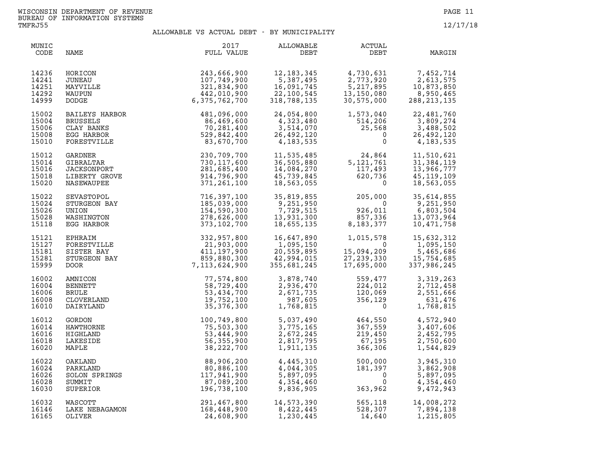| MUNIC<br>CODE                             | NAME                                                                      | 2017<br>FULL VALUE                                                        | ALLOWABLE<br>DEBT                                                                      | ACTUAL<br>DEBT                                                                                 | MARGIN                                                               |
|-------------------------------------------|---------------------------------------------------------------------------|---------------------------------------------------------------------------|----------------------------------------------------------------------------------------|------------------------------------------------------------------------------------------------|----------------------------------------------------------------------|
| 14236<br>14241<br>14251<br>14292<br>14999 | HORICON<br>JUNEAU<br>MAYVILLE<br>WAUPUN<br>DODGE                          | 243,666,900<br>107,749,900<br>321,834,900<br>442,010,900<br>6,375,762,700 | 12, 183, 345<br>$12, 183, 343$<br>5,387,495<br>16,091,745<br>22,100,545<br>318,788,135 | 4,730,631<br>2,773,920<br>5, 217, 895<br>13,150,080<br>30,575,000                              | 7,452,714<br>2,613,575<br>10,873,850<br>8,950,465<br>288, 213, 135   |
| 15002<br>15004<br>15006<br>15008<br>15010 | BAILEYS HARBOR<br>BRUSSELS<br>CLAY BANKS<br>EGG HARBOR<br>FORESTVILLE     | 481,096,000<br>86,469,600<br>70,281,400<br>529,842,400<br>83,670,700      | 24,054,800<br>4,323,480<br>3,514,070<br>26,492,120<br>4,183,535                        | 1,573,040<br>514,206<br>25,568<br>0<br>$\mathbf 0$                                             | 22,481,760<br>3,809,274<br>3,488,502<br>26,492,120<br>4, 183, 535    |
| 15012<br>15014<br>15016<br>15018<br>15020 | GARDNER<br>GIBRALTAR<br><b>JACKSONPORT</b><br>LIBERTY GROVE<br>NASEWAUPEE | 230,709,700<br>730,117,600<br>281,685,400<br>914,796,900<br>371,261,100   | 11,535,485<br>36,505,880<br>14,084,270<br>45,739,845<br>18,563,055                     | $24,864$<br>5, 121, 761<br>117, 493<br>620, 736<br>0                                           | 11,510,621<br>31,384,119<br>13,966,777<br>45, 119, 109<br>18,563,055 |
| 15022<br>15024<br>15026<br>15028<br>15118 | SEVASTOPOL<br>STURGEON BAY<br>UNION<br>WASHINGTON<br>EGG HARBOR           | 716,397,100<br>185,039,000<br>154,590,300<br>278,626,000<br>373,102,700   | 35,819,855<br>9,251,950<br>7,729,515<br>13,931,300<br>18,655,135                       | 205,000<br>0<br>926,011<br>857,336<br>$926,011$<br>$857,336$<br>$8,183,377$                    | 35,614,855<br>9,251,950<br>6,803,504<br>13,073,964<br>10,471,758     |
| 15121<br>15127<br>15181<br>15281<br>15999 | EPHRAIM<br>FORESTVILLE<br>SISTER BAY<br>STURGEON BAY<br><b>DOOR</b>       | $332,957,800\n21,903,000\n411,197,900\n859,880,300\n7,113,624,900$        | 16,647,890<br>1,095,150<br>20,559,895<br>42,994,015<br>355,681,245                     | 1,015,578<br>0<br>15,094,209<br>27,239,330<br>17,695,000                                       | 15,632,312<br>1,095,150<br>5,465,686<br>15,754,685<br>337,986,245    |
| 16002<br>16004<br>16006<br>16008<br>16010 | AMNICON<br>BENNETT<br><b>BRULE</b><br>CLOVERLAND<br>DAIRYLAND             | 77,574,800<br>58,729,400<br>53,434,700<br>19,752,100<br>35,376,300        | 3,878,740<br>2,936,470<br>2,671,735<br>987,605<br>1,768,815                            | 559,477<br>224,012<br>120,069<br>356,129<br>0<br>559,477<br>224,012<br>120,069<br>356,129<br>0 | 3,319,263<br>2,712,458<br>2,551,666<br>631,476<br>1,768,815          |
| 16012<br>16014<br>16016<br>16018<br>16020 | GORDON<br>HAWTHORNE<br>HIGHLAND<br>LAKESIDE<br>MAPLE                      | 100,749,800<br>75,503,300<br>53,444,900<br>56,355,900<br>38,222,700       | 5,037,490<br>3,775,165<br>2,672,245<br>2,817,795<br>1,911,135                          | $\frac{464,550}{367,559}$<br>219,450<br>67,195<br>366,306                                      | 4,572,940<br>3,407,606<br>2,452,795<br>2,750,600<br>1,544,829        |
| 16022<br>16024<br>16026<br>16028<br>16030 | OAKLAND<br>PARKLAND<br>SOLON SPRINGS<br>SUMMIT<br>SUPERIOR                | 88,906,200<br>80,886,100<br>117,941,900<br>87,089,200<br>196,738,100      | 4,445,310<br>4,044,305<br>5,897,095<br>4,354,460<br>9,836,905                          | 500,000<br>181,397<br>$\overline{\mathbf{0}}$<br>$\mathbf{0}$<br>363,962                       | 3,945,310<br>3,862,908<br>5,897,095<br>4,354,460<br>9,472,943        |
| 16032<br>16146<br>16165                   | WASCOTT<br>LAKE NEBAGAMON<br>OLIVER                                       | 291,467,800<br>168,448,900<br>24,608,900                                  | 14,573,390<br>14,573,390<br>8,422,445<br>1,230,445                                     | 565,118<br>528,307<br>14,640                                                                   | 14,008,272<br>7,894,138<br>1,215,805                                 |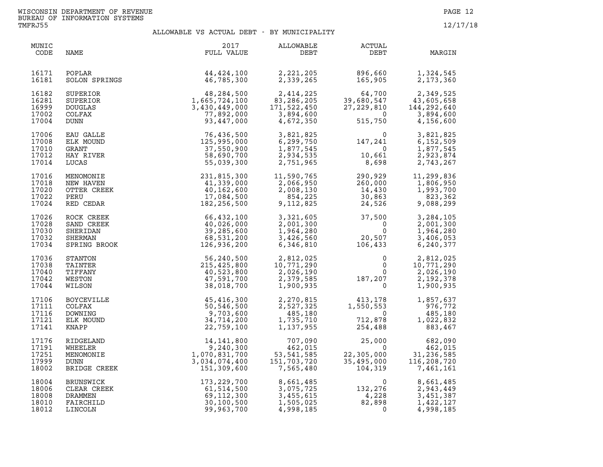| MUNIC<br>CODE                             | NAME                                                         | 2017<br>FULL VALUE                                                                                                      | ALLOWABLE<br>DEBT                                                                        | <b>ACTUAL</b><br>DEBT                                                                         | MARGIN                                                             |
|-------------------------------------------|--------------------------------------------------------------|-------------------------------------------------------------------------------------------------------------------------|------------------------------------------------------------------------------------------|-----------------------------------------------------------------------------------------------|--------------------------------------------------------------------|
| 16171<br>16181                            | POPLAR<br>SOLON SPRINGS                                      | 44, 424, 100<br>46,785,300                                                                                              | 2,221,205<br>2,339,265                                                                   | 896,660<br>165,905                                                                            | 1,324,545<br>2,173,360                                             |
| 16182<br>16281<br>16999<br>17002<br>17004 | SUPERIOR<br>SUPERIOR<br><b>DOUGLAS</b><br>COLFAX<br>DUNN     | $\begin{array}{r} 48,284,500 \\ 1,665,724,100 \\ 3,430,449,000 \\ 77,892,000 \\ 93,447,000 \end{array}$                 | 2,414,225<br>83, 286, 205<br>171,522,450<br>3,894,600<br>4,672,350                       | $64,700$<br>39,680,547<br>27,229,810<br>0<br>515,750                                          | 2,349,525<br>43,605,658<br>144, 292, 640<br>3,894,600<br>4,156,600 |
| 17006<br>17008<br>17010<br>17012<br>17014 | EAU GALLE<br>ELK MOUND<br>GRANT<br>HAY RIVER<br>LUCAS        | 76,436,500<br>125,995,000<br>37,550,900<br>58,690,700<br>55,039,300                                                     |                                                                                          | 3,821,825<br>6,299,750<br>147,241<br>1,877,545<br>2,934,535<br>2,751,965<br>8,698             | 3,821,825<br>6,152,509<br>1,877,545<br>2,923,874<br>2,743,267      |
| 17016<br>17018<br>17020<br>17022<br>17024 | MENOMONIE<br>NEW HAVEN<br>OTTER CREEK<br>PERU<br>RED CEDAR   | 231,815,300<br>41,339,000<br>40,162,600<br>17,084,500<br>182,256,500                                                    | 11,590,765<br>11,590,765<br>2,066,950<br>2,008,130<br>854,225<br>9,112,825               | 290,929<br>260,000<br>14,430<br>30,863<br>24,526<br>30,863<br>24,526                          | 11,299,836<br>1,806,950<br>1,993,700<br>823,362<br>9,088,299       |
| 17026<br>17028<br>17030<br>17032<br>17034 |                                                              | ROCK CREEK 66,432,100<br>SAND CREEK 40,026,000<br>SHERIDAN 39,285,600<br>SHERMAN 68,531,200<br>SPRING BROOK 126,936,200 | 3,321,605<br>2,001,300<br>1,964,280<br>3,426,560<br>6,346,810                            | $37,500$<br>0<br>20,507<br>106,433<br>20,507<br>106,433                                       | 3,284,105<br>2,001,300<br>1,964,280<br>3,406,053<br>6,240,377      |
| 17036<br>17038<br>17040<br>17042<br>17044 | STANTON<br>TAINTER<br>TIFFANY<br>WESTON<br>WILSON            | 56,240,500<br>215,425,800<br>40,523,800<br>47,591,700<br>38,018,700                                                     | 2,812,025<br>10,771,290<br>2,026,190<br>2,379,585<br>1,900,935<br>2,379,585<br>1,900,935 | $\begin{smallmatrix} & & 0\ & & & 0\ & & & 0\ & & & 0\ & 187,207\ & & & & 0\end{smallmatrix}$ | 2,812,025<br>10,771,290<br>2,026,190<br>2,192,378<br>1,900,935     |
| 17106<br>17111<br>17116<br>17121<br>17141 | <b>BOYCEVILLE</b><br>COLFAX<br>DOWNING<br>ELK MOUND<br>KNAPP | 45,416,300<br>50,546,500<br>9,703,600<br>34,714,200<br>22,759,100                                                       | 2,270,815<br>2,527,325<br>485,180<br>1,735,710<br>1,137,955                              | 413,178<br>1,550,553<br>$\overline{0}$<br>ں<br>712,878<br>254,488                             | 1,857,637<br>976,772<br>485,180<br>1,022,832<br>883,467            |
| 17176<br>17191<br>17251<br>17999<br>18002 | RIDGELAND<br>WHEELER<br>MENOMONIE<br>DUNN<br>BRIDGE CREEK    | 14, 141, 800<br>9,240,300<br>1,070,831,700<br>3,034,074,400<br>151,309,600                                              | 707,090<br>462,015<br>53, 541, 585<br>151,703,720<br>7,565,480                           | 25,000<br>22,305,000<br>35,495,000<br>104,319                                                 | 682,090<br>462,015<br>31,236,585<br>116,208,720<br>7,461,161       |
| 18004<br>18006<br>18008<br>18010<br>18012 | BRUNSWICK<br>CLEAR CREEK<br>DRAMMEN<br>FAIRCHILD<br>LINCOLN  | 173,229,700<br>61,514,500<br>69,112,300<br>30,100,500<br>99,963,700                                                     | 8,661,485<br>3,075,725<br>3,455,615<br>1,505,025<br>4,998,185                            | $\begin{smallmatrix}&&&0\132,276\4,228\82,898\0\end{smallmatrix}$                             | 8,661,485<br>2,943,449<br>3,451,387<br>1,422,127<br>4,998,185      |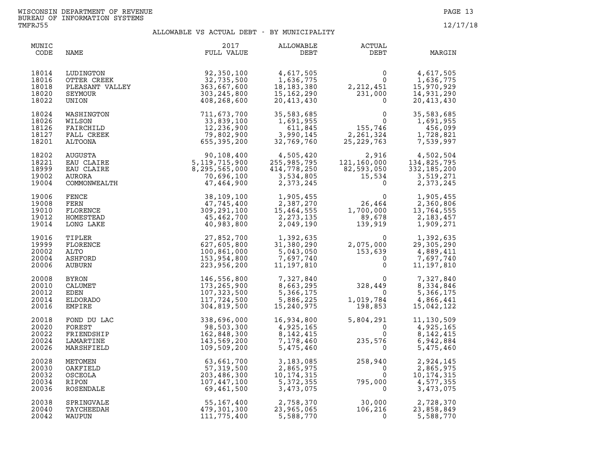| MUNIC<br>CODE                             | NAME                                                            | 2017<br>FULL VALUE                                                                   | ALLOWABLE<br>DEBT                                                                      | ACTUAL<br>DEBT                                                                                | MARGIN                                                                                                             |
|-------------------------------------------|-----------------------------------------------------------------|--------------------------------------------------------------------------------------|----------------------------------------------------------------------------------------|-----------------------------------------------------------------------------------------------|--------------------------------------------------------------------------------------------------------------------|
| 18014<br>18016<br>18018<br>18020<br>18022 | LUDINGTON<br>OTTER CREEK<br>PLEASANT VALLEY<br>SEYMOUR<br>UNION | 92,350,100<br>32,735,500<br>363,667,600<br>303, 245, 800<br>408,268,600              | 4,617,505<br>1,636,775<br>18, 183, 380<br>15,162,290<br>20,413,430                     | $\mathsf{O}$<br>$\Omega$<br>2, 212, 451<br>231,000                                            | 4,617,505<br>1,636,775<br>15,970,929<br>14,931,290<br>20,413,430                                                   |
| 18024<br>18026<br>18126<br>18127<br>18201 | WASHINGTON<br>WILSON<br>FAIRCHILD<br>FALL CREEK<br>ALTOONA      | 711,673,700<br>33,839,100<br>12,236,900<br>79,802,900<br>655,395,200                 | 35,583,685<br>1,691,955<br>611,845<br>3,990,145<br>32,769,760                          | 0<br>0<br>155,746<br>324<br>2, 261, 324<br>25,229,763                                         | 35,583,685<br>1,691,955<br>456,099<br>1,728,821<br>7,539,997                                                       |
| 18202<br>18221<br>18999<br>19002<br>19004 | AUGUSTA<br>EAU CLAIRE<br>EAU CLAIRE<br>AURORA<br>COMMONWEALTH   | 90, 108, 400<br>5, 119, 715, 900<br>8, 295, 565, 000<br>70, 696, 100<br>47, 464, 900 | 4,505,420<br>255,985,795<br>414,778,250<br>3,534,805<br>2,373,245                      | $\mathbf 0$                                                                                   | 2,916 4,502,504<br>121,160,000 134,825,795<br>82,593,050 332,185,200<br>15,534 3,519,271<br>3 373,245<br>2,373,245 |
| 19006<br>19008<br>19010<br>19012<br>19014 | FENCE<br>FERN<br>FLORENCE<br>HOMESTEAD<br>LONG LAKE             | 38,109,100<br>47,745,400<br>309,291,100<br>45,462,700<br>40,983,800                  | 1,905,455<br>2,387,270<br>15,464,555<br>2, 273, 135<br>2,049,190                       | $26,464$<br>1,700,000<br>89.678<br>139,919                                                    | 1,905,455<br>2,360,806<br>13,764,555<br>2,183,457<br>1,909,271                                                     |
| 19016<br>19999<br>20002<br>20004<br>20006 | TIPLER<br>FLORENCE<br>ALTO<br>ASHFORD<br>AUBURN                 | 27,852,700<br>627,605,800<br>100,861,000<br>153,954,800<br>223,956,200               | 1,392,635<br>31,380 <i>,</i> 290<br>31,380,290<br>5,043,050<br>7,697,740<br>11,197,810 | $\Omega$<br>2,075,000<br>$\begin{smallmatrix} 153,639 \\ 153,639 \\ 0 \\ 0 \end{smallmatrix}$ | 1,392,635<br>29, 305, 290<br>4,889,411<br>7,697,740<br>11, 197, 810                                                |
| 20008<br>20010<br>20012<br>20014<br>20016 | BYRON<br>CALUMET<br>EDEN<br>ELDORADO<br>EMPIRE                  | 146,556,800<br>173,265,900<br>107,323,500<br>117,724,500<br>304,819,500              | 7,327,840<br>8,663,295<br>5,366,175<br>5,886,225<br>15,240,975                         | $\overline{0}$<br>328,449<br>$\overline{0}$<br>1,019,784<br>198,853                           | 7,327,840<br>8,334,846<br>5,366,175<br>4,866,441<br>15,042,122                                                     |
| 20018<br>20020<br>20022<br>20024<br>20026 | FOND DU LAC<br>FOREST<br>FRIENDSHIP<br>LAMARTINE<br>MARSHFIELD  | 338,696,000<br>98,503,300<br>162,848,300<br>143,569,200<br>109,509,200               | 16,934,800<br>4,925,165<br>8, 142, 415<br>7,178,460<br>5,475,460                       | 5,804,291<br>$\Omega$<br>$\Omega$<br>235,576<br>$\mathbf{0}$                                  | 11,130,509<br>4,925,165<br>8, 142, 415<br>6,942,884<br>5,475,460                                                   |
| 20028<br>20030<br>20032<br>20034<br>20036 | METOMEN<br>OAKFIELD<br>OSCEOLA<br>RIPON<br>ROSENDALE            | 63,661,700<br>57, 319, 500<br>203,486,300<br>107,447,100<br>69,461,500               | 3,183,085<br>2,865,975<br>10,174,315<br>5,372,355<br>3,473,075                         | $258$<br>795<br>258,940<br>$\Omega$<br>$\overline{0}$<br>795,000<br>$\Omega$                  | 2,924,145<br>2,865,975<br>10, 174, 315<br>4,577,355<br>3,473,075                                                   |
| 20038<br>20040<br>20042                   | SPRINGVALE<br>TAYCHEEDAH<br>WAUPUN                              | 55,167,400<br>479,301,300<br>111,775,400                                             | 2,758,370<br>23,965,065<br>5,588,770                                                   | $30,000$<br>$106,216$<br>$\Omega$                                                             | 2,728,370<br>23,858,849<br>5,588,770                                                                               |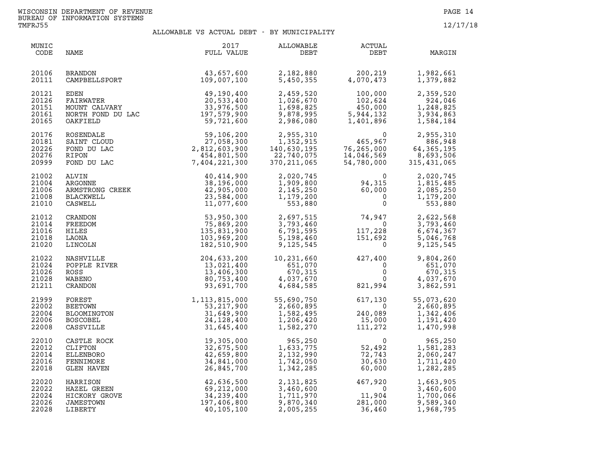| MUNIC<br>CODE                             | NAME                                                                                                                         | 2017<br>FULL VALUE                                                        | ALLOWABLE<br>DEBT                                                    | ACTUAL<br>DEBT                                                               | MARGIN                                                                           |
|-------------------------------------------|------------------------------------------------------------------------------------------------------------------------------|---------------------------------------------------------------------------|----------------------------------------------------------------------|------------------------------------------------------------------------------|----------------------------------------------------------------------------------|
| 20106<br>20111                            | BRANDON<br>CAMPBELLSPORT                                                                                                     | $43,657,600$<br>$109,007,100$<br>109,007,100                              | 2,182,880<br>5,450,355                                               | 200,219<br>4,070,473                                                         | 1,982,661<br>1,379,882                                                           |
| 20121<br>20126<br>20151<br>20161<br>20165 | EDEN 49,190,400<br>FAIRWATER 20,533,400<br>MOUNT CALVARY 33,976,500<br>NORTH FOND DU LAC 197,579,900<br>OAKFIELD<br>OAKFIELD | 59,721,600                                                                | 2,459,520<br>1,026,670<br>1,698,825<br>9,878,995<br>2,986,080        | 100,000<br>102,624<br>450,000<br>5,944,132<br>1,401,896                      | 2,359,520<br>924,046<br>1,248,825<br>3,934,863<br>1,584,184                      |
| 20176<br>20181<br>20226<br>20276<br>20999 | ROSENDALE<br>SAINT CLOUD<br>FOND DU LAC<br>RIPON<br>FOND DU LAC                                                              | 59,106,200<br>27,058,300<br>2,812,603,900<br>454,801,500<br>7,404,221,300 | 2,955,310<br>1,352,915<br>140,630,195<br>22,740,075<br>370, 211, 065 | $\mathbf{0}$<br>465,967<br>465,967<br>76,265,000<br>14,046,569<br>54,780,000 | 2,955,310<br>886,948<br>64,365,195<br>8,693,506<br>315, 431, 065                 |
| 21002<br>21004<br>21006<br>21008<br>21010 | ARMSTRONG CREEK<br>BLACKWELL<br>CASWELL<br>CASWELL<br>"REEDON<br>"REEDON"                                                    | 40,414,900<br>38,196,000<br>42,905,000<br>23,584,000<br>11,077,600        | 2,020,745<br>1,909,800<br>2,145,250<br>1,179,200<br>553,880          | $94,315$<br>$60,000$<br>$0$<br>$\mathbf 0$                                   | 2,020,745<br>1,815,485<br>2,085,250<br>1,179,200<br>553,880                      |
| 21012<br>21014<br>21016<br>21018<br>21020 | FREEDOM<br>HILES<br>LAONA<br>LINCOLN                                                                                         | 53,950,300<br>75,869,200<br>135,831,900<br>103,969,200<br>182,510,900     | 2,697,515<br>3,793,460<br>6,791,595<br>5,198,460<br>9,125,545        | 74,947<br>0<br>117,228<br>151,692<br>0                                       | 2,622,568<br>3,793,460<br>6,674,367<br>228<br>592<br>0<br>5,046,768<br>9,125,545 |
| 21022<br>21024<br>21026<br>21028<br>21211 | NASHVILLE<br>POPPLE RIVER<br>ROSS<br>WABENO<br>CRANDON<br>FOREST                                                             | 204,633,200<br>13,021,400<br>13,406,300<br>80,753,400<br>93,691,700       | 10,231,660<br>651,070<br>670,315<br>4,037,670<br>4,684,585           | $427, 400$<br>0<br>0<br>0<br>$\overline{0}$<br>$\overline{0}$<br>821,994     | 9,804,260<br>651,070<br>670,315<br>4,037,670<br>3,862,591                        |
| 21999<br>22002<br>22004<br>22006<br>22008 | FOREST<br><b>BEETOWN</b><br>BLOOMINGTON<br><b>BOSCOBEL</b><br>CASSVILLE                                                      | 1,113,815,000<br>53, 217, 900<br>31,649,900<br>24, 128, 400<br>31,645,400 | 55,690,750<br>2,660,895<br>1,582,495<br>1,206,420<br>1,582,270       | 617,130<br>$\overline{0}$<br>240,089<br>15,000<br>111,272                    | 55,073,620<br>2,660,895<br>1,342,406<br>1,191,420<br>1,470,998                   |
| 22010<br>22012<br>22014<br>22016<br>22018 | CASTLE ROCK<br>CLIFTON<br>ELLENBORO<br>FENNIMORE<br><b>GLEN HAVEN</b>                                                        | 19,305,000<br>32,675,500<br>42,659,800<br>34,841,000<br>26,845,700        | 965,250<br>1,633,775<br>2,132,990<br>1,742,050<br>1,342,285          | $\overline{0}$<br>52,492<br>72,743<br>$\frac{1}{60}$ , 030                   | 965,250<br>1,581,283<br>2,060,247<br>1,711,420<br>1,282,285                      |
| 22020<br>22022<br>22024<br>22026<br>22028 | HARRISON<br>HAZEL GREEN<br>HICKORY GROVE<br>JAMESTOWN<br>LIBERTY                                                             | 42,636,500<br>69,212,000<br>34,239,400<br>197,406,800<br>40,105,100       | 2,131,825<br>3,460,600<br>1,711,970<br>9,870,340<br>2,005,255        | $467,920$<br>0<br>11,904<br>281,000<br>36,460                                | 1,663,905<br>3,460,600<br>1,700,066<br>9,589,340<br>1,968,795                    |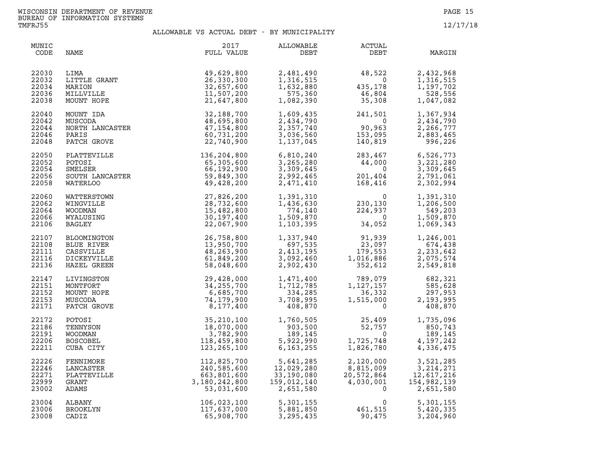| MUNIC<br>CODE                             | NAME                                                                 | 2017<br>FULL VALUE                                                                                                                                    | ALLOWABLE<br>DEBT                                                                                                                                                                                 | ACTUAL<br>DEBT                                                                                                                                                                                         | MARGIN                                                       |
|-------------------------------------------|----------------------------------------------------------------------|-------------------------------------------------------------------------------------------------------------------------------------------------------|---------------------------------------------------------------------------------------------------------------------------------------------------------------------------------------------------|--------------------------------------------------------------------------------------------------------------------------------------------------------------------------------------------------------|--------------------------------------------------------------|
| 22030<br>22032<br>22034<br>22036<br>22038 | LITTLE GRANT<br>MARION<br>MILLVILLE<br>MUNT HOPE<br>MOUNT HOPE       | 49,629,800<br>26,330,300<br>32,657,600<br>11,507,200<br>21,647,800                                                                                    |                                                                                                                                                                                                   | 2,481,490<br>1,316,515<br>1,632,880<br>575,360<br>1,082,390<br>35,308<br>1,082,390<br>20<br>20<br>20<br>35,308                                                                                         | 2,432,968<br>1,316,515<br>1,197,702<br>528,556<br>1,047,082  |
| 22040<br>22042<br>22044<br>22046<br>22048 | MOUNT IDA<br>MUSCODA<br>NORTH LANCASTER<br>PARIS<br>PATCH GROVE      | 32,188,700<br>48,695,800<br>47, 154, 800<br>60,731,200<br>22,740,900                                                                                  | 1,137,045                                                                                                                                                                                         | $1,609,435$<br>$2,434,790$<br>$2,357,740$<br>$1,37,645$<br>$2,357,740$<br>$153,095$<br>$1,137,045$<br>$140,819$<br>241,501<br>$753,095$<br>153,095<br>140,819<br>283,467                               | 1,367,934<br>2,434,790<br>2,266,777<br>2,883,465<br>996, 226 |
| 22050<br>22052<br>22054<br>22056<br>22058 |                                                                      | PLATTEVILLE 136, 204, 800<br>POTOSI 65, 305, 600<br>SMELSER 66, 192, 900<br>SOUTH LANCASTER 59, 849, 300<br>WATERLOO 49, 428, 200                     |                                                                                                                                                                                                   | $\begin{array}{cccc} 6,810,240 & 283,467 & 6,526,773 \\ 3,265,280 & 44,000 & 3,221,280 \\ 3,309,645 & 0 & 3,309,645 \\ 2,992,465 & 201,404 & 2,791,061 \\ 2,471,410 & 168,416 & 2,302,994 \end{array}$ |                                                              |
| 22060<br>22062<br>22064<br>22066<br>22106 | WATTERSTOWN<br>WINGVILLE<br><b>WOODMAN</b><br>WYALUSING<br>BAGLEY    | 27,826,200<br>28,732,600<br>15,482,800<br>30,197,400<br>22,067,900                                                                                    |                                                                                                                                                                                                   | $\begin{array}{llll} 1,391,310 & 0 \\ 1,436,630 & 230,130 \\ 774,140 & 224,937 \\ 1,509,870 & 0 \\ 1,103,395 & 34,052 \end{array}$                                                                     | 1,391,310<br>1,206,500<br>549,203<br>1,509,870<br>1,069,343  |
| 22107<br>22108<br>22111<br>22116<br>22136 | BLOOMINGTON<br>BLUE RIVER<br>CASSVILLE<br>DICKEYVILLE<br>HAZEL GREEN | 26,758,800<br>13,950,700<br>48,263,900<br>61,849,200<br>58,048,600                                                                                    |                                                                                                                                                                                                   | $\begin{array}{cccc} 1,337,940 & & 91,939 \ 697,535 & & 23,097 \ 2,413,195 & & 179,553 \ 3,092,460 & & 1,016,886 \ 2,902,430 & & 352,612 \end{array}$                                                  | 1,246,001<br>674,438<br>2,233,642<br>2,075,574<br>2,549,818  |
| 22147<br>22151<br>22152<br>22153<br>22171 | LIVINGSTON<br>MONTFORT<br>MOUNT HOPE<br>MUSCODA<br>PATCH GROVE       | 29,428,000<br>34, 255, 700<br>6,685,700<br>74,179,900<br>8,177,400                                                                                    |                                                                                                                                                                                                   | $\begin{array}{cccc} 1,471,400 & 789,079 & 682,321 \\ 1,712,785 & 1,127,157 & 585,628 \\ 334,285 & 36,332 & 297,953 \\ 3,708,995 & 1,515,000 & 2,193,995 \\ 408,870 & 0 & 408,870 \end{array}$         |                                                              |
| 22172<br>22186<br>22191<br>22206<br>22211 | POTOSI<br>TENNYSON<br>WOODMAN<br><b>BOSCOBEL</b><br>CUBA CITY        | 35,210,100<br>18,070,000<br>3,782,900<br>118,459,800<br>123,265,100                                                                                   | $\begin{array}{cccc} 1,760,505 & 25,409 & 1,735,096 \\ 903,500 & 52,757 & 850,743 \\ 189,145 & 0 & 189,145 \\ 5,922,990 & 1,725,748 & 4,197,242 \\ 6,163,255 & 1,826,780 & 4,336,475 \end{array}$ |                                                                                                                                                                                                        |                                                              |
| 22226<br>22246<br>22271<br>22999<br>23002 | FENNIMORE<br>LANCASTER<br>PLATTEVILLE<br>GRANT<br>ADAMS              | $112, 825, 700$<br>$240, 585, 600$<br>$663, 801, 600$<br>$3, 180, 242, 800$<br>$53, 031, 600$<br>$106, 023, 100$<br>$117, 637, 000$<br>$65, 908, 700$ | 5,641,285<br>12,029,280<br>33,190,080<br>$\begin{array}{c}\n\vdots \\ 1\n\end{array}$<br>159,012,140<br>2,651,580                                                                                 | 2,120,000 3,521,285<br>8,815,009 3,214,271<br>20,572,864 12,617,216<br>4,030,001 154,982,139<br>0 2,651,580                                                                                            |                                                              |
| 23004<br>23006<br>23008                   | ALBANY<br>BROOKLYN<br>CADIZ                                          |                                                                                                                                                       | 5,301,155<br>5,881,850<br>3,295,435                                                                                                                                                               | $461,515$<br>90.475                                                                                                                                                                                    | 5,301,155<br>5,420,335<br>3,204,960                          |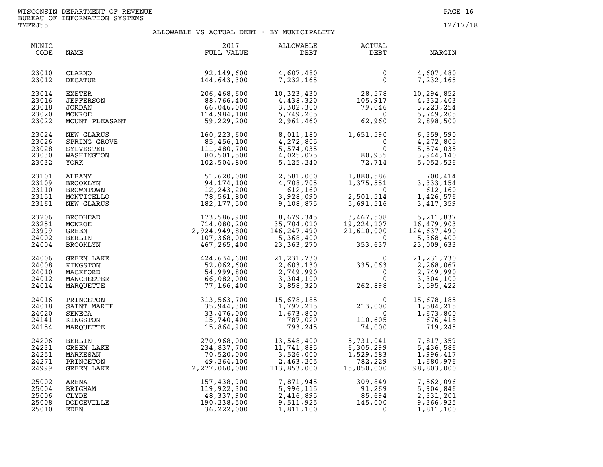| MUNIC<br>CODE                             | NAME                                                               | 2017<br>FULL VALUE                                                        | ALLOWABLE<br>DEBT                                                   | <b>ACTUAL</b><br>DEBT                                                                         | MARGIN                                                              |
|-------------------------------------------|--------------------------------------------------------------------|---------------------------------------------------------------------------|---------------------------------------------------------------------|-----------------------------------------------------------------------------------------------|---------------------------------------------------------------------|
| 23010<br>23012                            | CLARNO<br>DECATUR                                                  | 92,149,600<br>144,643,300                                                 | 4,607,480<br>7,232,165                                              | 0<br>$\mathsf{O}$                                                                             | 4,607,480<br>7,232,165                                              |
| 23014<br>23016<br>23018<br>23020<br>23022 | EXETER<br><b>JEFFERSON</b><br>JORDAN<br>MONROE<br>MOUNT PLEASANT   | 206,468,600<br>88,766,400<br>66,046,000<br>114,984,100<br>59,229,200      | 10,323,430<br>4,438,320<br>3,302,300<br>5,749,205<br>2,961,460      | 28,578<br>$\begin{array}{c} 28,578\ 105,917\ 79,046\ 62,960 \end{array}$<br>105,917<br>62,960 | 10,294,852<br>4,332,403<br>3, 223, 254<br>5,749,205<br>2,898,500    |
| 23024<br>23026<br>23028<br>23030<br>23032 | NEW GLARUS<br>SPRING GROVE<br>SYLVESTER<br>WASHINGTON<br>YORK      | 160,223,600<br>85,456,100<br>111,480,700<br>80,501,500<br>102,504,800     | 8,011,180<br>4,272,805<br>5,574,035<br>4,025,075<br>5,125,240       | 1,651,590<br>$\Omega$<br>$\Omega$<br>80,935<br>72,714                                         | 6,359,590<br>4,272,805<br>5,574,035<br>3,944,140<br>5,052,526       |
| 23101<br>23109<br>23110<br>23151<br>23161 | ALBANY<br>BROOKLYN<br>BROWNTOWN<br>MONTICELLO<br>NEW GLARUS        | 51,620,000<br>94, 174, 100<br>12,243,200<br>78,561,800<br>182, 177, 500   | 2,581,000<br>4,708,705<br>612,160<br>3,928,090<br>9,108,875         | 1,880,586<br>1,375,551<br>$\mathbf 0$<br>$5,691,514$<br>5,691,516                             | 700,414<br>3, 333, 154<br>612,160<br>1,426,576<br>3,417,359         |
| 23206<br>23251<br>23999<br>24002<br>24004 | <b>BRODHEAD</b><br>MONROE<br>GREEN<br><b>BERLIN</b><br>BROOKLYN    | 173,586,900<br>714,080,200<br>2,924,949,800<br>107,368,000<br>467,265,400 | 8,679,345<br>35,704,010<br>146, 247, 490<br>5,368,400<br>23,363,270 | 3,467,508<br>19,224,107<br>21,610,000<br>$\overline{0}$<br>353,637                            | 5, 211, 837<br>16,479,903<br>124,637,490<br>5,368,400<br>23,009,633 |
| 24006<br>24008<br>24010<br>24012<br>24014 | GREEN LAKE<br>KINGSTON<br>MACKFORD<br>MANCHESTER<br>MARQUETTE      | 424,634,600<br>52,062,600<br>54,999,800<br>66,082,000<br>77,166,400       | 21, 231, 730<br>2,603,130<br>2,749,990<br>3,304,100<br>3,858,320    | $\begin{smallmatrix}&&&0\0&335\, ,063\0&0\end{smallmatrix}$<br>262,898                        | 21, 231, 730<br>2,268,067<br>2,749,990<br>3,304,100<br>3,595,422    |
| 24016<br>24018<br>24020<br>24141<br>24154 | PRINCETON<br>SAINT MARIE<br>SENECA<br>KINGSTON<br>MARQUETTE        | 313,563,700<br>35,944,300<br>33,476,000<br>15,740,400<br>15,864,900       | 15,678,185<br>1,797,215<br>1,673,800<br>787,020<br>793,245          | $\Omega$<br>213,000<br>$\overline{0}$<br>110,605<br>74,000                                    | 15,678,185<br>1,584,215<br>1,673,800<br>676,415<br>719,245          |
| 24206<br>24231<br>24251<br>24271<br>24999 | <b>BERLIN</b><br>GREEN LAKE<br>MARKESAN<br>PRINCETON<br>GREEN LAKE | 270,968,000<br>234,837,700<br>70,520,000<br>49,264,100<br>2,277,060,000   | 13,548,400<br>11,741,885<br>3,526,000<br>2,463,205<br>113,853,000   | 5,731,041<br>6,305,299<br>1,529,583<br>782,229<br>15,050,000                                  | 7,817,359<br>5,436,586<br>1,996,417<br>1,680,976<br>98,803,000      |
| 25002<br>25004<br>25006<br>25008<br>25010 | ARENA<br>BRIGHAM<br>CLYDE<br>DODGEVILLE<br>EDEN                    | 157,438,900<br>119,922,300<br>48,337,900<br>190,238,500<br>36,222,000     | 7,871,945<br>5,996,115<br>2,416,895<br>9,511,925<br>1,811,100       | 309,849<br>91,269<br>85,694<br>145,000<br>$\overline{\mathbf{0}}$                             | 7,562,096<br>5,904,846<br>2,331,201<br>9,366,925<br>1,811,100       |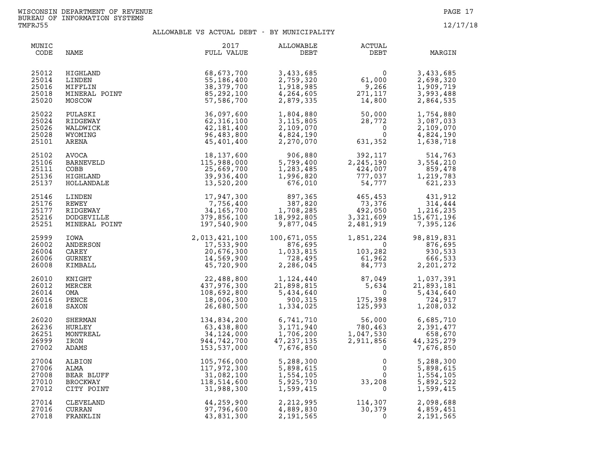| MUNIC<br>CODE                             | NAME                                                          | 2017<br>FULL VALUE                                                                                                                           | <b>ALLOWABLE</b><br>DEBT                                              | <b>ACTUAL</b><br>DEBT                                                                                                                               | MARGIN                                                                                                                                                                          |
|-------------------------------------------|---------------------------------------------------------------|----------------------------------------------------------------------------------------------------------------------------------------------|-----------------------------------------------------------------------|-----------------------------------------------------------------------------------------------------------------------------------------------------|---------------------------------------------------------------------------------------------------------------------------------------------------------------------------------|
| 25012<br>25014<br>25016<br>25018<br>25020 | HIGHLAND<br>LINDEN<br>MIFFLIN<br>MINERAL POINT<br>MOSCOW      | 68,673,700<br>55,186,400<br>38,379,700<br>85,292,100<br>57,586,700                                                                           | 3,433,685<br>2,759,320<br>1,918,985<br>4,264,605<br>2,879,335         | $61,000$<br>9.266<br>$271,117$<br>14,800                                                                                                            | 3,433,685<br>2,698,320<br>1,909,719<br>3,993,488<br>2,864,535                                                                                                                   |
| 25022<br>25024<br>25026<br>25028<br>25101 | PULASKI<br>RIDGEWAY<br>WALDWICK<br>WYOMING<br>ARENA           | 36,097,600<br>62, 316, 100<br>42,181,400<br>96,483,800<br>45,401,400                                                                         | 1,804,880<br>3,115,805<br>2,109,070<br>4,824,190<br>2,270,070         | $50,000$<br>$28,772$<br>$0$<br>$631,352$                                                                                                            | 1,754,880<br>3,087,033<br>2,109,070<br>4,824,190<br>1,638,718                                                                                                                   |
| 25102<br>25106<br>25111<br>25136<br>25137 | AVOCA<br>BARNEVELD<br>COBB<br>HIGHLAND<br>HOLLANDALE          | 18,137,600<br>115,988,000<br>25,669,700<br>39,936,400<br>13,520,200                                                                          | 906,880<br>5,799,400<br>1,283,485<br>1,996,820<br>676,010             | 392,117<br>2,245,190<br>424,007<br>777,037<br>54,777                                                                                                | 514,763<br>3,554,210<br>859,478<br>1,219,783<br>621, 233                                                                                                                        |
| 25146<br>25176<br>25177<br>25216<br>25251 | LINDEN<br>REWEY<br>RIDGEWAY<br>DODGEVILLE<br>MINERAL POINT    | 17,947,300<br>7,756,400<br>34, 165, 700<br>379,856,100<br>197,540,900                                                                        | 897,365<br>387,820<br>387,820<br>1,708,285<br>18,992,805<br>9,877,045 | $465, 453$<br>73,376<br>492,050<br>3,321,609<br>2,481,919                                                                                           | 431,912<br>314,444<br>$\begin{array}{cccc} & . & . & . & . & . & . & . & . \\ & 492,050 & & & 1,216,235 \\ 3,321,609 & & & 15,671,196 \\ 2,481,919 & & & 7,395,126 \end{array}$ |
| 25999<br>26002<br>26004<br>26006<br>26008 | IOWA<br>ANDERSON<br>CAREY<br>GURNEY<br>KIMBALL                |                                                                                                                                              | 100,671,055<br>876,695<br>1,033,815<br>728,495<br>2,286,045           | $1,851,224$<br>$0$<br>$103,282$<br>$61,962$<br>$84,773$                                                                                             | 98,819,831<br>876,695<br>930,533<br>666,533<br>2,201,272                                                                                                                        |
| 26010<br>26012<br>26014<br>26016<br>26018 | KNIGHT<br>MERCER<br>OMA<br>PENCE<br>SAXON                     | 2,013,421,100<br>17,533,900<br>20,676,300<br>14,569,900<br>45,720,900<br>437,976,300<br>18,692,800<br>18,692,800<br>18,006,300<br>26,680,500 | 1,124,440<br>21,898,815<br>5,434,640<br>900,315<br>1,334,025          | $\begin{array}{cccc} 1,124,440 & & 87,049 \\ 21,898,815 & & 5,634 \\ 5,434,640 & & & 0 \\ 900,315 & & 175,398 \\ \end{array}$<br>175,398<br>125,993 | 1,037,391<br>21,893,181<br>5,434,640<br>724,917<br>1,208,032                                                                                                                    |
| 26020<br>26236<br>26251<br>26999<br>27002 | SHERMAN<br>HURLEY<br>MONTREAL<br>IRON<br>ADAMS                | 134,834,200<br>63,438,800<br>34,124,000<br>944,742,700<br>153,537,000                                                                        | 6,741,710<br>3,171,940<br>1,706,200<br>47,237,135<br>7,676,850        | $56,000$<br>780.463<br>56,000<br>780,463<br>1,047,530<br>2,911,856<br>0<br>$780,463$<br>1,047,530<br>2,911,856<br>0                                 | 6,685,710<br>2,391,477<br>658,670<br>44, 325, 279<br>7,676,850                                                                                                                  |
| 27004<br>27006<br>27008<br>27010<br>27012 | ALBION<br>ALMA<br>BEAR BLUFF<br><b>BROCKWAY</b><br>CITY POINT | 105,766,000<br>117,972,300<br>31,082,100<br>118,514,600<br>31,988,300                                                                        | 5,288,300<br>5,898,615<br>1,554,105<br>5,925,730<br>1,599,415         | $\begin{smallmatrix}&&&0\0&&&&0\0&33\, ,208\0&&&&0\end{smallmatrix}$<br>0<br>$\overline{0}$                                                         | 5,288,300<br>5,898,615<br>1,554,105<br>5,892,522<br>1,599,415                                                                                                                   |
| 27014<br>27016<br>27018                   | CLEVELAND<br>CURRAN<br>FRANKLIN                               | 44,259,900<br>97,796,600<br>43,831,300                                                                                                       | 2,212,995<br>4,889,830<br>2,191,565                                   | 114, 307<br>30, 379                                                                                                                                 | 2,098,688<br>4,859,451<br>2,191,565                                                                                                                                             |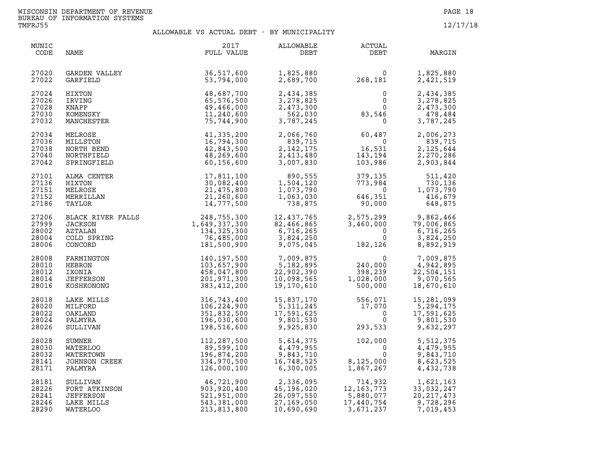| MUNIC<br>CODE                             | NAME                                                                                | 2017<br>FULL VALUE                                                         | ALLOWABLE<br>DEBT                                                 | ACTUAL<br>DEBT                                                                             | MARGIN                                                            |
|-------------------------------------------|-------------------------------------------------------------------------------------|----------------------------------------------------------------------------|-------------------------------------------------------------------|--------------------------------------------------------------------------------------------|-------------------------------------------------------------------|
| 27020<br>27022                            | GARDEN VALLEY<br>GARFIELD                                                           | 36,517,600<br>53,794,000                                                   | 1,825,880<br>2,689,700                                            | $0$<br>268,181                                                                             | 1,825,880<br>2,421,519                                            |
| 27024<br>27026<br>27028<br>27030<br>27032 | HIXTON<br>IRVING<br>KNAPP<br>KOMENSKY<br>MANCHESTER                                 | 48,687,700<br>65,576,500<br>49,466,000<br>11,240,600<br>75,744,900         | 2,434,385<br>3,278,825<br>2,473,300<br>562,030<br>3,787,245       | $\Omega$<br>$\mathbf 0$<br>$83,546$<br>0                                                   | 2,434,385<br>3,278,825<br>2,473,300<br>478,484<br>3,787,245       |
| 27034<br>27036<br>27038<br>27040<br>27042 | MELROSE<br>MILLSTON<br>NORTH BEND<br>NORTHFIELD<br>SPRINGFIELD                      | 41,335,200<br>16,794,300<br>42,843,500<br>48,269,600<br>60,156,600         | 2,066,760<br>839,715<br>2, 142, 175<br>2,413,480<br>3,007,830     | $60,487$<br>0<br>16,531<br>143,194<br>103,986                                              | 2,006,273<br>839,715<br>2, 125, 644<br>2,270,286<br>2,903,844     |
| 27101<br>27136<br>27151<br>27152<br>27186 | ALMA CENTER<br>HIXTON<br>MELROSE<br>MERRILLAN<br>TAYLOR                             | 17,811,100<br>30,082,400<br>21,475,800<br>21,260,600<br>14,777,500         | 890,555<br>1,504,120<br>1,073,790<br>1,063,030<br>738,875         | 379,135<br>773,984<br>$\overline{0}$<br>$51$<br>90,000<br>646,351                          | 511,420<br>730,136<br>1,073,790<br>416,679<br>648,875             |
| 27206<br>27999<br>28002<br>28004<br>28006 | BLACK RIVER FALLS<br>ILOKSON<br><b>JACKSON</b><br>AZTALAN<br>COLD SPRING<br>CONCORD | 248,755,300<br>1,649,337,300<br>134, 325, 300<br>76,485,000<br>181,500,900 | 12,437,765<br>82,466,865<br>6,716,265<br>3,824,250<br>9,075,045   | 2,575,299<br>3,460,000           7<br>$\mathbf 0$<br>$\mathbf{0}$                          | 9,862,466<br>79,006,865<br>6,716,265<br>3,824,250<br>8,892,919    |
| 28008<br>28010<br>28012<br>28014<br>28016 | FARMINGTON<br>HEBRON<br>IXONIA<br>JEFFERSON<br>KOSHKONONG                           | 140,197,500<br>103,657,900<br>458,047,800<br>201,971,300<br>383,412,200    | 7,009,875<br>5,182,895<br>22,902,390<br>10,098,565<br>19,170,610  | $182,12$<br>$15$<br>$240,000$<br>$398,230$<br>$1,029$<br>$398,239$<br>1,028,000<br>500,000 | 7,009,875<br>4,942,895<br>22,504,151<br>9,070,565<br>18,670,610   |
| 28018<br>28020<br>28022<br>28024<br>28026 | LAKE MILLS<br>MILFORD<br>OAKLAND<br>PALMYRA<br>SULLIVAN                             | 316,743,400<br>106,224,900<br>351,832,500<br>196,030,600<br>198,516,600    | 15,837,170<br>5,311,245<br>17,591,625<br>9,801,530<br>9,925,830   | 556,071<br>17,070<br>0<br>293,533                                                          | 15,281,099<br>5,294,175<br>17,591,625<br>9,801,530<br>9,632,297   |
| 28028<br>28030<br>28032<br>28141<br>28171 | SUMNER<br>WATERLOO<br>WATERTOWN<br>JOHNSON CREEK<br>PALMYRA                         | 112,287,500<br>89,599,100<br>196,874,200<br>334,970,500<br>126,000,100     | 5,614,375<br>4,479,955<br>9,843,710<br>16,748,525<br>6,300,005    | 102,000<br>$\overline{\mathbf{0}}$<br>$\Omega$<br>8,125,000<br>1,867,267<br>1,867,267      | 5,512,375<br>4,479,955<br>9,843,710<br>8,623,525<br>4,432,738     |
| 28181<br>28226<br>28241<br>28246<br>28290 | SULLIVAN<br>FORT ATKINSON<br><b>JEFFERSON</b><br>LAKE MILLS<br>WATERLOO             | 46,721,900<br>903,920,400<br>521,951,000<br>543,381,000<br>213,813,800     | 2,336,095<br>45,196.020<br>26,097,550<br>27,169,050<br>10,690,690 | 714,932<br>714,932<br>12,163,773<br>5,880,077<br>17,440,754<br>3,671,237                   | 1,621,163<br>33,032,247<br>20, 217, 473<br>9,728,296<br>7,019,453 |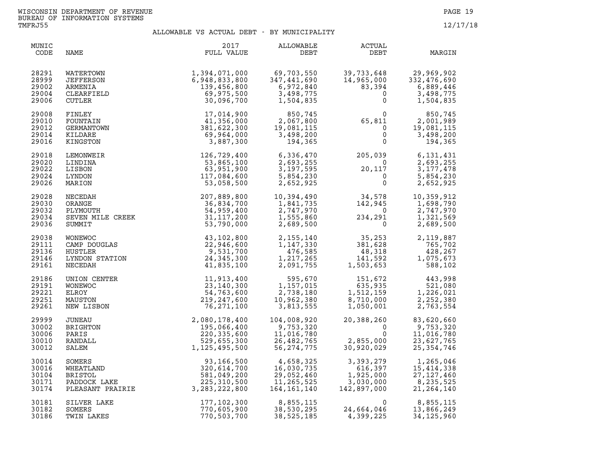| MUNIC<br>CODE                             | NAME                                                      | 2017<br>FULL VALUE                                                                                                                                                                                                                               | ALLOWABLE<br>DEBT                                                                | ACTUAL<br>DEBT                                                                                                                                                                                                                                                        | MARGIN                                                                 |
|-------------------------------------------|-----------------------------------------------------------|--------------------------------------------------------------------------------------------------------------------------------------------------------------------------------------------------------------------------------------------------|----------------------------------------------------------------------------------|-----------------------------------------------------------------------------------------------------------------------------------------------------------------------------------------------------------------------------------------------------------------------|------------------------------------------------------------------------|
| 28291<br>28999<br>29002<br>29004<br>29006 | WATERTOWN<br>JEFFERSON<br>ARMENIA<br>CLEARFIELD<br>CUTLER | 1, 394, 071, 000<br>6, 948, 833, 800<br>139, 456, 800<br>69, 975, 500<br>30, 096, 700                                                                                                                                                            | $69, 703, 550$<br>$347, 441.$<br>3,498,775<br>1,504,835                          | 39,733,648<br>14,965,000<br>83,394<br>6,889,446<br>0<br>3,498,775<br>0<br>1,504,835                                                                                                                                                                                   |                                                                        |
| 29008<br>29010<br>29012<br>29014<br>29016 | FINLEY<br>FOUNTAIN<br>GERMANTOWN<br>KILDARE<br>KINGSTON   | 17,014,900<br>41,356,000<br>381,622,300<br>69,964,000<br>3,887,300                                                                                                                                                                               | $850, 745$<br>$2, 067, 800$<br>$19, 081, 115$<br>$3, 498, 200$<br>$194, 365$     | $65, 811$<br>0<br>0<br>0<br>0                                                                                                                                                                                                                                         | 850,745<br>2,001,989<br>19,081,115<br>3,498,200                        |
| 29018<br>29020<br>29022<br>29024<br>29026 | LEMONWEIR<br>LINDINA<br>LISBON<br>LYNDON<br>MARION        | 126,729,400<br>53,865,100<br>63,951,900<br>117,084,600<br>53,058,500                                                                                                                                                                             |                                                                                  | 6, 336, 470<br>2, 693, 255<br>2, 693, 255<br>3, 197, 595<br>3, 197, 595<br>20, 117<br>3, 177, 478<br>5, 854, 230<br>2, 652, 925<br>0<br>6<br>5, 854, 230<br>20, 117<br>5, 854, 230<br>20, 117<br>5, 854, 230<br>20, 117<br>5, 854, 230<br>20, 117<br>5, 854, 230<br>2 |                                                                        |
| 29028<br>29030<br>29032<br>29034<br>29036 |                                                           | NECEDAH<br>NECEDAH<br>ORANGE<br>ORANGE 36,834,700 1,841,735 142,945<br>PLYMOUTH 54,959,400 2,747,970 0<br>SEVEN MILE CREEK 31,117,200 1,555,860 234,291<br>SUMMIT 53,790,000 2,689,500 0                                                         |                                                                                  |                                                                                                                                                                                                                                                                       | 10,359,912<br>1,698,790<br>2,747,970<br>1,321,569<br>2,689,500         |
| 29038<br>29111<br>29136<br>29146<br>29161 |                                                           | WONEWOC 43,102,800<br>CAMP DOUGLAS 22,946,600<br>HUSTLER 9,531,700<br>LYNDON STATION 24,345,300<br>NECEDAH 41,835,100                                                                                                                            |                                                                                  | $\begin{array}{cccc} 2,155,140 & 35,253 & 2,119,887 \\ 1,147,330 & 381,628 & 765,702 \\ 476,585 & 48,318 & 428,267 \\ 1,217,265 & 141,592 & 1,075,673 \\ 2,091,755 & 1,503,653 & 588,102 \end{array}$                                                                 |                                                                        |
| 29186<br>29191<br>29221<br>29251<br>29261 | UNION CENTER<br>WONEWOC<br>ELROY<br>MAUSTON<br>NEW LISBON | 11,913,400<br>23, 140, 300<br>54,763,600<br>219, 247, 600<br>76,271,100                                                                                                                                                                          | 10,962,380                                                                       | $\begin{array}{cccc} 595,670 & 151,672 & 443,998 \\ 1,157,015 & 635,935 & 521,080 \\ 2,738,180 & 1,512,159 & 1,226,021 \\ 10,962,380 & 8,710,000 & 2,252,380 \\ 3,813,555 & 1,050,001 & 2,763,554 \end{array}$                                                        |                                                                        |
| 29999<br>30002<br>30006<br>30010<br>30012 |                                                           |                                                                                                                                                                                                                                                  | 104,008,920<br>- - -, 753, 320<br>11, 016, 780<br>26, 482, 765<br>56, 274, 775   | 20,388,260<br>$\Omega$<br>$\Omega$<br>$\frac{1}{2}, \frac{0}{20}, \frac{0}{029}$<br>30,920,029<br>ں<br>2,855,000<br>30.920.029                                                                                                                                        | 83,620,660<br>9,753,320<br>11,016,780<br>23,627,765<br>25, 354, 746    |
| 30014<br>30016<br>30104<br>30171<br>30174 |                                                           | UNEAU 2,080,178,400<br>BRIGHTON 195,066,400<br>PARIS 220,335,600<br>RANDALL 529,655,300<br>SALEM 1,125,495,500<br>SOMERS 93,166,500<br>WHEATLAND 320,614,700<br>BRISTOL 581,049,200<br>PADDOCK LAKE 225,310,500<br>PLEASANT PRAIRIE 3,283,222,80 | 4,658,325<br>16,030.735<br>16,030,735<br>29,052,460<br>11,265,525<br>164,161,140 | 3,393,279<br>616,397<br>1,925,000<br>3,030,000<br>142,897,000                                                                                                                                                                                                         | 1,265,046<br>15, 414, 338<br>27, 127, 460<br>8,235,525<br>21, 264, 140 |
| 30181<br>30182<br>30186                   | SILVER LAKE<br>SOMERS<br>TWIN LAKES                       | 177, 102, 300<br>770,605,900<br>770,503,700                                                                                                                                                                                                      | 8,855,115<br>38,530.295<br>38,525,185                                            | $\Omega$<br>24,664,046<br>4,399,225                                                                                                                                                                                                                                   | 8,855,115<br>13,866,249<br>34, 125, 960                                |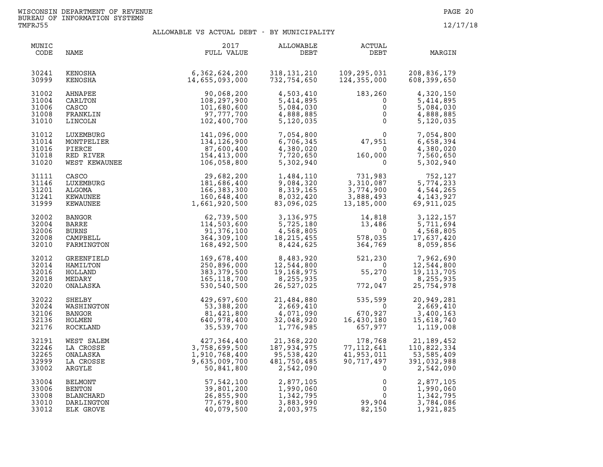| MUNIC<br>CODE                             | NAME                                                      | 2017<br>FULL VALUE                                                       | ALLOWABLE<br>DEBT                                                                                 | <b>ACTUAL</b><br>DEBT                                                                                | MARGIN                                                           |
|-------------------------------------------|-----------------------------------------------------------|--------------------------------------------------------------------------|---------------------------------------------------------------------------------------------------|------------------------------------------------------------------------------------------------------|------------------------------------------------------------------|
| 30241<br>30999                            | KENOSHA<br>KENOSHA                                        | 6,362,624,200<br>14,655,093,000                                          | 318,131,210<br>732,754,650                                                                        | 109,295,031<br>124,355,000                                                                           | 208,836,179<br>608,399,650                                       |
| 31002                                     | AHNAPEE                                                   | 90,068,200                                                               | 4,503,410                                                                                         | 183,260                                                                                              | 4,320,150                                                        |
| 31004                                     | CARLTON                                                   | 108,297,900                                                              | 5,414,895                                                                                         | $\overline{0}$                                                                                       | 5,414,895                                                        |
| 31006                                     | CASCO                                                     | 101,680,600                                                              | 5,084,030                                                                                         | $\mathsf{O}$                                                                                         | 5,084,030                                                        |
| 31008                                     | FRANKLIN                                                  | 97,777,700                                                               | 4,888,885                                                                                         | $\mathsf{O}$                                                                                         | 4,888,885                                                        |
| 31010                                     | LINCOLN                                                   | 102,400,700                                                              | 5,120,035                                                                                         | $\mathbf 0$                                                                                          | 5,120,035                                                        |
| 31012                                     | LUXEMBURG                                                 | 141,096,000                                                              | 7,054,800                                                                                         | $\begin{smallmatrix} 0 \\ 47,951 \end{smallmatrix}$                                                  | 7,054,800                                                        |
| 31014                                     | MONTPELIER                                                | 134,126,900                                                              | 6,706,345                                                                                         | $\overline{0}$                                                                                       | 6,658,394                                                        |
| 31016                                     | PIERCE                                                    | 87,600,400                                                               | 4,380,020                                                                                         | $\overline{\mathbf{0}}$                                                                              | 4,380,020                                                        |
| 31018                                     | RED RIVER                                                 | 154,413,000                                                              | 7,720,650                                                                                         | 160,000                                                                                              | 7,560,650                                                        |
| 31020                                     | WEST KEWAUNEE                                             | 106,058,800                                                              | 5,302,940                                                                                         | $\mathbf 0$                                                                                          | 5,302,940                                                        |
| 31111<br>31146<br>31201<br>31241<br>31999 | CASCO<br>LUXEMBURG<br>ALGOMA<br>KEWAUNEE<br>KEWAUNEE      | 29,682,200<br>181,686,400<br>166,383,300<br>160,648,400<br>1,661,920,500 | 1,484,110<br>9,084,320<br>8,319,165<br>8,032,420<br>83,096,025                                    | 731,983<br>3,310,087<br>3,774,900<br>3,888,493<br>13,185,000<br>3,774,900<br>3,888,493<br>13,185,000 | 752,127<br>5,774,233<br>4,544,265<br>4, 143, 927<br>69,911,025   |
| 32002<br>32004<br>32006<br>32008<br>32010 | BANGOR<br>BARRE<br><b>BURNS</b><br>CAMPBELL<br>FARMINGTON | 62,739,500<br>114,503,600<br>91,376,100<br>364,309,100<br>168,492,500    | 3,136,975<br>5,725,180<br>$4,568,805$<br>$18,215,455$<br>$8,424,625$<br>18, 215, 455<br>8,424,625 | 14,818<br>13,486<br>$\Omega$<br>578,035<br>364,769                                                   | 3, 122, 157<br>5,711,694<br>4,568,805<br>17,637,420<br>8,059,856 |
| 32012                                     | GREENFIELD                                                | 169,678,400                                                              | 8,483,920                                                                                         | 521,230                                                                                              | 7,962,690                                                        |
| 32014                                     | HAMILTON                                                  | 250,896,000                                                              | 12,544,800                                                                                        | $\overline{0}$                                                                                       | 12,544,800                                                       |
| 32016                                     | HOLLAND                                                   | 383,379,500                                                              | 19,168,975                                                                                        | 55,270                                                                                               | 19, 113, 705                                                     |
| 32018                                     | MEDARY                                                    | 165,118,700                                                              | 8,255,935                                                                                         | $\overline{0}$                                                                                       | 8,255,935                                                        |
| 32020                                     | ONALASKA                                                  | 530,540,500                                                              | 26,527,025                                                                                        | 772,047                                                                                              | 25,754,978                                                       |
| 32022<br>32024<br>32106<br>32136<br>32176 | SHELBY<br>WASHINGTON<br>BANGOR<br>HOLMEN<br>ROCKLAND      | 429,697,600<br>53,388,200<br>81,421,800<br>640,978,400<br>35,539,700     | 21,484,880<br>2,669,410<br>4,071,090<br>32,048,920<br>1,776,985                                   | $535,599$<br>$670,927$<br>$16,430,180$<br>$657,977$<br>657,977                                       | 20,949,281<br>2,669,410<br>3,400,163<br>15,618,740<br>1,119,008  |
| 32191                                     | WEST SALEM                                                | 427,364,400                                                              | 21,368,220                                                                                        | 178,768                                                                                              | 21, 189, 452                                                     |
| 32246                                     | LA CROSSE                                                 | 3,758,699,500                                                            | 187,934,975                                                                                       | 77, 112, 641                                                                                         | 110,822,334                                                      |
| 32265                                     | ONALASKA                                                  | 1,910,768,400                                                            | 95,538,420                                                                                        | 41,953,011                                                                                           | 53,585,409                                                       |
| 32999                                     | LA CROSSE                                                 | 9,635,009,700                                                            | 481,750,485                                                                                       | 90,717,497                                                                                           | 391,032,988                                                      |
| 33002                                     | ARGYLE                                                    | 50,841,800                                                               | 2,542,090                                                                                         | $\mathbf{0}$                                                                                         | 2,542,090                                                        |
| 33004                                     | BELMONT                                                   | 57, 542, 100                                                             | 2,877,105                                                                                         | $\overline{0}$                                                                                       | 2,877,105                                                        |
| 33006                                     | BENTON                                                    | 39,801,200                                                               | 1,990,060                                                                                         | $0 \qquad \qquad$                                                                                    | 1,990,060                                                        |
| 33008                                     | BLANCHARD                                                 | 26,855,900                                                               | 1,342,795                                                                                         | $\Omega$                                                                                             | 1,342,795                                                        |
| 33010                                     | DARLINGTON                                                | 77,679,800                                                               | 3,883,990                                                                                         | 99,904                                                                                               | 3,784,086                                                        |
| 33012                                     | ELK GROVE                                                 | 40,079,500                                                               | 2,003,975                                                                                         | 82,150                                                                                               | 1,921,825                                                        |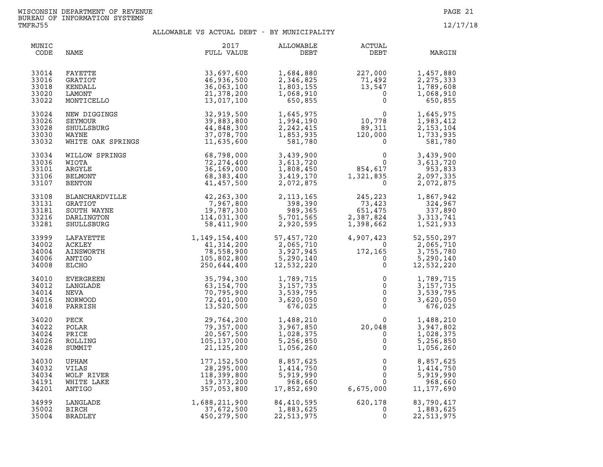| MUNIC<br>CODE                             | NAME                                                                        | 2017<br>FULL VALUE                                                                | ALLOWABLE<br>DEBT                                               | <b>ACTUAL</b><br>DEBT                                                                          | MARGIN                                                                           |
|-------------------------------------------|-----------------------------------------------------------------------------|-----------------------------------------------------------------------------------|-----------------------------------------------------------------|------------------------------------------------------------------------------------------------|----------------------------------------------------------------------------------|
| 33014<br>33016<br>33018<br>33020<br>33022 | FAYETTE<br>GRATIOT<br>KENDALL<br>LAMONT<br>MONTICELLO                       | 33,697,600<br>46,936,500<br>36,063,100<br>21,378,200<br>13,017,100                | 1,684,880<br>2,346,825<br>1,803,155<br>1,068,910<br>650,855     | $227,000\n 71,492\n 13,547\n 0\n 0$                                                            | 1,457,880<br>2, 275, 333<br>1,789,608<br>1,068,910<br>650,855                    |
| 33024<br>33026<br>33028<br>33030<br>33032 | NEW DIGGINGS<br>SEYMOUR<br>SHULLSBURG<br>WAYNE<br>WHITE OAK SPRINGS         | 32,919,500<br>39,883,800<br>44,848,300<br>37,078,700<br>11,635,600                | 1,645,975<br>1,994,190<br>2, 242, 415<br>1,853,935<br>581,780   | $\begin{array}{c} 0 \\ 10,778 \\ 89,311 \\ 120,000 \end{array}$<br>$\overline{0}$              | 1,645,975<br>1,983,412<br>2, 153, 104<br>1,733,935<br>581,780                    |
| 33034<br>33036<br>33101<br>33106<br>33107 | WILLOW SPRINGS<br>WIOTA<br>ARGYLE<br>BELMONT<br>BENTON                      | 68,798,000<br>72,274,400<br>36,169,000<br>68,383,400<br>41,457,500                | 3,439,900<br>3,613,720<br>1,808,450<br>3,419,170<br>2,072,875   | $\begin{smallmatrix}&&&0\\&&0\\854,617\\1,321,835\\0\end{smallmatrix}$                         | 3,439,900<br>3,613,720<br>953,833<br>2,097,335<br>2,072,875                      |
| 33108<br>33131<br>33181<br>33216<br>33281 | BLANCHARDVILLE<br><b>GRATIOT</b><br>SOUTH WAYNE<br>DARLINGTON<br>SHULLSBURG | 42,263,300<br>7,967,800<br>19,787,300<br>114,031,300<br>58,411,900                | 2, 113, 165<br>398,390<br>989,365<br>5,701,565<br>2,920,595     | 245,223<br>73,423<br>651,475<br>2,387,824<br>1,398,662                                         | 1,867,942<br>324,967<br>337,890<br>3,313,741<br>1,521,933                        |
| 33999<br>34002<br>34004<br>34006<br>34008 | LAFAYETTE<br>ACKLEY<br>AINSWORTH<br>ANTIGO<br>ELCHO                         | $1,149,154,400$<br>$41,314,200$<br>$78,558,900$<br>$105,802,800$<br>$250,644,400$ | 57,457,720<br>2,065,710<br>3,927,945<br>5,290,140<br>12,532,220 | 4,907,423<br>$4,907,423 \ 0 \ 172,165 \ 0 \ 0 \ 0$<br>$\overline{0}$<br>$\mathbf{0}$           | 52,550,297<br>2,065,710<br>$3,755,780$<br>$3,755,780$<br>5,290,140<br>12,532,220 |
| 34010<br>34012<br>34014<br>34016<br>34018 | EVERGREEN<br>LANGLADE<br>NEVA<br>NORWOOD<br>PARRISH                         | 35,794,300<br>63,154,700<br>70,795,900<br>72,401,000<br>13,520,500                | 1,789,715<br>3, 157, 735<br>3,539,795<br>3,620,050<br>676,025   | $\begin{array}{c} 0 \\ 0 \\ 0 \\ 0 \\ 0 \end{array}$<br>$\begin{bmatrix} 0 \\ 0 \end{bmatrix}$ | 1,789,715<br>3, 157, 735<br>3,539,795<br>3,620,050<br>676,025                    |
| 34020<br>34022<br>34024<br>34026<br>34028 | PECK<br>POLAR<br>PRICE<br>ROLLING<br>SUMMIT                                 | 29,764,200<br>79,357,000<br>20,567,500<br>105,137,000<br>21,125,200               | 1,488,210<br>3,967,850<br>1,028,375<br>5,256,850<br>1,056,260   | $\overline{0}$<br>20,048<br>$\mathsf{O}$<br>$\mathsf{O}\xspace$<br>$\mathsf{O}\xspace$         | 1,488,210<br>3,947,802<br>1,028,375<br>5,256,850<br>1,056,260                    |
| 34030<br>34032<br>34034<br>34191<br>34201 | UPHAM<br>VILAS<br>WOLF RIVER<br>WHITE LAKE<br>ANTIGO                        | 177, 152, 500<br>28,295,000<br>118,399,800<br>19,373,200<br>357,053,800           | 8,857,625<br>1,414,750<br>5,919,990<br>968,660<br>17,852,690    | $\mathsf{O}$<br>$\mathsf{O}\xspace$<br>$\mathbf 0$<br>$\Omega$<br>6,675,000                    | 8,857,625<br>1,414,750<br>5,919,990<br>968,660<br>11, 177, 690                   |
| 34999<br>35002<br>35004                   | LANGLADE<br>BIRCH<br>BRADLEY                                                | 1,688,211,900<br>37,672,500<br>450,279,500                                        | 84,410,595<br>1,883,625<br>22,513,975                           | 620,178<br>0<br>$\mathbf 0$                                                                    | 83,790,417<br>1,883,625<br>22,513,975                                            |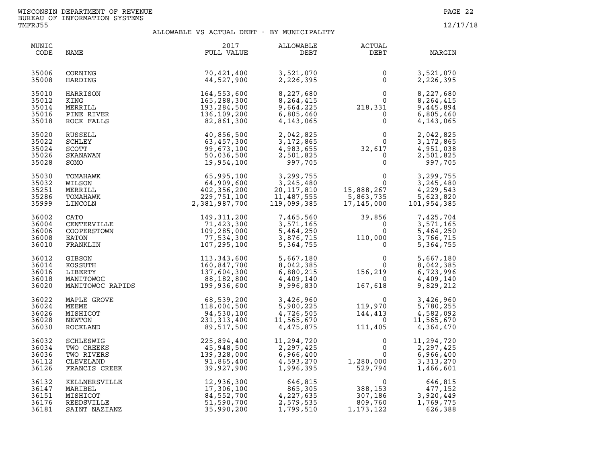| MUNIC<br>CODE                             | NAME                                                                | 2017<br>FULL VALUE                                                                   | ALLOWABLE<br>DEBT                                                           | ACTUAL<br>DEBT                                                                                                                                                         | MARGIN                                                                            |
|-------------------------------------------|---------------------------------------------------------------------|--------------------------------------------------------------------------------------|-----------------------------------------------------------------------------|------------------------------------------------------------------------------------------------------------------------------------------------------------------------|-----------------------------------------------------------------------------------|
| 35006<br>35008                            | CORNING<br>HARDING                                                  | 70,421,400<br>44,527,900                                                             | 3,521,070<br>2,226,395                                                      | $\Omega$<br>$\mathbf{0}$                                                                                                                                               | 3,521,070<br>2,226,395                                                            |
| 35010<br>35012<br>35014<br>35016<br>35018 | HARRISON<br>KING<br>MERRILL<br>PINE RIVER<br>ROCK FALLS             | 164,553,600<br>165,288,300<br>193,284,500<br>136,109,200<br>82,861,300               | 8,227,680<br>8,264,415<br>9,664,225<br>6,805,460<br>4,143,065               | $\begin{smallmatrix}0\0\0\218,331\0\0\0\end{smallmatrix}$                                                                                                              | 8,227,680<br>8,264,415<br>9,445,894<br>6,805,460<br>4, 143, 065                   |
| 35020<br>35022<br>35024<br>35026<br>35028 | RUSSELL<br>SCHLEY<br><b>SCOTT</b><br>SKANAWAN<br>SOMO               | 40,856,500<br>63,457,300<br>99,673,100<br>50,036,500<br>19,954,100                   | 2,042,825<br>3,172,865<br>4,983,655<br>2,501,825<br>997,705                 | $\begin{smallmatrix} & & & 0\ & 0\ & 0\ & 32\, , 617\ & 0\ & 0\ \end{smallmatrix}$                                                                                     | 2,042,825<br>3,172,865<br>4,951,038<br>2,501,825<br>997,705                       |
| 35030<br>35032<br>35251<br>35286<br>35999 | TOMAHAWK<br>WILSON<br>MERRILL<br>TOMAHAWK<br>LINCOLN                | 65,995,100<br>64,909,600<br>402,356,200<br>229,751,100<br>2,381,987,700              | 3, 299, 755<br>3, 245, 480<br>20, 117, 810<br>11, 487, 555<br>119, 099, 385 | 0<br>0<br>15,888,267<br>5,863,735<br>17,145,000                                                                                                                        | $\overline{0}$<br>3,299,755<br>3,245,480<br>4,229,543<br>5,623,820<br>101,954,385 |
| 36002<br>36004<br>36006<br>36008<br>36010 | CATO<br>CENTERVILLE<br>COOPERSTOWN<br>EATON<br>FRANKLIN             | 149, 311, 200<br>71,423,300<br>109,285,000<br>77,534,300<br>107,295,100              |                                                                             | 39,856<br>$\begin{array}{llll} 7,465,560 & & 39,856 \\ 3,571,165 & & 0 \\ 5,464,250 & & 0 \\ 3,876,715 & & 110,000 \\ 5,364,755 & & & 0 \end{array}$<br>$\overline{0}$ | 7,425,704<br>3,571,165<br>5,464,250<br>3,766,715<br>5,364,755                     |
| 36012<br>36014<br>36016<br>36018<br>36020 |                                                                     | GIBSON<br>KOSSUTH 160,847,700<br>LIBERTY 137,604,300<br>MANITOWOC RAPIDS 199,936,600 | 5,667,180<br>8,042,385<br>6,880,215<br>4,409,140<br>9,996,830               | $\begin{smallmatrix}&&&0\0&&&0\156,219\0&167,618\end{smallmatrix}$                                                                                                     | 5,667,180<br>8,042,385<br>6,723,996<br>4,409,140<br>9,829,212                     |
| 36022<br>36024<br>36026<br>36028<br>36030 | MAPLE GROVE<br>MEEME<br>MISHICOT<br>NEWTON<br>ROCKLAND              | 68,539,200<br>118,004,500<br>94,530,100<br>231,313,400<br>89,517,500                 | 3,426,960<br>5,900,225<br>4,726,505<br>11,565,670<br>4,475,875              | $\begin{array}{c} 0 \\ 119,970 \\ 144,413 \\ 0 \\ 111,405 \end{array}$                                                                                                 | 3,426,960<br>5,780,255<br>4,582,092<br>11,565,670<br>4,364,470                    |
| 36032<br>36034<br>36036<br>36112<br>36126 | SCHLESWIG<br>TWO CREEKS<br>TWO RIVERS<br>CLEVELAND<br>FRANCIS CREEK | 225, 894, 400<br>45, 948, 500<br>139, 328, 000<br>91, 865, 400<br>39, 927, 900       | 11,294,720<br>2,297,425<br>6,966,400<br>4,593,270<br>1,996,395              | 0<br>$\mathbf{0}$<br>0<br>1,280,000<br>529,794                                                                                                                         | 11,294,720<br>2,297,425<br>6,966,400<br>3,313,270<br>1,466,601                    |
| 36132<br>36147<br>36151<br>36176<br>36181 | KELLNERSVILLE<br>MARIBEL<br>MISHICOT<br>REEDSVILLE<br>SAINT NAZIANZ | 12,936,300<br>17,306,100<br>84,552,700<br>51,590,700<br>35,990,200                   | 646,815<br>865,305<br>4,227,635<br>2,579,535<br>1,799,510                   | $\begin{array}{c} 0 \\ 388,153 \\ 307,186 \\ 809,760 \end{array}$<br>1, 173, 122                                                                                       | 646,815<br>477,152<br>3,920,449<br>1,769,775<br>626,388                           |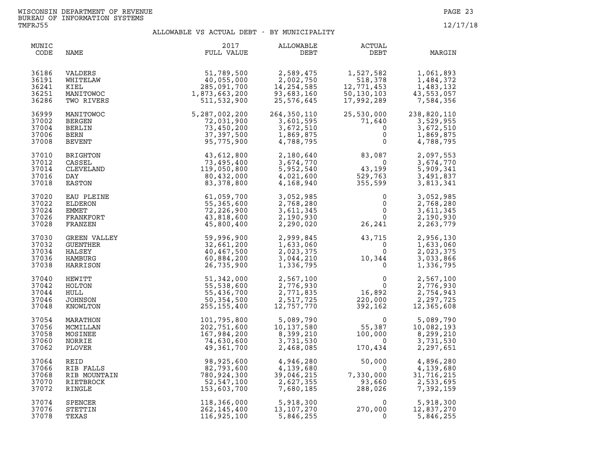| MUNIC<br>CODE                             | NAME                                            | 2017<br>FULL VALUE                                                    | ALLOWABLE<br>DEBT                                              | ACTUAL<br>DEBT                                                                                 | MARGIN                                                         |
|-------------------------------------------|-------------------------------------------------|-----------------------------------------------------------------------|----------------------------------------------------------------|------------------------------------------------------------------------------------------------|----------------------------------------------------------------|
| 36186                                     | VALDERS                                         | 51,789,500                                                            | 2,589,475                                                      | 1,527,582                                                                                      | 1,061,893                                                      |
| 36191                                     | WHITELAW                                        | 40,055,000                                                            | 2,002,750                                                      | 518,378                                                                                        | 1,484,372                                                      |
| 36241                                     | KIEL                                            | 285,091,700                                                           | 14, 254, 585                                                   | 12,771,453                                                                                     | 1,483,132                                                      |
| 36251                                     | MANITOWOC                                       | 1,873,663,200                                                         | 93,683,160                                                     | 50,130,103                                                                                     | 43,553,057                                                     |
| 36286                                     | TWO RIVERS                                      | 511,532,900                                                           | 25,576,645                                                     | 17,992,289                                                                                     | 7,584,356                                                      |
| 36999                                     | MANITOWOC                                       | 5,287,002,200                                                         | 264,350,110                                                    | 25,530,000                                                                                     | 238,820,110                                                    |
| 37002                                     | <b>BERGEN</b>                                   | 72,031,900                                                            | 3,601,595                                                      | 71,640                                                                                         | 3,529,955                                                      |
| 37004                                     | BERLIN                                          | 73,450,200                                                            | 3,672,510                                                      | $\mathbf 0$                                                                                    | 3,672,510                                                      |
| 37006                                     | BERN                                            | 37, 397, 500                                                          | 1,869,875                                                      | $\mathbf 0$                                                                                    | 1,869,875                                                      |
| 37008                                     | <b>BEVENT</b>                                   | 95,775,900                                                            | 4,788,795                                                      | $\mathbf 0$                                                                                    | 4,788,795                                                      |
| 37010                                     | BRIGHTON                                        | 43,612,800                                                            | 2,180,640                                                      | 83,087                                                                                         | 2,097,553                                                      |
| 37012                                     | CASSEL                                          | 73,495,400                                                            | 3,674,770                                                      | $\overline{\mathbf{0}}$                                                                        | 3,674,770                                                      |
| 37014                                     | CLEVELAND                                       | 119,050,800                                                           | 5,952,540                                                      | 43,199                                                                                         | 5,909,341                                                      |
| 37016                                     | DAY                                             | 80,432,000                                                            | 4,021,600                                                      | 529,763                                                                                        | 3,491,837                                                      |
| 37018                                     | EASTON                                          | 83,378,800                                                            | 4,168,940                                                      | 355,599                                                                                        | 3,813,341                                                      |
| 37020                                     | EAU PLEINE                                      | 61,059,700                                                            | 3,052,985                                                      | $\mathbf 0$                                                                                    | 3,052,985                                                      |
| 37022                                     | ELDERON                                         | 55,365,600                                                            | 2,768,280                                                      | $\overline{0}$                                                                                 | 2,768,280                                                      |
| 37024                                     | EMMET                                           | 72,226,900                                                            | 3,611,345                                                      | $\mathsf{O}$                                                                                   | 3,611,345                                                      |
| 37026                                     | FRANKFORT                                       | 43,818,600                                                            | 2,190,930                                                      | $\mathbf 0$                                                                                    | 2,190,930                                                      |
| 37028                                     | FRANZEN                                         | 45,800,400                                                            | 2,290,020                                                      | 26,241                                                                                         | 2,263,779                                                      |
| 37030                                     | GREEN VALLEY                                    | 59,996,900                                                            | 2,999,845                                                      | 43,715                                                                                         | 2,956,130                                                      |
| 37032                                     | <b>GUENTHER</b>                                 | 32,661,200                                                            | 1,633,060                                                      | $\overline{0}$                                                                                 | 1,633,060                                                      |
| 37034                                     | HALSEY                                          | 40,467,500                                                            | 2,023,375                                                      | $\Omega$                                                                                       | 2,023,375                                                      |
| 37036                                     | HAMBURG                                         | 60,884,200                                                            | 3,044,210                                                      | 10,344                                                                                         | 3,033,866                                                      |
| 37038                                     | HARRISON                                        | 26,735,900                                                            | 1,336,795                                                      | $\mathbf 0$                                                                                    | 1,336,795                                                      |
| 37040<br>37042<br>37044<br>37046<br>37048 | HEWITT<br>HOLTON<br>HULL<br>JOHNSON<br>KNOWLTON | 51,342,000<br>55,538,600<br>55,436,700<br>50,354,500<br>255, 155, 400 | 2,567,100<br>2,776,930<br>2,771,835<br>2,517,725<br>12,757,770 | $\begin{smallmatrix}0&&&&0\\&0&&&&0\\&16,892&\\2&2&2&2\end{smallmatrix}$<br>220,000<br>392,162 | 2,567,100<br>2,776,930<br>2,754,943<br>2,297,725<br>12,365,608 |
| 37054                                     | MARATHON                                        | 101,795,800                                                           | 5,089,790                                                      | $\Omega$                                                                                       | 5,089,790                                                      |
| 37056                                     | MCMILLAN                                        | 202,751,600                                                           | 10, 137, 580                                                   | 55,387                                                                                         | 10,082,193                                                     |
| 37058                                     | MOSINEE                                         | 167,984,200                                                           | 8,399,210                                                      | 100,000                                                                                        | 8,299,210                                                      |
| 37060                                     | NORRIE                                          | 74,630,600                                                            | 3,731,530                                                      | $\overline{0}$                                                                                 | 3,731,530                                                      |
| 37062                                     | PLOVER                                          | 49,361,700                                                            | 2,468,085                                                      | 170,434                                                                                        | 2,297,651                                                      |
| 37064                                     | REID                                            | 98,925,600                                                            | 4,946,280                                                      | 50,000                                                                                         | 4,896,280                                                      |
| 37066                                     | RIB FALLS                                       | 82,793,600                                                            | 4,139,680                                                      | $\Omega$                                                                                       | 4,139,680                                                      |
| 37068                                     | RIB MOUNTAIN                                    | 780,924,300                                                           | 39,046,215                                                     | 7,330,000                                                                                      | 31,716,215                                                     |
| 37070                                     | RIETBROCK                                       | 52,547,100                                                            | 2,627,355                                                      | 93,660                                                                                         | 2,533,695                                                      |
| 37072                                     | RINGLE                                          | 153,603,700                                                           | 7,680,185                                                      | 288,026                                                                                        | 7,392,159                                                      |
| 37074                                     | <b>SPENCER</b>                                  | 118,366,000                                                           | 5,918,300                                                      | 0                                                                                              | 5,918,300                                                      |
| 37076                                     | STETTIN                                         | 262,145,400                                                           | 13,107,270                                                     | 270,000                                                                                        | 12,837,270                                                     |
| 37078                                     | TEXAS                                           | 116,925,100                                                           | 5,846,255                                                      | $\Omega$                                                                                       | 5,846,255                                                      |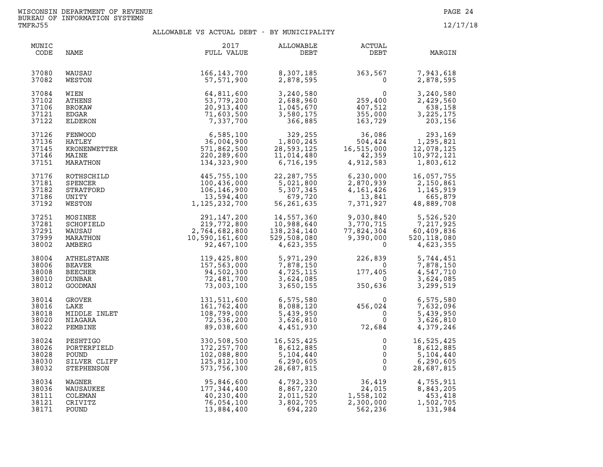| MUNIC<br>CODE                             | NAME                                                   | 2017<br>FULL VALUE                                                          | ALLOWABLE<br>DEBT                                                   | ACTUAL<br>DEBT                                         | MARGIN                                                           |
|-------------------------------------------|--------------------------------------------------------|-----------------------------------------------------------------------------|---------------------------------------------------------------------|--------------------------------------------------------|------------------------------------------------------------------|
| 37080                                     | WAUSAU                                                 | 166, 143, 700                                                               | 8,307,185                                                           | 363,567                                                | 7,943,618                                                        |
| 37082                                     | WESTON                                                 | 57,571,900                                                                  | 2,878,595                                                           | $\Omega$                                               | 2,878,595                                                        |
| 37084<br>37102<br>37106<br>37121<br>37122 | WIEN<br>ATHENS<br>BROKAW<br>EDGAR<br>ELDERON           | 64,811,600<br>53,779,200<br>20,913,400<br>71,603,500<br>7,337,700           | 3,240,580<br>2,688,960<br>1,045,670<br>3,580,175<br>366,885         | 0<br>259,400<br>407,512<br>355,000<br>163,729          | 3,240,580<br>2,429,560<br>638,158<br>3, 225, 175<br>203,156      |
| 37126                                     | FENWOOD<br>HATLEY<br>KRONENWETTER<br>MAINE<br>MARATHON | 6,585,100                                                                   | 329,255                                                             | 36,086                                                 | 293,169                                                          |
| 37136                                     |                                                        | 36,004,900                                                                  | 1,800,245                                                           | 504,424                                                | 1,295,821                                                        |
| 37145                                     |                                                        | 571,862,500                                                                 | 28,593,125                                                          | 16,515,000                                             | 12,078,125                                                       |
| 37146                                     |                                                        | 220, 289, 600                                                               | 11,014,480                                                          | 42,359                                                 | 10,972,121                                                       |
| 37151                                     |                                                        | 134,323,900                                                                 | 6,716,195                                                           | 4,912,583                                              | 1,803,612                                                        |
| 37176                                     | ROTHSCHILD                                             | 445,755,100                                                                 | 22, 287, 755                                                        | 6,230,000                                              | 16,057,755                                                       |
| 37181                                     | SPENCER                                                | 100,436,000                                                                 | 5,021,800                                                           | 2,870,939                                              | 2,150,861                                                        |
| 37182                                     | STRATFORD                                              | 106,146,900                                                                 | 5,307,345                                                           | 4,161,426                                              | 1,145,919                                                        |
| 37186                                     | UNITY                                                  | 13,594,400                                                                  | 679,720                                                             | 13,841                                                 | 665,879                                                          |
| 37192                                     | WESTON                                                 | 1, 125, 232, 700                                                            | 56,261,635                                                          | 7,371,927                                              | 48,889,708                                                       |
| 37251<br>37281<br>37291<br>37999<br>38002 | MOSINEE<br>SCHOFIELD<br>WAUSAU<br>MARATHON<br>AMBERG   | 291,147,200<br>219,772,800<br>2,764,682,800<br>10,590,161,600<br>92,467,100 | 14,557,360<br>10,988,640<br>138,234,140<br>529,508,080<br>4,623,355 | 9,030,840<br>3,770,715<br>77,824,304<br>9,390,000<br>0 | 5,526,520<br>7,217,925<br>60,409,836<br>520,118,080<br>4,623,355 |
| 38004                                     | ATHELSTANE                                             | 119,425,800                                                                 | 5,971,290                                                           | 226,839                                                | 5,744,451                                                        |
| 38006                                     | <b>BEAVER</b>                                          | 157,563,000                                                                 | 7,878,150                                                           | $\Omega$                                               | 7,878,150                                                        |
| 38008                                     | BEECHER                                                | 94,502,300                                                                  | 4,725,115                                                           | 177,405                                                | 4,547,710                                                        |
| 38010                                     | DUNBAR                                                 | 72,481,700                                                                  | 3,624,085                                                           | $\overline{0}$                                         | 3,624,085                                                        |
| 38012                                     | GOODMAN                                                | 73,003,100                                                                  | 3,650,155                                                           | 350,636                                                | 3,299,519                                                        |
| 38014                                     | GROVER                                                 | 131,511,600                                                                 | 6,575,580                                                           | $\mathbf{0}$                                           | 6,575,580                                                        |
| 38016                                     | LAKE                                                   | 161,762,400                                                                 | 8,088,120                                                           | 456,024                                                | 7,632,096                                                        |
| 38018                                     | MIDDLE INLET                                           | 108,799,000                                                                 | 5,439,950                                                           | $\overline{0}$                                         | 5,439,950                                                        |
| 38020                                     | NIAGARA                                                | 72,536,200                                                                  | 3,626,810                                                           | $\Omega$                                               | 3,626,810                                                        |
| 38022                                     | PEMBINE                                                | 89,038,600                                                                  | 4,451,930                                                           | 72,684                                                 | 4,379,246                                                        |
| 38024                                     | PESHTIGO                                               | 330,508,500                                                                 | 16,525,425                                                          | 0                                                      | 16,525,425                                                       |
| 38026                                     | PORTERFIELD                                            | 172, 257, 700                                                               | 8,612,885                                                           | $\mathbf 0$                                            | 8,612,885                                                        |
| 38028                                     | POUND                                                  | 102,088,800                                                                 | 5,104,440                                                           | $\mathsf{O}\xspace$                                    | 5,104,440                                                        |
| 38030                                     | SILVER CLIFF                                           | 125,812,100                                                                 | 6,290,605                                                           | $\overline{0}$                                         | 6,290,605                                                        |
| 38032                                     | STEPHENSON                                             | 573,756,300                                                                 | 28,687,815                                                          | $\Omega$                                               | 28,687,815                                                       |
| 38034                                     | WAGNER                                                 | 95,846,600                                                                  | 4,792,330                                                           | 36,419                                                 | 4,755,911                                                        |
| 38036                                     | WAUSAUKEE                                              | 177,344,400                                                                 | 8,867,220                                                           | 24,015                                                 | 8,843,205                                                        |
| 38111                                     | COLEMAN                                                | 40,230,400                                                                  | 2,011,520                                                           | 1,558,102                                              | 453,418                                                          |
| 38121                                     | CRIVITZ                                                | 76,054,100                                                                  | 3,802,705                                                           | 2,300,000                                              | 1,502,705                                                        |
| 38171                                     | POUND                                                  | 13,884,400                                                                  | 694,220                                                             | 562,236                                                | 131,984                                                          |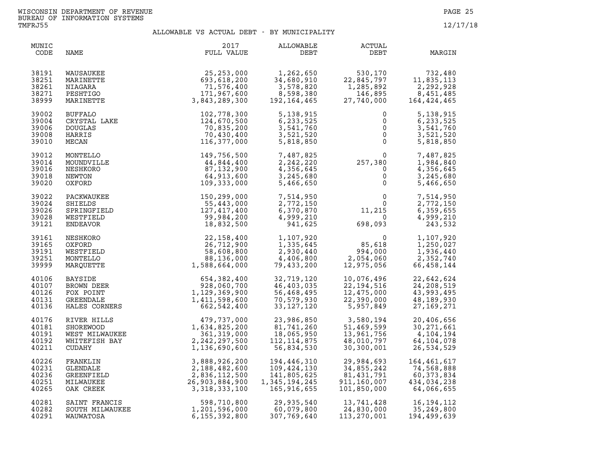| MUNIC<br>CODE                             | NAME                                                                           | 2017<br>FULL VALUE                                                                 | <b>ALLOWABLE</b><br>DEBT                                                  | <b>ACTUAL</b><br>DEBT                                                    | MARGIN                                                                 |
|-------------------------------------------|--------------------------------------------------------------------------------|------------------------------------------------------------------------------------|---------------------------------------------------------------------------|--------------------------------------------------------------------------|------------------------------------------------------------------------|
| 38191<br>38251<br>38261<br>38271<br>38999 | WAUSAUKEE<br>MARINETTE<br>NIAGARA<br>PESHTIGO<br>MARINETTE                     | 25, 253, 000<br>693,618,200<br>71,576,400<br>171,967,600<br>3,843,289,300          | 1,262,650<br>34,680,910<br>3,578,820<br>8,598,380<br>192,164,465          | 530,170<br>22,845,797<br>1,285,892<br>146,895<br>27,740,000              | 732,480<br>11,835,113<br>2,292,928<br>8,451,485<br>164,424,465         |
| 39002<br>39004<br>39006<br>39008<br>39010 | <b>BUFFALO</b><br>CRYSTAL LAKE<br><b>DOUGLAS</b><br>HARRIS<br>MECAN            | 102,778,300<br>124,670,500<br>70,835,200<br>70,430,400<br>116,377,000              | 5,138,915<br>6,233,525<br>3,541,760<br>3,521,520<br>5,818,850             | $\mathbf 0$<br>0<br>$\mathsf{O}$<br>$\overline{0}$                       | 5,138,915<br>6,233,525<br>3,541,760<br>3,521,520<br>5,818,850          |
| 39012<br>39014<br>39016<br>39018<br>39020 | MONTELLO<br>MOUNDVILLE<br>NESHKORO<br>NEWTON<br>OXFORD                         | 149,756,500<br>44,844,400<br>87,132,900<br>64,913,600<br>109,333,000               | 7,487,825<br>2,242,220<br>4,356,645<br>3,245,680<br>5,466,650             | 0<br>257,380<br>0                                                        | 7,487,825<br>1,984,840<br>4,356,645<br>3,245,680<br>5,466,650          |
| 39022<br>39024<br>39026<br>39028<br>39121 | PACKWAUKEE<br>SHIELDS<br>SPRINGFIELD<br>WESTFIELD<br>ENDEAVOR                  | 150,299,000<br>55,443,000<br>127,417,400<br>99,984,200<br>18,832,500               | 7,514,950<br>2,772,150<br>6,370,870<br>4,999,210<br>941,625               | $\begin{smallmatrix}&&0\\&&0\\11\,,\t215\\0\end{smallmatrix}$<br>698,093 | 7,514,950<br>2,772,150<br>6,359,655<br>4,999,210<br>243,532            |
| 39161<br>39165<br>39191<br>39251<br>39999 | NESHKORO<br>OXFORD<br>WESTFIELD<br>MONTELLO<br>MAROUETTE                       | 22,158,400<br>26,712,900<br>58,608,800<br>88,136,000<br>1,588,664,000              | 1,107,920<br>1,335,645<br>2,930,440<br>4,406,800<br>79,433,200            | 85,618<br>994,000<br>2,054,060<br>12,975,056                             | 1,107,920<br>1,250,027<br>1,936,440<br>2,352,740<br>66,458,144         |
| 40106<br>40107<br>40126<br>40131<br>40136 | <b>BAYSIDE</b><br>BROWN DEER<br>FOX POINT<br><b>GREENDALE</b><br>HALES CORNERS | 654,382,400<br>928,060,700<br>1,129,369,900<br>1,411,598,600<br>662,542,400        | 32,719,120<br>46,403,035<br>56,468,495<br>70,579,930<br>33, 127, 120      | 10,076,496<br>22, 194, 516<br>12,475,000<br>22,390,000<br>5,957,849      | 22,642,624<br>24,208,519<br>43,993,495<br>48,189,930<br>27, 169, 271   |
| 40176<br>40181<br>40191<br>40192<br>40211 | RIVER HILLS<br>SHOREWOOD<br>WEST MILWAUKEE<br>WHITEFISH BAY<br><b>CUDAHY</b>   | 479,737,000<br>1,634,825,200<br>361, 319, 000<br>2, 242, 297, 500<br>1,136,690,600 | 23,986,850<br>81,741,260<br>18,065,950<br>112, 114, 875<br>56,834,530     | 3,580,194<br>51,469,599<br>13,961,756<br>48,010,797<br>30,300,001        | 20,406,656<br>30, 271, 661<br>4,104,194<br>64, 104, 078<br>26,534,529  |
| 40226<br>40231<br>40236<br>40251<br>40265 | FRANKLIN<br>GLENDALE<br>GREENFIELD<br>MILWAUKEE<br>OAK CREEK                   | 3,888,926,200<br>2,188,482,600<br>2,836,112,500<br>26,903,884,900<br>3,318,333,100 | 194,446,310<br>109,424,130<br>141,805,625<br>1,345,194,245<br>165,916,655 | 29,984,693<br>34,855,242<br>81,431,791<br>911,160,007<br>101,850,000     | 164,461,617<br>74,568,888<br>60, 373, 834<br>434,034,238<br>64,066,655 |
| 40281<br>40282<br>40291                   | SAINT FRANCIS<br>SOUTH MILWAUKEE<br>WAUWATOSA                                  | 598,710,800<br>1,201,596,000<br>6,155,392,800                                      | 29,935,540<br>60,079,800<br>307,769,640                                   | 13,741,428<br>24,830,000<br>113,270,001                                  | 16, 194, 112<br>35,249,800<br>194,499,639                              |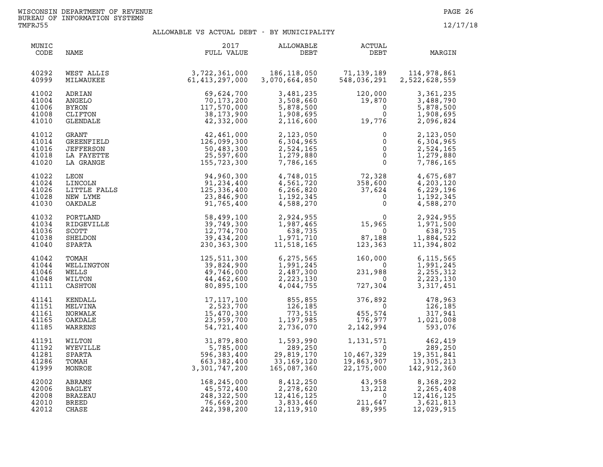| MUNIC<br>CODE                             | NAME                                                        | 2017<br>FULL VALUE                                                          | ALLOWABLE<br>DEBT                                                 | ACTUAL<br>DEBT                                                                                                          | MARGIN                                                                                                                                                 |
|-------------------------------------------|-------------------------------------------------------------|-----------------------------------------------------------------------------|-------------------------------------------------------------------|-------------------------------------------------------------------------------------------------------------------------|--------------------------------------------------------------------------------------------------------------------------------------------------------|
| 40292<br>40999                            | WEST ALLIS<br>MILWAUKEE                                     | 3,722,361,000<br>61,413 <i>.</i> 297.000<br>61,413,297,000                  | 186,118,050<br>3,070,664,850                                      | 71,139,189<br>548,036,291<br>548,036,291                                                                                | 114,978,861<br>2,522,628,559                                                                                                                           |
| 41002<br>41004<br>41006<br>41008<br>41010 |                                                             |                                                                             | 3,481,235<br>3,508,660<br>5,878,500<br>1,908,695<br>2,116,600     | 120,000<br>$\begin{array}{r} 120\, , \, 000 \\ 19\, , \, 870 \\ \, 0 \\ \, 0 \\ \, 19\, , \, 776 \end{array}$<br>19,776 | 3,361,235<br>3,488,790<br>5,878,500<br>1,908,695<br>2,096,824                                                                                          |
| 41012<br>41014<br>41016<br>41018<br>41020 |                                                             |                                                                             | 2,123,050<br>6,304,965<br>2,524,165<br>1,279,880<br>7,786,165     | $\begin{bmatrix} 0 \\ 0 \\ 0 \\ 0 \\ 0 \end{bmatrix}$                                                                   | 2,123,050<br>6,304,965<br>2,524,165<br>1,279,880<br>7,786,165                                                                                          |
| 41022<br>41024<br>41026<br>41028<br>41030 |                                                             |                                                                             | 4,748,015<br>4,561,720<br>6, 266, 820<br>1,192,345<br>4,588,270   | $72,328$<br>358,600<br>37,624<br>0<br>0                                                                                 | 4,675,687<br>4,203,120<br>6,229,196<br>1,192,345<br>4,588,270                                                                                          |
| 41032<br>41034<br>41036<br>41038<br>41040 |                                                             |                                                                             | 2,924,955<br>1,987,465<br>638,735<br>1,971,710<br>11,518,165      | $\begin{smallmatrix}&&&0\15,965\0&0\123,363\end{smallmatrix}$                                                           | 2,924,955<br>1,971,500<br>638,735<br>1,884,522<br>11,394,802                                                                                           |
| 41042<br>41044<br>41046<br>41048<br>41111 | TOMAH<br>WELLINGTON<br>WELLS<br>WILTON<br>CASHTON           | 125,511,300<br>39,824,900<br>49,746,000<br>44,462,600<br>80,895,100         | 6,275,565<br>1,991,245<br>2,487,300<br>2,223,130<br>4,044,755     | $160,000$<br>0<br>231,988<br>0<br>727,304                                                                               | 6,115,565<br>1,991,245<br>2, 255, 312<br>2,223,130<br>3, 317, 451                                                                                      |
| 41141<br>41151<br>41161<br>41165<br>41185 | KENDALL<br>MELVINA<br>NORWALK<br>OAKDALE<br>WARRENS         | 17, 117, 100<br>2, 523, 700<br>15, 470, 300<br>23, 959, 700<br>54, 721, 400 | 855,855<br>126,185<br>773,515<br>1,197,985<br>2,736,070           | $376,892$<br>0<br>455,574<br>176,977<br>2,142,994                                                                       | 478,963<br>126,185<br>317,941<br>1,021,008<br>593,076                                                                                                  |
| 41191<br>41192<br>41281<br>41286<br>41999 | WILTON<br>WYEVILLE<br>SPARTA<br>TOMAH<br>MONROE             | 31,879,800<br>5,785,000<br>596,383,400<br>663,382,400<br>3,301,747,200      | 1,593,990<br>289,250<br>29,819,170<br>33,169,120<br>165,087,360   |                                                                                                                         | $\begin{array}{cccc} 1,131,571 & 462,419 \\ 0 & 289,250 \\ 10,467,329 & 19,351,841 \\ 19,863,907 & 13,305,213 \\ 22,175,000 & 142,912,360 \end{array}$ |
| 42002<br>42006<br>42008<br>42010<br>42012 | ABRAMS<br><b>BAGLEY</b><br>BRAZEAU<br><b>BREED</b><br>CHASE | 168,245,000<br>45,572,400<br>248,322,500<br>76,669,200<br>242,398,200       | 8,412,250<br>2,278,620<br>12,416,125<br>3,833,460<br>12, 119, 910 | $\begin{array}{r} 43,958\ 13,212\ 0 \ 211,647\ 89,995 \end{array}$<br>89,995                                            | 8,368,292<br>2,265,408<br>12, 416, 125<br>3,621,813<br>12,029,915                                                                                      |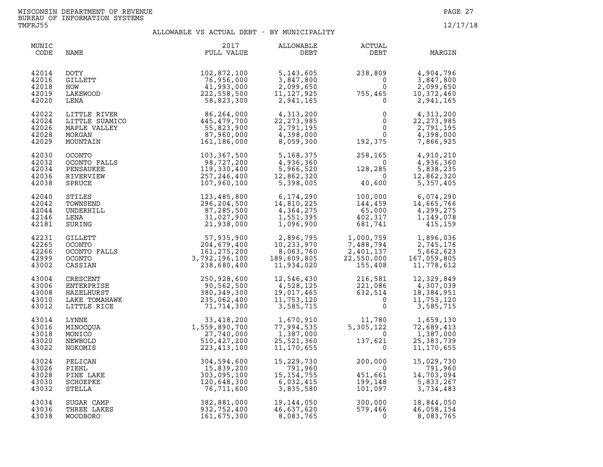| MUNIC<br>CODE                             | NAME                                                                 | 2017<br>FULL VALUE                                                                                                                                                                                | ALLOWABLE<br>DEBT                                                                                                        | ACTUAL<br>DEBT                                                                                                          | MARGIN                                                             |
|-------------------------------------------|----------------------------------------------------------------------|---------------------------------------------------------------------------------------------------------------------------------------------------------------------------------------------------|--------------------------------------------------------------------------------------------------------------------------|-------------------------------------------------------------------------------------------------------------------------|--------------------------------------------------------------------|
| 42014<br>42016<br>42018<br>42019<br>42020 | DOTY<br>GILLETT<br>HOW<br>LAKEWOOD<br>LENA                           | 102,872,100<br>76,956,000<br>41,993,000<br>222,558,500<br>58,823,300                                                                                                                              | 5, 143, 605<br>3,847,800<br>$11,127,342$<br>2,941,165                                                                    | $238,809$<br>0<br>755,465<br>755,465                                                                                    | 4,904,796<br>3,847,800<br>2,099,650<br>10,372,460<br>2,941,165     |
| 42022<br>42024<br>42026<br>42028<br>42029 | LITTLE RIVER<br>LITTLE SUAMICO<br>MAPLE VALLEY<br>MORGAN<br>MOUNTAIN | 86,264,000<br>445,479,700<br>55,823,900<br>87,960,000<br>161,186,000                                                                                                                              | $4,313,200$<br>$22,273$<br>2,791,195<br>4,398,000<br>8,059,300                                                           | 0<br>$\mathsf{O}\xspace$<br>$\overline{0}$<br>$\Omega$<br>192,375                                                       | 4,313,200<br>22, 273, 985<br>2,791,195<br>4,398,000<br>7,866,925   |
| 42030<br>42032<br>42034<br>42036<br>42038 | <b>OCONTO</b><br>OCONTO FALLS<br>PENSAUKEE<br>RIVERVIEW<br>SPRUCE    | 103,367,500<br>98,727,200<br>119,330,400<br>257, 246, 400<br>107,960,100                                                                                                                          | 5,168,375<br>4,936,360<br>5,966,520<br>12,862,320<br>5,398,005<br>5,398,005                                              | 258,165<br>$\overline{\mathbf{0}}$<br>$\begin{array}{c} 128 \end{array},$<br>40,<br>128,285<br>$\overline{0}$<br>40,600 | 4,910,210<br>4,936,360<br>5,838,235<br>12,862,320<br>5,357,405     |
| 42040<br>42042<br>42044<br>42146<br>42181 | STILES<br>TOWNSEND<br>UNDERHILL<br>LENA<br>SURING                    | 123,485,800<br>296,204,500<br>87,285,500<br>31,027,900<br>21,938,000                                                                                                                              | 6,174,290<br>14,810,225<br>14,810,225<br>$\begin{array}{c} 4,364,275 \\ 1,551,395 \end{array}$<br>1,551,395<br>1,096,900 | $100,000$ 6,074,290<br>$144,459$ 14,665,766<br>65,000 4,299,275<br>$402,317$ 1,149,078<br>402,317<br>681,741            | 1,149,078<br>415,159                                               |
| 42231<br>42265<br>42266<br>42999<br>43002 | <b>GILLETT</b><br>OCONTO<br>OCONTO FALLS<br><b>OCONTO</b><br>CASSIAN |                                                                                                                                                                                                   | 2,896,795<br>10,233,970<br>8,063,760<br>189,609,805<br>11,934,020                                                        | 1,000,759<br>$7,488,794$<br>$2,401,137$<br>$22,550,000$<br>$155,408$                                                    | 1,896,036<br>2,745,176<br>5,662,623<br>167,059,805<br>11,778,612   |
| 43004<br>43006<br>43008<br>43010<br>43012 | CRESCENT<br>ENTERPRISE<br>HAZELHURST<br>LAKE TOMAHAWK<br>LITTLE RICE | 57, 935, 900<br>204, 679, 400<br>161, 275, 200<br>3, 792, 196, 100<br>238, 680, 400<br>250, 928, 600<br>90, 562, 500<br>380, 349, 300<br>33, 418, 20<br>33, 418, 20<br>33, 418, 20<br>33, 418, 20 | 12,546,430<br>4,528,125<br>19,017,465<br>11,753,120<br>3,585,715                                                         | 216,581<br>221,086<br>632,514<br>0<br>216,581<br>221,086<br>632,514                                                     | 12,329,849<br>4,307,039<br>18,384,951<br>11,753,120<br>3,585,715   |
| 43014<br>43016<br>43018<br>43020<br>43022 | LYNNE<br>MINOCQUA<br>MONICO<br>NEWBOLD<br>NOKOMIS                    | $33,418,200$<br>$1,559,890,700$<br>$27,740,000$<br>$510,427,200$<br>$223,413,100$                                                                                                                 | 1,670,910<br>77,994,535<br>1,387,000<br>25,521,360<br>11,170,655                                                         | $\frac{11}{205}$ , 780<br>5,305,122<br>$\overline{0}$<br>137,621<br>$\mathbf 0$                                         | 1,659,130<br>72,689,413<br>1,387,000<br>25, 383, 739<br>11,170,655 |
| 43024<br>43026<br>43028<br>43030<br>43032 | PELICAN<br>PIEHL<br>PINE LAKE<br>SCHOEPKE<br>STELLA                  | 304,594,600<br>15,839,200<br>303,095,100<br>120,648,300<br>76,711,600                                                                                                                             | 15,229,730<br>791,960<br>15, 154, 755<br>6,032,415<br>3,835,580                                                          | 200,000<br>$\overline{0}$<br>451,661<br>199,148<br>101,097                                                              | 15,029,730<br>791,960<br>14,703,094<br>5,833,267<br>3,734,483      |
| 43034<br>43036<br>43038                   | SUGAR CAMP<br>THREE LAKES<br>WOODBORO                                | 382,881,000<br>932,752,400<br>161,675,300                                                                                                                                                         | 19,144,050<br>46,637,620<br>8,083,765                                                                                    | 300,000<br>579,466<br>$\Omega$                                                                                          | 18,844,050<br>46,058,154<br>8,083,765                              |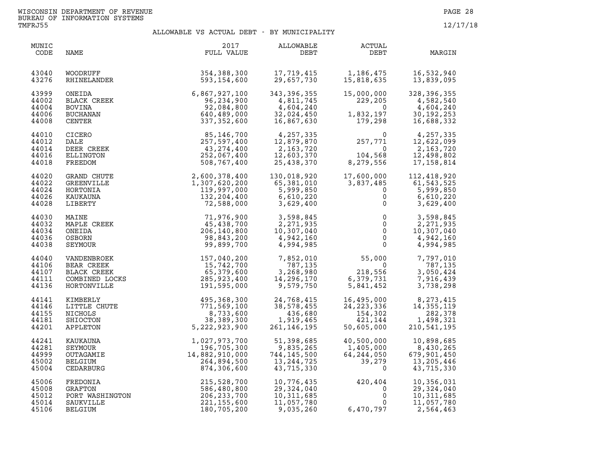| MUNIC<br>CODE                             | NAME                                                                | 2017<br>FULL VALUE                                                                 | ALLOWABLE<br>DEBT                                                    | ACTUAL<br>DEBT                                                              | MARGIN                                                             |
|-------------------------------------------|---------------------------------------------------------------------|------------------------------------------------------------------------------------|----------------------------------------------------------------------|-----------------------------------------------------------------------------|--------------------------------------------------------------------|
| 43040                                     | WOODRUFF                                                            | 354,388,300                                                                        | 17,719,415                                                           | 1,186,475                                                                   | 16,532,940                                                         |
| 43276                                     | RHINELANDER                                                         | 593,154,600                                                                        | 29,657,730                                                           | 15,818,635                                                                  | 13,839,095                                                         |
| 43999                                     | ONEIDA                                                              | 6,867,927,100                                                                      | 343,396,355                                                          | 15,000,000                                                                  | 328,396,355                                                        |
| 44002                                     | BLACK CREEK                                                         | 96,234,900                                                                         | 4,811,745                                                            | 229,205                                                                     | 4,582,540                                                          |
| 44004                                     | BOVINA                                                              | 92,084,800                                                                         | 4,604,240                                                            | $\overline{0}$                                                              | 4,604,240                                                          |
| 44006                                     | BUCHANAN                                                            | 640,489,000                                                                        | 32,024,450                                                           | 1,832,197                                                                   | 30, 192, 253                                                       |
| 44008                                     | CENTER                                                              | 337,352,600                                                                        | 16,867,630                                                           | 179,298                                                                     | 16,688,332                                                         |
| 44010                                     | <b>CICERO</b>                                                       | 85,146,700                                                                         | 4,257,335                                                            | $\Omega$                                                                    | 4,257,335                                                          |
| 44012                                     | DALE                                                                | 257,597,400                                                                        | 12,879,870                                                           | 257,771                                                                     | 12,622,099                                                         |
| 44014                                     | DEER CREEK                                                          | 43,274,400                                                                         | 2,163,720                                                            | $\overline{0}$                                                              | 2,163,720                                                          |
| 44016                                     | ELLINGTON                                                           | 252,067,400                                                                        | 12,603,370                                                           | 104,568                                                                     | 12,498,802                                                         |
| 44018                                     | FREEDOM                                                             | 508,767,400                                                                        | 25,438,370                                                           | 8,279,556                                                                   | 17, 158, 814                                                       |
| 44020<br>44022<br>44024<br>44026<br>44028 | <b>GRAND CHUTE</b><br>GREENVILLE<br>HORTONIA<br>KAUKAUNA<br>LIBERTY | 2,600,378,400<br>1,307,620,200<br>119,997,000<br>132,204,400<br>72,588,000         | 130,018,920<br>65,381,010<br>5,999,850<br>6,610,220<br>3,629,400     | $17,600,7$<br>3,837,485<br>$\mathbf{0}$<br>$\mathsf{O}$<br>$\mathbf 0$      | 112,418,920<br>61,543,525<br>5,999,850<br>6,610,220<br>3,629,400   |
| 44030<br>44032<br>44034<br>44036<br>44038 | MAINE<br>MAPLE CREEK<br>ONEIDA<br>OSBORN<br>SEYMOUR                 | 71,976,900<br>45,438,700<br>206,140,800<br>98,843,200<br>99,899,700                | 3,598,845<br>2,271,935<br>10,307,040<br>4,942,160<br>4,994,985       | $\mathsf{O}$<br>$\mathsf{O}$<br>$\mathsf{O}$<br>$\mathbf 0$<br>$\mathbf{0}$ | 3,598,845<br>2,271,935<br>10,307,040<br>4,942,160<br>4,994,985     |
| 44040                                     | VANDENBROEK                                                         | 157,040,200                                                                        | 7,852,010                                                            | 55,000                                                                      | 7,797,010                                                          |
| 44106                                     | BEAR CREEK                                                          | 15,742,700                                                                         | 787,135                                                              | $\overline{0}$                                                              | 787,135                                                            |
| 44107                                     | BLACK CREEK                                                         | 65,379,600                                                                         | 3,268,980                                                            | 218,556                                                                     | 3,050,424                                                          |
| 44111                                     | COMBINED LOCKS                                                      | 285,923,400                                                                        | 14,296,170                                                           | 6,379,731                                                                   | 7,916,439                                                          |
| 44136                                     | HORTONVILLE                                                         | 191,595,000                                                                        | 9,579,750                                                            | 5,841,452                                                                   | 3,738,298                                                          |
| 44141                                     | KIMBERLY                                                            | 495,368,300                                                                        | 24,768,415                                                           | 16,495,000<br>24,223,336                                                    | 8,273,415                                                          |
| 44146                                     | LITTLE CHUTE                                                        | 771,569,100                                                                        | 38,578,455                                                           | 24, 223, 336                                                                | 14, 355, 119                                                       |
| 44155                                     | NICHOLS                                                             | 8,733,600                                                                          | 436,680                                                              | 154,302                                                                     | 282,378                                                            |
| 44181                                     | SHIOCTON                                                            | 38, 389, 300                                                                       | 1,919,465                                                            | 421,144                                                                     | 1,498,321                                                          |
| 44201                                     | APPLETON                                                            | 5,222,923,900                                                                      | 261, 146, 195                                                        | 50,605,000                                                                  | 210,541,195                                                        |
| 44241<br>44281<br>44999<br>45002<br>45004 | KAUKAUNA<br>SEYMOUR<br>OUTAGAMIE<br>BELGIUM<br>CEDARBURG            | 1,027,973,700<br>196,705,300<br>$14,882,910,000$<br>$264,894,500$<br>$874,306,600$ | 51,398,685<br>9,835,265<br>744,145,500<br>13, 244, 725<br>43,715,330 | 40,500,000<br>1,405,000<br>64,244,050<br>39,279<br>$\mathbf 0$              | 10,898,685<br>8,430,265<br>679,901,450<br>13,205,446<br>43,715,330 |
| 45006                                     | FREDONIA                                                            | 215,528,700                                                                        | 10,776,435                                                           | 420,404                                                                     | 10,356,031                                                         |
| 45008                                     | GRAFTON                                                             | 586,480,800                                                                        | 29,324,040                                                           | $\mathbf 0$                                                                 | 29,324,040                                                         |
| 45012                                     | PORT WASHINGTON                                                     | 206, 233, 700                                                                      | 10, 311, 685                                                         | $\mathsf{O}\xspace$                                                         | 10,311,685                                                         |
| 45014                                     | SAUKVILLE                                                           | 221, 155, 600                                                                      | 11,057,780                                                           | 0                                                                           | 11,057,780                                                         |
| 45106                                     | BELGIUM                                                             | 180,705,200                                                                        | 9,035,260                                                            | 6,470,797                                                                   | 2,564,463                                                          |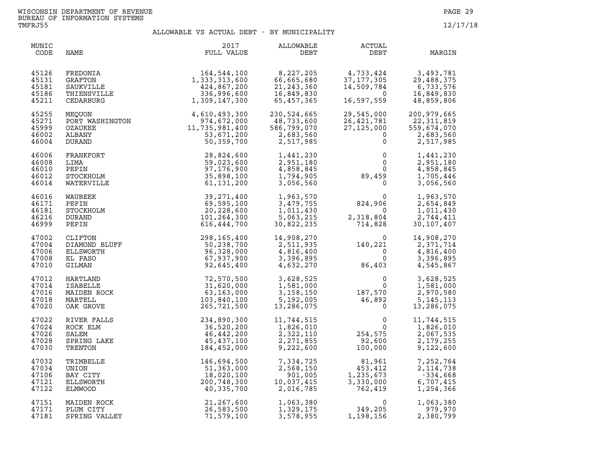| MUNIC<br>CODE                             | NAME                                                                                                                                                          | 2017<br>FULL VALUE                                                                                                                                                                                                                         | <b>ALLOWABLE</b><br>DEBT                                            | <b>ACTUAL</b><br>DEBT                                                                                                                                                     | MARGIN                                                                                     |
|-------------------------------------------|---------------------------------------------------------------------------------------------------------------------------------------------------------------|--------------------------------------------------------------------------------------------------------------------------------------------------------------------------------------------------------------------------------------------|---------------------------------------------------------------------|---------------------------------------------------------------------------------------------------------------------------------------------------------------------------|--------------------------------------------------------------------------------------------|
| 45126<br>45131<br>45181<br>45186<br>45211 | FREDONIA<br>GRAFTON<br>SAUKVILLE<br>THIENSVILLE<br>CEDARBURG                                                                                                  | 164,544,100<br>1,333,313,600<br>424,867,200<br>336,996,600<br>1,309,147,300                                                                                                                                                                | 8,227,205<br>66,665,680<br>21, 243, 360<br>16,849,830<br>65,457,365 | $\frac{4}{2}$ , 733, 424<br>$\overline{0}$<br>16,597,559                                                                                                                  | $3,493,781$<br>37,177,305<br>14,509,784<br>14,509,784<br>6.733<br>16,849,830<br>48,859,806 |
| 45255<br>45271<br>45999<br>46002<br>46004 |                                                                                                                                                               |                                                                                                                                                                                                                                            | 230,524,665<br>48,733,600<br>586,799,070<br>2,683,560<br>2,517,985  | 29,545,000 20<br>26,421,781 2<br>27,125,000 55<br>0<br>$\mathsf{O}$                                                                                                       | 200,979,665<br>22,311,819<br>559,674,070<br>2,683,560<br>2,517,985                         |
| 46006<br>46008<br>46010<br>46012<br>46014 |                                                                                                                                                               | MEQUON<br>PORT WASHINGTON<br>PORT WASHINGTON<br>274,672,000<br>CZAUKEE<br>ALBANY<br>DURAND<br>DURAND<br>FRANKFORT<br>LIMA<br>EFRANKFORT<br>28,824,600<br>DEPIN<br>37,176,900<br>37,176,900<br>37,176,900<br>VATERVILLE<br>AUBEFK<br>AUBEFK | 1,441,230<br>2,951,180<br>4,858,845<br>1,794,905<br>3,056,560       | $\begin{smallmatrix} & & & 0\ & & & 0\ & & & 0\ & & & & 0\ & & & & 0\ & & & & 0\ & & & & & 0\end{smallmatrix}$                                                            | 1,441,230<br>2,951,180<br>4,858,845<br>1,705,446<br>3,056,560                              |
| 46016<br>46171<br>46181<br>46216<br>46999 | WAUBEEK<br>PEPIN<br>STOCKHOLM<br>DURAND<br>PEPIN                                                                                                              | 39,271,400<br>69,595,100<br>20,228,600<br>101,264,300<br>616,444,700                                                                                                                                                                       | 1,963,570<br>3,479,755<br>1,011,430<br>5,063,215<br>30,822,235      | $\mathbf 0$<br>824,906<br>$\overline{0}$<br>2,318,804<br>2,318,804<br>714,828                                                                                             | 1,963,570<br>2,654,849<br>1,011,430<br>2,744,411<br>30, 107, 407                           |
| 47002<br>47004<br>47006<br>47008<br>47010 | PEPIN<br>CLIFTON<br>DIAMOND BLUFF<br>ELLSWORTH<br>EL PASO<br>GILMAN<br>HARTLAND<br>HARTLAND<br>ISABELLE<br>MAIDEN ROCK<br>MARTELL<br>MAIDEN ROCK<br>OAK GROVE | 298,165,400<br>50,238,700<br>96,328,000<br>67,937,900<br>92,645,400                                                                                                                                                                        |                                                                     | $\begin{array}{llll} 14\,, 908\,, 270 & 0\\ 2\,, 511\,, 935 & 140\,, 221\\ 4\,, 816\,, 400 & 0\\ 3\,, 396\,, 895 & 0\\ 4\,, 632\,, 270 & 86\,, 403 \end{array}$<br>86,403 | 14,908,270<br>2,371,714<br>4,816,400<br>3,396,895<br>4,545,867                             |
| 47012<br>47014<br>47016<br>47018<br>47020 |                                                                                                                                                               | 72,570,500<br>31,620,000<br>63,163,000<br>103,840,100<br>265,721,500                                                                                                                                                                       | 3,628,525<br>1,581,000<br>3,158,150<br>5,192,005<br>13,286,075      | $\begin{smallmatrix}&&&0\0&&&0\187,570\46,892\0\end{smallmatrix}$                                                                                                         | $0 \qquad \qquad$<br>3,628,525<br>1,581,000<br>2,970,580<br>5, 145, 113<br>13,286,075      |
| 47022<br>47024<br>47026<br>47028<br>47030 | RIVER FALLS<br>ROCK ELM<br>SALEM<br>SPRING LAKE<br>TRENTON                                                                                                    | 234,890,300<br>36,520,200<br>46,442,200<br>45,437,100<br>184,452,000                                                                                                                                                                       | 11,744,515<br>1,826,010<br>2,322,110<br>2,271,855<br>9,222,600      | $\begin{smallmatrix}&&&0\\&&&0\\0&254&575\end{smallmatrix}$<br>$92,600$<br>100.000<br>100,000                                                                             | 11,744,515<br>1,826,010<br>2,067,535<br>2,179,255<br>9,122,600                             |
| 47032<br>47034<br>47106<br>47121<br>47122 | TRIMBELLE<br>UNION<br>BAY CITY<br>ELLSWORTH<br>ELMWOOD                                                                                                        | 146,694,500<br>51,363,000<br>18,020,100<br>200,748,300<br>40,335,700                                                                                                                                                                       | 7,334,725<br>2,568,150<br>901,005<br>10,037,415<br>2,016,785        | 81,961<br>81,961<br>453,412<br>$1,235,673$<br>3,330,000<br>$752$<br>$752$<br>419                                                                                          | 7,252,764<br>2, 114, 738<br>$-334,668$<br>6,707,415<br>1,254,366                           |
| 47151<br>47171<br>47181                   | MAIDEN ROCK<br>PLUM CITY<br>SPRING VALLEY                                                                                                                     | 21,267,600<br>26,583,500<br>71,579,100                                                                                                                                                                                                     | 1,063,380<br>1,329,175<br>3,578,955                                 | $0$<br>349,205<br>1,198,156                                                                                                                                               | 1,063,380<br>979,970<br>2,380,799                                                          |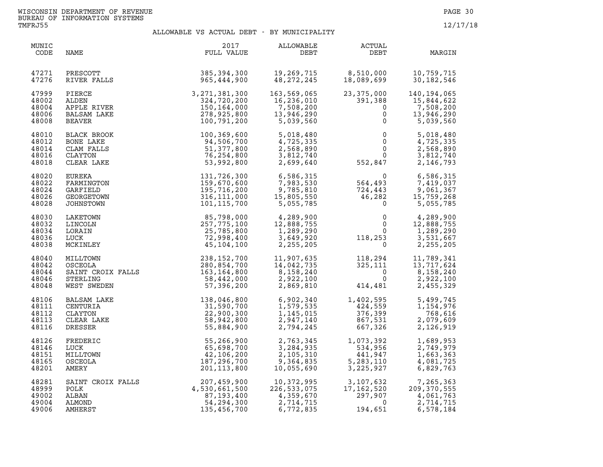| MUNIC<br>CODE                             | NAME                                                                                                                      | 2017<br>FULL VALUE                                                                   | ALLOWABLE<br>DEBT                                                                           | ACTUAL<br>DEBT                                                                                                                    | MARGIN                                                              |
|-------------------------------------------|---------------------------------------------------------------------------------------------------------------------------|--------------------------------------------------------------------------------------|---------------------------------------------------------------------------------------------|-----------------------------------------------------------------------------------------------------------------------------------|---------------------------------------------------------------------|
| 47271<br>47276                            | PRESCOTT<br>RIVER FALLS                                                                                                   | 385, 394, 300<br>965,444,900                                                         | 19,269,715<br>48, 272, 245                                                                  | 8,510,000<br>18,089,699                                                                                                           | 10,759,715<br>30, 182, 546                                          |
| 47999<br>48002<br>48004<br>48006<br>48008 | PIERCE<br>ALDEN<br>APPLE RIVER<br><b>BALSAM LAKE</b><br>BEAVER                                                            | 3, 271, 381, 300<br>324, 720, 200<br>150, 164, 000<br>278, 925, 800<br>100, 791, 200 | 163,569,065<br>16,236,010<br>10,230,010<br>7,508,200<br>13,946,290<br>5,039,560             | 23,375,000<br>391,388<br>$\Omega$<br>0<br>$\mathbf 0$                                                                             | 140, 194, 065<br>15,844,622<br>7,508,200<br>13,946,290<br>5,039,560 |
| 48010<br>48012<br>48014<br>48016<br>48018 | BLACK BROOK<br>BONE LAKE<br>CLAM FALLS<br>CLAYTON<br>CLEAR LAKE                                                           | 100,369,600<br>94,506,700<br>51,377,800<br>76,254,800<br>53,992,800                  | 5,018,480<br>4,725,335<br>2,568,890<br>3,812,740<br>2,699,640                               | $\begin{array}{c} 0 \\ 0 \\ 0 \\ 0 \\ 552,847 \end{array}$                                                                        | 5,018,480<br>4,725,335<br>2,568,890<br>3,812,740<br>2,146,793       |
| 48020<br>48022<br>48024<br>48026<br>48028 | EUREKA<br>FARMINGTON<br>GARFIELD<br>GEORGETOWN<br>JOHNSTOWN                                                               | 131,726,300<br>159,670,600<br>195,716,200<br>316, 111, 000<br>101,115,700            | 6,586,315<br>7,983,530<br>9,785,810<br>15,805,550<br>5,055,785                              | $\begin{array}{cc} & 0 & 6,586,315 \ 564,493 & 7,419,037 \ 724,443 & 9,061,367 \ 46,282 & 15,759,268 \ 0 & 5,055,785 \end{array}$ |                                                                     |
| 48030<br>48032<br>48034<br>48036<br>48038 | LAKETOWN<br>LINCOLN<br>LORAIN<br>LUCK<br>MCKINLEY                                                                         | 85,798,000<br>257,775,100<br>25,785,800<br>72,998,400<br>45,104,100                  | 4,289,900<br>12,888.755<br>$1,289,290$<br>$3,649,920$<br>$2,255,205$                        | $\begin{smallmatrix} & & 0\ & & & 0\ & & & 0\ & & & & 0\ & 118\, ,253\ & & & & 0\end{smallmatrix}$                                | 4,289,900<br>12,888,755<br>1,289,290<br>3,531,667<br>2,255,205      |
| 48040<br>48042<br>48044<br>48046<br>48048 | MILLTOWN 238, 152, 700<br>OSCEOLA 280, 854, 700<br>SAINT CROIX FALLS 163, 164, 800<br>STEPLING<br>STERLING<br>WEST SWEDEN | 58,442,000<br>57,396,200                                                             | 11,907,635<br>14,042,735<br>8,158,240<br>2,922,100<br>2,869,810<br>11,907,635<br>14,042,735 | $118,294$<br>$325,111$<br>$0$<br>$414,481$<br>414,481                                                                             | 11,789,341<br>13,717,624<br>8,158,240<br>2,922,100<br>2,455,329     |
| 48106<br>48111<br>48112<br>48113<br>48116 | BALSAM LAKE<br>CENTURIA<br>CLAYTON<br>CLEAR LAKE<br>DRESSER                                                               | 138,046,800<br>31,590,700<br>22,900,300<br>58,942,800<br>55,884,900                  | 6,902,340<br>1,579,535<br>1,145,015<br>2,947,140<br>2,794,245                               | 1,402,595<br>424,559<br>$\ddot{ }$<br>376,399<br>867,531<br>667,326                                                               | 5,499,745<br>1,154,976<br>768,616<br>2,079,609<br>2,126,919         |
| 48126<br>48146<br>48151<br>48165<br>48201 | FREDERIC<br>LUCK<br>MILLTOWN<br>OSCEOLA<br>AMERY                                                                          | 55,266,900<br>65,698,700<br>42,106,200<br>187,296,700<br>201,113,800                 | 2,763,345<br>2,763,345<br>3,284,935<br>2,105,310<br>9,364,835<br>10,055,690<br>10,055,690   | $\begin{array}{c} 1,073\,, 392\ 534\,, 956\ 441\,, 947\ 5,283\,, 110\ 3,225\,, 927 \end{array}$                                   | 1,689,953<br>2,749,979<br>1,663,363<br>4,081,725<br>6,829,763       |
| 48281<br>48999<br>49002<br>49004<br>49006 | SAINT CROIX FALLS<br>POLK<br>ALBAN<br>ALMOND<br>AMHERST                                                                   | 207,459,900<br>4,530,661,500<br>87,193,400<br>54,294,300<br>135,456,700              | 10,372,995<br>226,533 <i>.</i> 075<br>4,359,670<br>2,714,715<br>6,772,835                   | $3,107,632$<br>$17,162,520$<br>$297,907$<br>$0$<br>$194.651$<br>194,651                                                           | 7,265,363<br>209, 370, 555<br>4,061,763<br>2,714,715<br>6,578,184   |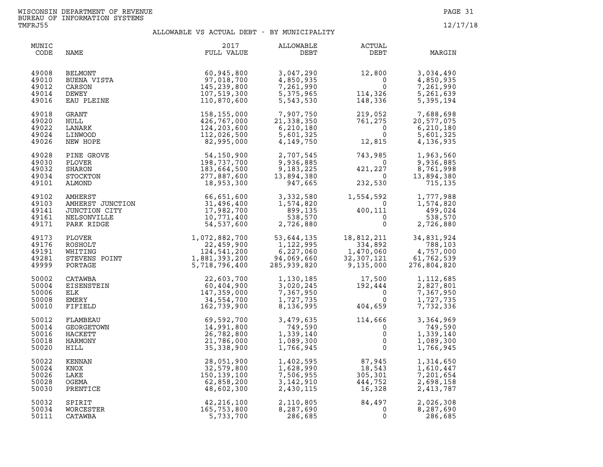| MUNIC<br>CODE                             | NAME                                                                                    | 2017<br>FULL VALUE                                                                         | ALLOWABLE<br>DEBT                                                                                                                                          | ACTUAL<br>DEBT                                                                                                                               | MARGIN                                                          |
|-------------------------------------------|-----------------------------------------------------------------------------------------|--------------------------------------------------------------------------------------------|------------------------------------------------------------------------------------------------------------------------------------------------------------|----------------------------------------------------------------------------------------------------------------------------------------------|-----------------------------------------------------------------|
| 49008<br>49010<br>49012<br>49014<br>49016 | <b>BELMONT</b><br>BUENA VISTA<br>CARSON<br>DEWEY<br>EAU PLEINE                          | 60,945,800<br>97,018,700<br>145,239,800<br>107,519,300<br>110,870,600                      | 3,047,290<br>4,850,935<br>7,261,990<br>5,375,965<br>5,543,530                                                                                              | $\begin{array}{r} 12,800 \\ 0 \\ 0 \\ 114,326 \\ 148,336 \end{array}$<br>0<br>114,326<br>148,336                                             | 3,034,490<br>4,850,935<br>7,261,990<br>5,261,639<br>5,395,194   |
| 49018<br>49020<br>49022<br>49024<br>49026 | GRANT<br>HULL<br>LANARK<br>LINWOOD<br>NEW HOPE                                          | 158,155,000<br>426,767,000<br>124,203,600<br>112,026,500<br>82,995,000                     | 7,907,750<br>21,338,350<br>6,210,180<br>5,601,325<br>4,149,750                                                                                             | $219,052\n761,275\n0\n0\n12,815$<br>12,815                                                                                                   | 7,688,698<br>20,577,075<br>6,210,180<br>5,601,325<br>4,136,935  |
| 49028<br>49030<br>49032<br>49034<br>49101 | PINE GROVE<br>PLOVER<br><b>SHARON</b><br>STOCKTON<br>ALMOND                             | 54,150,900<br>198,737,700<br>183,664,500<br>277,887,600<br>18,953,300                      | 2,707,545<br>9,936,885<br>9,183,225<br>13,894,380<br>947,665                                                                                               | $743,985$<br>$421,227$<br>$232,530$<br>$\overline{0}$<br>$421,227$<br>0<br>232,530                                                           | 1,963,560<br>9,936,885<br>8,761,998<br>13,894,380<br>715,135    |
| 49102<br>49103<br>49141<br>49161<br>49171 | AWHERST<br>AMHERST JUNCTION<br>JUNCTION CITY<br>NELSONVILLE<br>PARK RIDGE<br>PARK RIDGE |                                                                                            | $\begin{array}{ll} 66,651,600 & 3,332,580 \\ 31,496,400 & 1,574,820 \\ 17,982,700 & 899,135 \\ 10,771,400 & 538,570 \\ 54,537,600 & 2,726,880 \end{array}$ | $\begin{array}{ccc} 1,554\,,592 & 1,777\,,988\ 0 & 0 & 1,574\,,820\ 400\,,111 & 499\,,024\ 0 & 0 & 538\,,570\ 0 & 2\,,726\,,880 \end{array}$ |                                                                 |
| 49173<br>49176<br>49191<br>49281<br>49999 | PLOVER<br>ROSHOLT<br>WHITING<br>STEVENS POINT<br>PORTAGE                                | 1,072,882,700<br>22,459,900<br>22,459,900<br>124,541,200<br>1,881,393,200<br>5,718,796,400 | 53,644,135<br>1,122,995<br>6,227,060<br>94,069,660<br>285,939,820                                                                                          | 18,812,211<br>334.892<br>18,812,211<br>334,892<br>1,470,060<br>32,307,121<br>1,470,060<br>32,307,121<br>9,135,000                            | 34,831,924<br>788,103<br>4,757,000<br>61,762,539<br>276,804,820 |
| 50002<br>50004<br>50006<br>50008<br>50010 | CATAWBA<br>EISENSTEIN<br>ELK<br>EMERY<br>FIFIELD                                        | 22,603,700<br>60,404,900<br>147,359,000<br>34,554,700<br>162,739,900                       | 8,136,995                                                                                                                                                  | $1,130,185$<br>$3,020,245$<br>$7,367,950$<br>$1,727,735$<br>$0$<br>404,659                                                                   | 1,112,685<br>2,827,801<br>7,367,950<br>1,727,735<br>7,732,336   |
| 50012<br>50014<br>50016<br>50018<br>50020 | FLAMBEAU<br>GEORGETOWN<br>HACKETT<br>HARMONY<br>HILL                                    | 69,592,700<br>14,991,800<br>26,782,800<br>21,786,000<br>35,338,900                         | 3,479,635<br>749,590<br>1,339,140<br>1,089,300<br>1,766,945                                                                                                | 114,666<br>0<br>$\mathsf{O}$<br>$\mathsf{O}$<br>$\mathbf{0}$                                                                                 | 3,364,969<br>749,590<br>1,339,140<br>1,089,300<br>1,766,945     |
| 50022<br>50024<br>50026<br>50028<br>50030 | KENNAN<br>KNOX<br>LAKE<br>OGEMA<br>PRENTICE                                             | 28,051,900<br>32,579,800<br>150, 139, 100<br>62,858,200<br>48,602,300                      | 1,402,595<br>1,628,990<br>7,506,955<br>3, 142, 910<br>2,430,115                                                                                            | 87,945<br>18,543<br>$\frac{07}{543}$<br>305 301<br>305,301<br>444,752<br>16,328                                                              | 1,314,650<br>1,610,447<br>7,201,654<br>2,698,158<br>2,413,787   |
| 50032<br>50034<br>50111                   | SPIRIT<br>WORCESTER<br>CATAWBA                                                          | 42,216,100<br>165,753,800<br>5,733,700                                                     | 2,110,805<br>8,287,690<br>286,685                                                                                                                          | $84,497$<br>0<br>$\mathbf 0$                                                                                                                 | 2,026,308<br>8,287,690<br>286,685                               |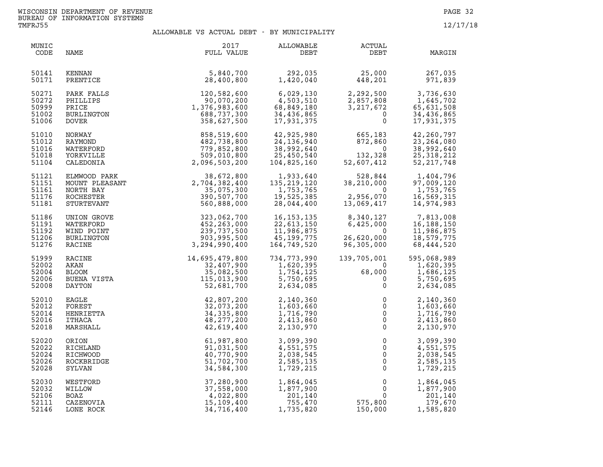| MUNIC<br>CODE                             | NAME                                                                   | 2017<br>FULL VALUE                                                                       | ALLOWABLE<br>DEBT                                                   | ACTUAL<br>DEBT                                                                             | MARGIN                                                                                     |
|-------------------------------------------|------------------------------------------------------------------------|------------------------------------------------------------------------------------------|---------------------------------------------------------------------|--------------------------------------------------------------------------------------------|--------------------------------------------------------------------------------------------|
| 50141                                     | <b>KENNAN</b>                                                          | 5,840,700                                                                                | 292,035                                                             | 25,000                                                                                     | 267,035                                                                                    |
| 50171                                     | PRENTICE                                                               | 28,400,800                                                                               | 1,420,040                                                           | 448,201                                                                                    | 971,839                                                                                    |
| 50271<br>50272<br>50999<br>51002<br>51006 | PARK FALLS<br>PHILLIPS<br>PRICE<br>BURLINGTON<br><b>DOVER</b>          | 120,582,600<br>90,070,200<br>1,376,983,600<br>688,737,300<br>358,627,500                 | 6,029,130<br>4,503,510<br>68,849,180<br>34,436,865<br>17,931,375    | 2,857,808<br>3, 217, 672<br>$\mathbf{0}$<br>$\Omega$                                       | 2,292,500 3,736,630<br>$1,645,702$<br>65,631,508<br>34,436,865<br>34,436,865<br>17,931,375 |
| 51010                                     | NORWAY                                                                 | 858,519,600                                                                              | 42,925,980                                                          | 665,183                                                                                    | 42,260,797                                                                                 |
| 51012                                     | RAYMOND                                                                | 482,738,800                                                                              | 24, 136, 940                                                        | 872,860                                                                                    | 23, 264, 080                                                                               |
| 51016                                     | WATERFORD                                                              | 779,852,800                                                                              | 38,992,640                                                          | $\overline{0}$                                                                             | 38,992,640                                                                                 |
| 51018                                     | YORKVILLE                                                              | 509,010,800                                                                              | 25,450,540                                                          | 132,328                                                                                    | 25, 318, 212                                                                               |
| 51104                                     | CALEDONIA                                                              | 2,096,503,200                                                                            | 104,825,160                                                         | 52,607,412                                                                                 | 52, 217, 748                                                                               |
| 51121<br>51151<br>51161<br>51176<br>51181 | ELMWOOD PARK<br>MOUNT PLEASANT<br>NORTH BAY<br>ROCHESTER<br>STURTEVANT | 38,672,800<br>2,704,382,400<br>35,075,300<br>390,507,700<br>560,888,000                  | 1,933,640<br>135, 219, 120<br>1,753,765<br>19,525,385<br>28,044,400 | 528,844<br>210,000<br>38,210,000<br>$\overline{0}$<br>2,956,070<br>2,956,070<br>13,069,417 | 1,404,796<br>97,009,120<br>1,753,765<br>16,569,315<br>14,974,983                           |
| 51186                                     | UNION GROVE                                                            | 323,062,700<br>452,263,000<br>239,737,500<br>903,995,500<br>3,294,990,400                | 16, 153, 135                                                        | 8,340,127                                                                                  | 7,813,008                                                                                  |
| 51191                                     | WATERFORD                                                              |                                                                                          | 22,613,150                                                          | 6,425,000                                                                                  | 16, 188, 150                                                                               |
| 51192                                     | WIND POINT                                                             |                                                                                          | 11,986,875                                                          | - 0                                                                                        | 11,986,875                                                                                 |
| 51206                                     | BURLINGTON                                                             |                                                                                          | 45,199,775                                                          | 26,620,000                                                                                 | 18,579,775                                                                                 |
| 51276                                     | RACINE                                                                 |                                                                                          | 164,749,520                                                         | 96,305,000                                                                                 | 68,444,520                                                                                 |
| 51999<br>52002<br>52004<br>52006<br>52008 | RACINE<br>AKAN<br>BLOOM<br>BUENA VISTA<br>DAYTON                       | $\mathcal{L}$<br>14,695,479,800<br>32,407,900<br>35,082,500<br>115,013,900<br>52,681,700 | 734,773,990<br>1,620,395<br>1,754,125<br>5,750,695<br>2,634,085     | 139,705,001<br>$\Omega$<br>68,000<br>$\overline{0}$<br>$\mathbf 0$                         | 595,068,989<br>1,620,395<br>1,686,125<br>5,750,695<br>2,634,085                            |
| 52010                                     | <b>EAGLE</b>                                                           | 42,807,200                                                                               | 2,140,360                                                           | 0                                                                                          | 2,140,360                                                                                  |
| 52012                                     | FOREST                                                                 | 32,073,200                                                                               | 1,603,660                                                           | $\mathbf{0}$                                                                               | 1,603,660                                                                                  |
| 52014                                     | HENRIETTA                                                              | 34, 335, 800                                                                             | 1,716,790                                                           | $\mathsf 0$                                                                                | 1,716,790                                                                                  |
| 52016                                     | ITHACA                                                                 | 48,277,200                                                                               | 2,413,860                                                           | $\mathbf 0$                                                                                | 2,413,860                                                                                  |
| 52018                                     | MARSHALL                                                               | 42,619,400                                                                               | 2,130,970                                                           | $\overline{0}$                                                                             | 2,130,970                                                                                  |
| 52020                                     | ORION                                                                  | 61,987,800                                                                               | 3,099,390                                                           | $\mathbf 0$                                                                                | 3,099,390                                                                                  |
| 52022                                     | RICHLAND                                                               | 91,031,500                                                                               | 4,551,575                                                           | $\mathbf 0$                                                                                | 4,551,575                                                                                  |
| 52024                                     | RICHWOOD                                                               | 40,770,900                                                                               | 2,038,545                                                           | $\overline{0}$                                                                             | 2,038,545                                                                                  |
| 52026                                     | ROCKBRIDGE                                                             | 51,702,700                                                                               | 2,585,135                                                           | $\mathsf 0$                                                                                | 2,585,135                                                                                  |
| 52028                                     | SYLVAN                                                                 | 34,584,300                                                                               | 1,729,215                                                           | $\mathbf 0$                                                                                | 1,729,215                                                                                  |
| 52030                                     | WESTFORD                                                               | 37,280,900                                                                               | 1,864,045                                                           | $\mathbf 0$                                                                                | 1,864,045                                                                                  |
| 52032                                     | MILLOW                                                                 | 37,558,000                                                                               | 1,877,900                                                           | $\overline{0}$                                                                             | 1,877,900                                                                                  |
| 52106                                     | BOAZ                                                                   | 4,022,800                                                                                | 201,140                                                             | $\mathsf{O}$                                                                               | 201,140                                                                                    |
| 52111                                     | CAZENOVIA                                                              | 15,109,400                                                                               | 755,470                                                             | 575,800                                                                                    | 179,670                                                                                    |
| 52146                                     | LONE ROCK                                                              | 34,716,400                                                                               | 1,735,820                                                           | 150,000                                                                                    | 1,585,820                                                                                  |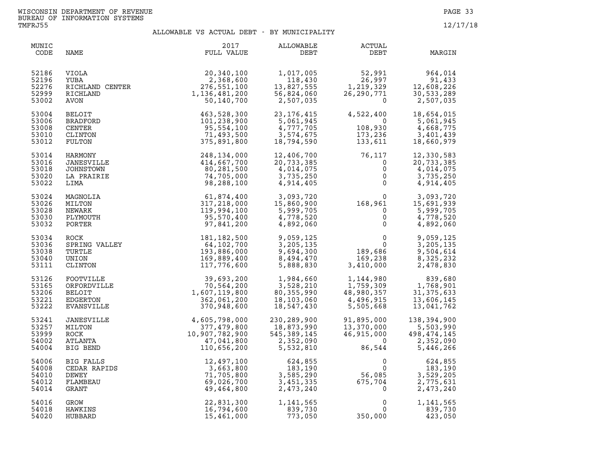| MUNIC<br>CODE                             | NAME                                                                                                                   | 2017<br>FULL VALUE                                                          | ALLOWABLE<br>DEBT                                                    | ACTUAL<br>DEBT                                                                                                    | MARGIN                                                            |
|-------------------------------------------|------------------------------------------------------------------------------------------------------------------------|-----------------------------------------------------------------------------|----------------------------------------------------------------------|-------------------------------------------------------------------------------------------------------------------|-------------------------------------------------------------------|
| 52186<br>52196<br>52276<br>52999<br>53002 | YUBA<br>RICHLAND CENTER<br>RICHLAND 1<br>AVON<br>BELOIT<br>RADFORD<br>ENTER<br>LINTON<br>ILTON 1<br>RMONY<br>TESUTITIC | 20,340,100<br>2,368,600<br>276,551,100<br>1,136,481,200<br>50,140,700       | 1,017,005<br>118,430<br>13,827,555<br>56,824,060<br>2,507,035        | 52,991<br>26,997<br>26,997<br>1,219,329<br>26,290<br>$\mathbf 0$                                                  | 964,014<br>91,433<br>12,608,226<br>30,533,289<br>2,507,035        |
| 53004<br>53006<br>53008<br>53010<br>53012 |                                                                                                                        | 463,528,300<br>101,238,900<br>95,554,100<br>71,493,500<br>375,891,800       | 23, 176, 415<br>5,061,945<br>4,777,705<br>3,574,675<br>18,794,590    | 4,522,400<br>$\overline{\mathbf{0}}$<br>ں<br>108,930<br>173,236<br>173,236<br>133,611                             | 18,654,015<br>5,061,945<br>4,668,775<br>3,401,439<br>18,660,979   |
| 53014<br>53016<br>53018<br>53020<br>53022 | JANESVILLE<br>JOHNSTOWN<br>LA PRAIRIE<br>LIMA                                                                          | 248,134,000<br>414,667,700<br>80,281,500<br>74,705,000<br>98,288,100        | 12,406,700<br>20,733,385<br>4,014,075<br>3,735,250<br>4,914,405      | 76,117<br>$\mathbf 0$<br>$\mathsf{O}$<br>$\Omega$<br>$\mathsf{O}$                                                 | 12,330,583<br>20,733,385<br>4,014,075<br>3,735,250<br>4,914,405   |
| 53024<br>53026<br>53028<br>53030<br>53032 | MAGNOLIA<br>MILTON<br>NEWARK<br>PLYMOUTH<br>PORTER                                                                     | 61,874,400<br>317,218,000<br>119,994,100<br>95,570,400<br>97,841,200        | 3,093,720<br>15,860,900<br>5,999,705<br>4,778,520<br>4,892,060       | $168,961$<br>0 $15,691,939$<br>0 $5,999,705$<br>0 $4,778,520$<br>0 $4,837,060$<br>$\mathbf{0}$                    | 4,892,060                                                         |
| 53034<br>53036<br>53038<br>53040<br>53111 | ROCK<br>SPRING VALLEY<br>TURTLE<br>UNION<br>CLINTON                                                                    | 181, 182, 500<br>64,102,700<br>193,886,000<br>169,889,400<br>117,776,600    | 9,059,125<br>3,205,135<br>9,694,300<br>8,494,470<br>5,888,830        | $\begin{array}{c}0\0\0\189,686\169,238\110,000\end{array}$                                                        | 9,059,125<br>3,205,135<br>9,504,614<br>8,325,232<br>2,478,830     |
| 53126<br>53165<br>53206<br>53221<br>53222 | FOOTVILLE<br>ORFORDVILLE<br>BELOIT<br>EDGERTON<br>EVANSVILLE                                                           | 39,693,200<br>70,564,200<br>1,607,119,800<br>362,061,200<br>370,948,600     | 1,984,660<br>3,528,210<br>80, 355, 990<br>18,103,060<br>18,547,430   | $169, 410, 000$<br>1, 144, 980<br>1, 759, 309<br>1, 759, 309<br>1,144,980<br>1,759,309<br>48,980.357<br>5,505,668 | 839,680<br>1,768,901<br>31, 375, 633<br>13,606,145<br>13,041,762  |
| 53241<br>53257<br>53999<br>54002<br>54004 | JANESVILLE<br>MILTON<br>ROCK<br>ATLANTA<br>BIG BEND                                                                    | 4,605,798,000<br>377,479,800<br>10,907,782,900<br>47,041,800<br>110,656,200 | 230,289,900<br>18,873,990<br>545, 389, 145<br>2,352,090<br>5,532,810 | 91,895,000<br>13,370,000<br>46,915,000<br>$\Omega$<br>86,544                                                      | 138,394,900<br>5,503,990<br>498,474,145<br>2,352,090<br>5,446,266 |
| 54006<br>54008<br>54010<br>54012<br>54014 | BIG FALLS<br>CEDAR RAPIDS<br>DEWEY<br>FLAMBEAU<br>GRANT                                                                | 12,497,100<br>3,663,800<br>71,705,800<br>69,026,700<br>49,464,800           | 624,855<br>183,190<br>3,585,290<br>3,451,335<br>2,473,240            | $\frac{0}{56,085}$<br>675,704                                                                                     | 624,855<br>183,190<br>3,529,205<br>2,775,631<br>2,473,240         |
| 54016<br>54018<br>54020                   | GROW<br>HAWKINS<br>HUBBARD                                                                                             | 22,831,300<br>16,794,600<br>15,461,000                                      | 1,141,565<br>839,730<br>773,050                                      | $\Omega$<br>$\Omega$<br>350,000                                                                                   | 1,141,565<br>839,730<br>423,050                                   |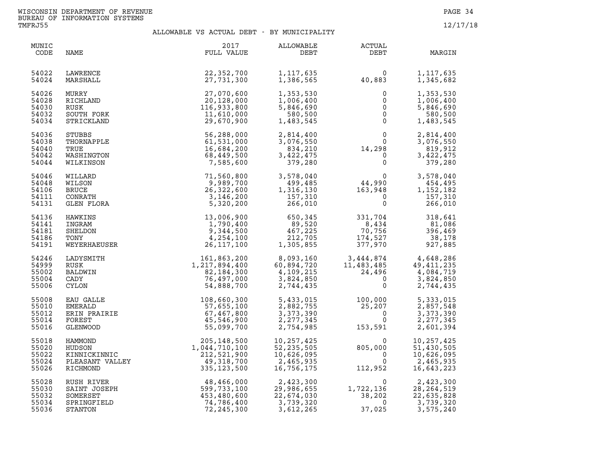| MUNIC<br>CODE                             | NAME                                                              | 2017<br>FULL VALUE                                                                            | ALLOWABLE<br>DEBT                                                                           | ACTUAL<br>DEBT                                                                                                                          | MARGIN                                                            |
|-------------------------------------------|-------------------------------------------------------------------|-----------------------------------------------------------------------------------------------|---------------------------------------------------------------------------------------------|-----------------------------------------------------------------------------------------------------------------------------------------|-------------------------------------------------------------------|
| 54022<br>54024                            | LAWRENCE<br>MARSHALL                                              | 22,352,700<br>27,731,300                                                                      | 1,117,635<br>1,386,565                                                                      | $\Omega$<br>40,883                                                                                                                      | 1,117,635<br>1,345,682                                            |
| 54026<br>54028<br>54030<br>54032<br>54034 | MURRY<br>RICHLAND<br>RUSK<br>SOUTH FORK<br>STRICKLAND             | 27,070,600<br>20,128,000<br>116,933,800<br>11,610,000<br>29,670,900                           | 1,353,530<br>1,006,400<br>5,846,690<br>580,500<br>1,483,545                                 | 0<br>$\mathsf{O}\xspace$<br>$\overline{0}$<br>$\overline{0}$<br>$\mathsf{O}$                                                            | 1,353,530<br>1,006,400<br>5,846,690<br>580,500<br>1,483,545       |
| 54036<br>54038<br>54040<br>54042<br>54044 | STUBBS<br>THORNAPPLE<br>TRUE<br>WASHINGTON<br>WILKINSON           | 56,288,000<br>61,531,000<br>16,684,200<br>68,449,500<br>7,585,600                             | 2,814,400<br>3,076,550<br>834,210<br>3,422,475<br>379,280                                   | $\begin{smallmatrix}&&&0\0&&&&0\0&14\,,298\0&\end{smallmatrix}$<br>$\Omega$<br>$\mathsf 0$                                              | 2,814,400<br>3,076,550<br>819,912<br>3,422,475<br>379,280         |
| 54046<br>54048<br>54106<br>54111<br>54131 | WILLARD<br>WILSON<br><b>BRUCE</b><br>CONRATH<br>GLEN FLORA        | 71,560,800<br>9,989,700<br>26,322,600<br>3,146,200<br>5,320,200                               | 3,578,040<br>499,485<br>1,316,130<br>157,310<br>266,010                                     | $\begin{smallmatrix}&&&0\144,990\163,948\end{smallmatrix}$<br>$\overline{0}$<br>$\mathbf{0}$                                            | 3,578,040<br>454,495<br>1,152,182<br>157,310<br>266,010           |
| 54136<br>54141<br>54181<br>54186<br>54191 | HAWKINS<br>INGRAM<br>SHELDON<br>TONY<br>WEYERHAEUSER              | 13,006,900<br>1,790,400<br>9,344,500<br>4,254,100<br>26, 117, 100                             | $650, 345$<br>$89, 520$<br>467,225<br>212,705<br>1,305,855                                  | 331,704<br>331,704<br>8,434<br>70.756<br>70,756<br>174,527<br>377,970                                                                   | 318,641<br>$318,041$<br>81,086<br>396,469<br>38,178<br>927,885    |
| 54246<br>54999<br>55002<br>55004<br>55006 | LADYSMITH<br>RUSK<br>BALDWIN<br>CADY<br><b>CYLON</b>              | $161, 863, 200$<br>$1, 217, 894, 400$<br>$82, 184, 300$<br>$76, 497, 000$<br>$54, 888, 700$   | 8,093,160<br>60,894 <i>.</i> 720<br>60,894,720<br>$4,109,215$<br>$3,824,850$<br>$2,744,435$ | $3,444,874$<br>$11,483,485$<br>$24,496$<br>$0$<br>$3,824,850$<br>$4,084,719$<br>$3,824,850$<br>$\overline{0}$<br>$\Omega$               | 3,824,850<br>2,744,435                                            |
| 55008<br>55010<br>55012<br>55014<br>55016 | EAU GALLE<br>EMERALD<br>ERIN PRAIRIE<br>FOREST<br><b>GLENWOOD</b> | 108,660,300<br>57,655,100<br>57,467,800<br>45,546,900<br>55,099,700                           | 5,433,015<br>2,882,755<br>3,373,390<br>2, 277, 345<br>2,754,985                             | 100,000<br>25,207<br>0<br>153,591                                                                                                       | 5,333,015<br>2,857,548<br>3,373,390<br>2, 277, 345<br>2,601,394   |
| 55018<br>55020<br>55022<br>55024<br>55026 | HAMMOND<br>HUDSON<br>KINNICKINNIC<br>PLEASANT VALLEY<br>RICHMOND  | $205, 148, 500$<br>$1, 044, 710, 100$<br>$212, 521, 900$<br>$49, 318, 700$<br>$335, 123, 500$ | 10,257,425<br>52, 235, 505<br>10,626,095<br>2,465,935<br>16,756,175                         | $\begin{align} 80! \end{align}$ $11!$<br>$\Omega$<br>805,000<br>$\Omega$<br>$\Omega$<br>112,952                                         | 10,257,425<br>51,430,505<br>10,626,095<br>2,465,935<br>16,643,223 |
| 55028<br>55030<br>55032<br>55034<br>55036 | RUSH RIVER<br>SAINT JOSEPH<br>SOMERSET<br>SPRINGFIELD<br>STANTON  | $48,466,000$<br>$599,733,100$<br>$453,480,600$<br>$74,786,400$<br>$72,245,300$<br>72,245,300  | 2,423,300<br>29,986,655<br>22,674,030<br>3,739,320<br>3,612,265                             | $\begin{smallmatrix}&&&0\\1,722,136\\&38,202\end{smallmatrix}$<br>$\begin{smallmatrix}&&&0\1,722,136\38,202\end{smallmatrix}$<br>37,025 | 2,423,300<br>28, 264, 519<br>22,635,828<br>3,739,320<br>3,575,240 |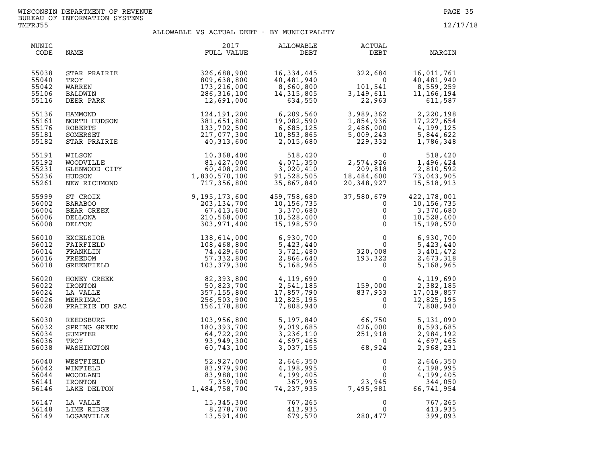| MUNIC<br>CODE                             | NAME                                                             | 2017<br>FULL VALUE                                                                                                                                                                                                                                            | ALLOWABLE<br>DEBT                                                             | <b>ACTUAL</b><br>DEBT                                                             | MARGIN                                                                                                                                                     |
|-------------------------------------------|------------------------------------------------------------------|---------------------------------------------------------------------------------------------------------------------------------------------------------------------------------------------------------------------------------------------------------------|-------------------------------------------------------------------------------|-----------------------------------------------------------------------------------|------------------------------------------------------------------------------------------------------------------------------------------------------------|
| 55038<br>55040<br>55042<br>55106<br>55116 | STAR PRAIRIE<br>TROY<br>WARREN<br>BALDWIN<br>DEER PARK           | 326,688,900<br>809,638,800<br>173,216,000<br>286,316,100<br>12,691,000                                                                                                                                                                                        | 16,334,445<br>40,481,940<br>8,660,800<br>14, 315, 805<br>634,550              | 322,684<br>$101,541$<br>$3,149,611$<br>$22,963$<br>101,541<br>3,149,611<br>22,963 | 16,011,761<br>40,481,940<br>8,559,259<br>11, 166, 194<br>611,587                                                                                           |
| 55136<br>55161<br>55176<br>55181<br>55182 | HAMMOND<br>NORTH HUDSON<br>ROBERTS<br>SOMERSET<br>STAR PRAIRIE   | 124,191,200<br>381,651,800<br>133,702,500<br>217,077,300<br>40,313,600                                                                                                                                                                                        | 6,209,560<br>19,082,590<br>19,082,590<br>6,685,125<br>10,853,865<br>2,015,680 | 229,332                                                                           | $\begin{array}{llll} 3,989,362 & 2,220,198 \\ 1,854,936 & 17,227,654 \\ 2,486,000 & 4,199,125 \\ 5,009,243 & 5,844,622 \\ 229,332 & 1,786,348 \end{array}$ |
| 55191<br>55192<br>55231<br>55236<br>55261 |                                                                  | $\begin{array}{cc} \texttt{WILSON} & \texttt{10,368,400} \\ \texttt{WOODVILLE} & \texttt{81,427,000} \\ \texttt{GLENWOOD CITY} & \texttt{60,408,200} \\ \texttt{HUDSON} & \texttt{1,830,570,100} \\ \texttt{NEW RICHMOND} & \texttt{717,356,800} \end{array}$ | 518,420<br>4,071,350<br>3,020,410<br>91.520.550<br>35,867,840                 | $2,574,926$<br>209,818<br>18,484,600<br>20,348,927                                | 518,420<br>1,496,424<br>2,810,592<br>73,043,905<br>15,518,913                                                                                              |
| 55999<br>56002<br>56004<br>56006<br>56008 | ST CROIX<br>BARABOO<br>BEAR CREEK<br>DELLONA<br>DELTON           | 9,195,173,600<br>203, 134, 700<br>67,413,600<br>210,568,000<br>303,971,400                                                                                                                                                                                    | 459,758,680<br>10,156,735<br>3,370,680<br>10,528,400<br>15,198,570            | 37,580,679<br>$\mathbf 0$<br>$\mathbf 0$<br>$\mathbf 0$<br>$\mathbf 0$            | 422, 178, 001<br>10,156,735<br>3,370,680<br>10,528,400<br>15,198,570                                                                                       |
| 56010<br>56012<br>56014<br>56016<br>56018 | EXCELSIOR<br>FAIRFIELD<br>FRANKLIN<br>FREEDOM<br>GREENFIELD      | 138,614,000<br>108,468,800<br>74,429,600<br>57,332,800<br>103,379,300                                                                                                                                                                                         | 6,930,700<br>5,423,440<br>3,721,480<br>2,866,640<br>5,168,965                 | $\begin{smallmatrix}&&&0\0&320\, ,008\193\, ,322\0\end{smallmatrix}$              | 6,930,700<br>5,423,440<br>3,401,472<br>2,673,318<br>5,168,965                                                                                              |
| 56020<br>56022<br>56024<br>56026<br>56028 | HONEY CREEK<br>IRONTON<br>LA VALLE<br>MERRIMAC<br>PRAIRIE DU SAC | 82,393,800<br>50,823,700<br>357,155,800<br>256,503,900<br>156,178,800                                                                                                                                                                                         | 4,119,690<br>$2,541,185$<br>17, 857, 790<br>12, 825, 195<br>7, 808, 940       | $\begin{bmatrix} 0 \ 159,000 \ 837,933 \ 0 \ 0 \end{bmatrix}$                     | 4,119,690<br>2,382,185<br>17,019,857<br>12,825,195<br>7,808,940                                                                                            |
| 56030<br>56032<br>56034<br>56036<br>56038 | REEDSBURG<br>SPRING GREEN<br>SUMPTER<br>TROY<br>WASHINGTON       | 103,956,800<br>180,393,700<br>64,722,200<br>93,949,300<br>60,743,100                                                                                                                                                                                          | 5,197,840<br>9,019,685<br>3,236,110<br>4,697,465<br>3,037,155                 | $66,750$<br>$426,000$<br>$251,918$<br>$0$<br>$68,924$                             | 5,131,090<br>8,593,685<br>2,984,192<br>4,697,465<br>2,968,231                                                                                              |
| 56040<br>56042<br>56044<br>56141<br>56146 | WESTFIELD<br>WINFIELD<br>WOODLAND<br>IRONTON<br>LAKE DELTON      | $52,927,000$<br>$83,979,900$<br>$83,988,100$<br>$7,359,900$<br>$1,484,758,700$                                                                                                                                                                                | 2,646,350<br>4,198,995<br>4,199,405<br>367,995<br>74,237,935                  | $\overline{0}$<br>0<br>0<br>23,945<br>7,495,981                                   | 2,646,350<br>4,198,995<br>4,199,405<br>344,050<br>66,741,954                                                                                               |
| 56147<br>56148<br>56149                   | LA VALLE<br>LIME RIDGE<br>LOGANVILLE                             | 15, 345, 300<br>8,278,700<br>13,591,400                                                                                                                                                                                                                       | 767,265<br>413,935<br>679,570                                                 | 0<br>$\mathbf 0$<br>280,477                                                       | 767,265<br>413,935<br>399,093                                                                                                                              |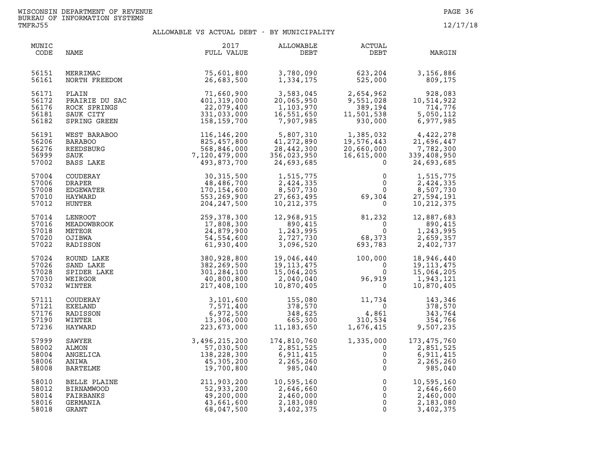| MUNIC<br>CODE | NAME              | 2017<br>FULL VALUE | ALLOWABLE<br>DEBT | <b>ACTUAL</b><br>DEBT   | MARGIN        |
|---------------|-------------------|--------------------|-------------------|-------------------------|---------------|
| 56151         | MERRIMAC          | 75,601,800         | 3,780,090         | 623,204                 | 3,156,886     |
| 56161         | NORTH FREEDOM     | 26,683,500         | 1,334,175         | 525,000                 | 809,175       |
| 56171         | PLAIN             | 71,660,900         | 3,583,045         | 2,654,962               | 928,083       |
| 56172         | PRAIRIE DU SAC    | 401,319,000        | 20,065,950        | 9,551,028               | 10,514,922    |
| 56176         | ROCK SPRINGS      | 22,079,400         | 1,103,970         | 389,194                 | 714,776       |
| 56181         | SAUK CITY         | 331,033,000        | 16,551,650        | 11,501,538              | 5,050,112     |
| 56182         | SPRING GREEN      | 158,159,700        | 7,907,985         | 930,000                 | 6,977,985     |
| 56191         | WEST BARABOO      | 116,146,200        | 5,807,310         | 1,385,032               | 4,422,278     |
| 56206         | <b>BARABOO</b>    | 825,457,800        | 41,272,890        | 19,576,443              | 21,696,447    |
| 56276         | REEDSBURG         | 568,846,000        | 28,442,300        | 20,660,000              | 7,782,300     |
| 56999         | SAUK              | 7,120,479,000      | 356,023,950       | 16,615,000              | 339,408,950   |
| 57002         | BASS LAKE         | 493,873,700        | 24,693,685        | $\Omega$                | 24,693,685    |
| 57004         | COUDERAY          | 30, 315, 500       | 1,515,775         | 0                       | 1,515,775     |
| 57006         | <b>DRAPER</b>     | 48,486,700         | 2,424,335         | $\mathbf 0$             | 2,424,335     |
| 57008         | EDGEWATER         | 170,154,600        | 8,507,730         | $\Omega$                | 8,507,730     |
| 57010         | HAYWARD           | 553,269,900        | 27,663,495        | 69,304                  | 27,594,191    |
| 57012         | HUNTER            | 204, 247, 500      | 10, 212, 375      | $\mathbf 0$             | 10, 212, 375  |
| 57014         | <b>LENROOT</b>    | 259,378,300        | 12,968,915        | 81,232                  | 12,887,683    |
| 57016         | MEADOWBROOK       | 17,808,300         | 890,415           | $\overline{0}$          | 890,415       |
| 57018         | METEOR            | 24,879,900         | 1,243,995         | $\mathbf{0}$            | 1,243,995     |
| 57020         | OJIBWA            | 54,554,600         | 2,727,730         | 68,373                  | 2,659,357     |
| 57022         | RADISSON          | 61,930,400         | 3,096,520         | 693,783                 | 2,402,737     |
| 57024         | ROUND LAKE        | 380,928,800        | 19,046,440        | 100,000                 | 18,946,440    |
| 57026         | SAND LAKE         | 382,269,500        | 19, 113, 475      | $\overline{\mathbf{0}}$ | 19, 113, 475  |
| 57028         | SPIDER LAKE       | 301,284,100        | 15,064,205        | $\Omega$                | 15,064,205    |
| 57030         | WEIRGOR           | 40,800,800         | 2,040,040         | 96,919                  | 1,943,121     |
| 57032         | WINTER            | 217,408,100        | 10,870,405        | $\overline{0}$          | 10,870,405    |
| 57111         | COUDERAY          | 3,101,600          | 155,080           | 11,734                  | 143,346       |
| 57121         | <b>EXELAND</b>    | 7,571,400          | 378,570           | $\overline{0}$          | 378,570       |
| 57176         | RADISSON          | 6,972,500          | 348,625           | 4,861                   | 343,764       |
| 57190         | WINTER            | 13,306,000         | 665,300           | 310,534                 | 354,766       |
| 57236         | HAYWARD           | 223,673,000        | 11, 183, 650      | 1,676,415               | 9,507,235     |
| 57999         | SAWYER            | 3,496,215,200      | 174,810,760       | 1,335,000               | 173, 475, 760 |
| 58002         | ALMON             | 57,030,500         | 2,851,525         | $\mathbf 0$             | 2,851,525     |
| 58004         | ANGELICA          | 138,228,300        | 6,911,415         | 0                       | 6,911,415     |
| 58006         | ANIWA             | 45,305,200         | 2,265,260         | $\mathsf{O}\xspace$     | 2,265,260     |
| 58008         | BARTELME          | 19,700,800         | 985,040           | $\mathsf{O}$            | 985,040       |
| 58010         | BELLE PLAINE      | 211,903,200        | 10,595,160        | $\mathsf 0$             | 10,595,160    |
| 58012         | <b>BIRNAMWOOD</b> | 52,933,200         | 2,646,660         | $\mathsf{O}\xspace$     | 2,646,660     |
| 58014         | FAIRBANKS         | 49,200,000         | 2,460,000         | $\mathsf{O}$            | 2,460,000     |
| 58016         | GERMANIA          | 43,661,600         | 2,183,080         | $\mathsf{O}$            | 2,183,080     |
| 58018         | GRANT             | 68,047,500         | 3,402,375         | $\Omega$                | 3,402,375     |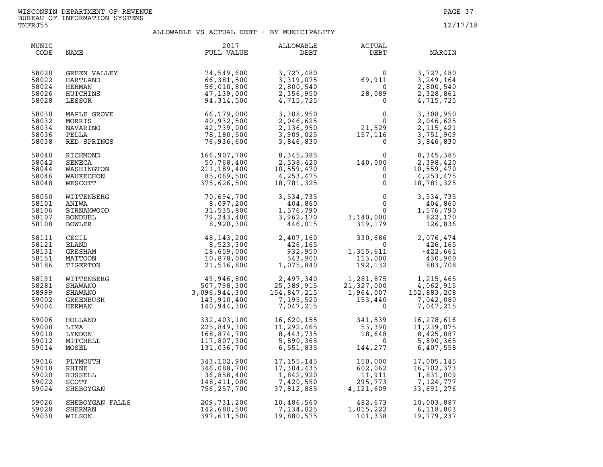| MUNIC<br>CODE                             | NAME                                                                   | 2017<br>FULL VALUE                                                       | <b>ALLOWABLE</b><br>DEBT                                                      | ACTUAL<br>DEBT                                                                                             | MARGIN                                                                            |
|-------------------------------------------|------------------------------------------------------------------------|--------------------------------------------------------------------------|-------------------------------------------------------------------------------|------------------------------------------------------------------------------------------------------------|-----------------------------------------------------------------------------------|
| 58020<br>58022<br>58024<br>58026<br>58028 | <b>GREEN VALLEY</b><br>HARTLAND<br><b>HERMAN</b><br>HUTCHINS<br>LESSOR | 74,549,600<br>66,381,500<br>56,010,800<br>47,139,000<br>94, 314, 500     | 3,727,480<br>3,319,075<br>2,800,540<br>2,356,950<br>4,715,725                 | $69,911$<br>0<br>28,089<br>0<br>0<br>0<br>0<br>21,529<br>157,116<br>0                                      | 3,727,480<br>3,249,164<br>2,800,540<br>2,328,861<br>4,715,725                     |
| 58030<br>58032<br>58034<br>58036<br>58038 | MAPLE GROVE<br>MORRIS<br>NAVARINO<br>PELLA<br>RED SPRINGS              | 66,179,000<br>40,932,500<br>42,739,000<br>78,180,500<br>76,936,600       | 3,308,950<br>2,046,625<br>2,136,950<br>3,909,025<br>3,846,830                 |                                                                                                            | 3,308,950<br>2,046,625<br>2, 115, 421<br>3,751,909<br>3,846,830                   |
| 58040<br>58042<br>58044<br>58046<br>58048 | RICHMOND<br>SENECA<br>WASHINGTON<br>WAUKECHON<br>WESCOTT               | 166,907,700<br>50,768,400<br>211,189,400<br>85,069,500<br>375,626,500    | 8, 345, 385<br>2, 538, 420<br>10, 559, 470<br>4, 253, 475<br>18, 781, 325     | $140,000$<br>0<br>0<br>0<br>0                                                                              | 8,345,385<br>$\overline{0}$<br>2,398,420<br>10,559,470<br>4,253,475<br>18,781,325 |
| 58050<br>58101<br>58106<br>58107<br>58108 | WITTENBERG<br>ANIWA<br><b>BIRNAMWOOD</b><br><b>BONDUEL</b><br>BOWLER   | 70,694,700<br>8,097,200<br>31,535,800<br>79,243,400<br>8,920,300         | 3,534,735<br>404,860<br>1,576,790<br>3,962,170<br>446,015                     | $\begin{smallmatrix}&&&0\0&0\0&3\,140\,000\0&319\,179\end{smallmatrix}$                                    | $\overline{0}$<br>3,534,735<br>404,860<br>1,576,790<br>822,170<br>126,836         |
| 58111<br>58121<br>58131<br>58151<br>58186 | CECIL<br>ELAND<br>GRESHAM<br>MATTOON<br>TIGERTON                       | 48, 143, 200<br>8,523,300<br>18,659,000<br>10,878,000<br>21,516,800      | 2,407,160<br>426,165<br>932,950<br>543,900<br>1,075,840                       | $330,686$<br>0<br>1,355,611<br>113,000<br>192,132                                                          | 2,076,474<br>426,165<br>$-422,661$<br>430,900<br>883,708                          |
| 58191<br>58281<br>58999<br>59002<br>59004 | WITTENBERG<br>SHAWANO<br>SHAWANO<br>GREENBUSH<br>HERMAN                | 49,946,800<br>507,798,300<br>3,096,944,300<br>143,910,400<br>140,944,300 | 2,497,340<br>25,389,915<br>154,847,215<br>7,195.520<br>7,195,520<br>7,047,215 | $1,281,875$<br>$21,327,000$<br>$1,964,007$<br>$153,440$<br>0                                               | 1,215,465<br>4,062,915<br>152,883,208<br>7,042,080<br>7,047,215                   |
| 59006<br>59008<br>59010<br>59012<br>59014 | HOLLAND<br>LIMA<br>LYNDON<br>MITCHELL<br>MOSEL                         | 332,403,100<br>225,849,300<br>168,874,700<br>117,807,300<br>131,036,700  | 11,292,405<br>8,443,735<br>- 200,365                                          | 16,620,155 341,539<br>11,292,465 53,390<br>8,443,735 18,648<br>5,890,365 0<br>6,551,835 144,277<br>144,277 | 16,278,616<br>11,239,075<br>8,425,087<br>5,890,365<br>6,407,558                   |
| 59016<br>59018<br>59020<br>59022<br>59024 | PLYMOUTH<br>RHINE<br>RUSSELL<br><b>SCOTT</b><br>SHEBOYGAN              | 343,102,900<br>346,088,700<br>36,858,400<br>148,411,000<br>756,257,700   | 17, 155, 145<br>17,304,435<br>1,842,920<br>7,420,550<br>37,812,885            | 150,000<br>602,062<br>11,911<br>295,773<br>4,121,609<br>11,911<br>295,773<br>4,121,609                     | 17,005,145<br>16,702,373<br>1,831,009<br>7,124,777<br>33,691,276                  |
| 59026<br>59028<br>59030                   | SHEBOYGAN FALLS<br>SHERMAN<br>WILSON                                   | 209,731,200<br>142,680,500<br>397,611,500                                | 10,486,560<br>10,486,560<br>7,134,025<br>19,880,575                           | 482,673<br>1,015,222<br>101,338                                                                            | 10,003,887<br>6,118,803<br>19,779,237                                             |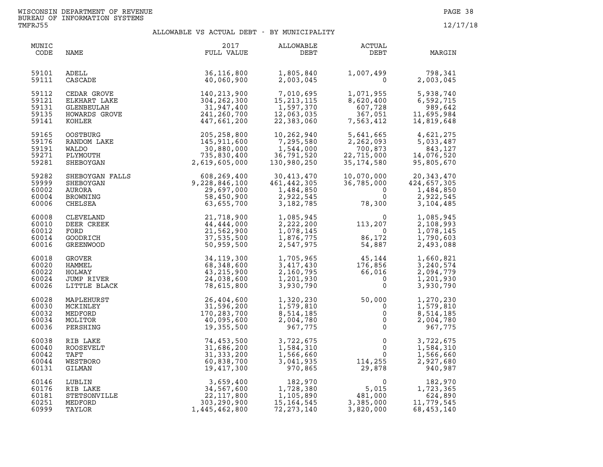| MUNIC<br>CODE                             | NAME                                                     | 2017<br>FULL VALUE                                                                                                                         | ALLOWABLE<br>DEBT                                                  | <b>ACTUAL</b><br>DEBT                                                                      | MARGIN                                                             |
|-------------------------------------------|----------------------------------------------------------|--------------------------------------------------------------------------------------------------------------------------------------------|--------------------------------------------------------------------|--------------------------------------------------------------------------------------------|--------------------------------------------------------------------|
| 59101                                     | ADELL                                                    | 36,116,800                                                                                                                                 | 1,805,840                                                          |                                                                                            | 1,007,499<br>0 2,003,045                                           |
| 59111                                     | CASCADE                                                  | 40,060,900                                                                                                                                 | 2,003,045                                                          |                                                                                            | 2,003,045                                                          |
| 59112<br>59121<br>59131<br>59135<br>59141 | KOHLER                                                   | CEDAR GROVE<br>ELKHART LAKE 304, 262, 300<br>GLENBEULAH 31, 947, 400<br>HOWARDS GROVE 241, 260, 700<br>KOHLER 447. 661. 200<br>447,661,200 | 7,010,695<br>15, 213, 115<br>1,597,370<br>12,063,035<br>22,383,060 | 1,071,955<br>8,620,400<br>627,728<br>607,728<br>607,728<br>367,051<br>563,412<br>7,563,412 | 5,938,740<br>6,592,715<br>989,642<br>11,695,984<br>14,819,648      |
| 59165                                     | <b>OOSTBURG</b>                                          | 205,258,800                                                                                                                                | 10,262,940                                                         | 5,641,665                                                                                  | 4,621,275                                                          |
| 59176                                     | RANDOM LAKE                                              | 145,911,600                                                                                                                                | 7,295,580                                                          | 2,262,093                                                                                  | 5,033,487                                                          |
| 59191                                     | WALDO                                                    | 30,880,000                                                                                                                                 | 1,544,000                                                          | 700,873                                                                                    | 843,127                                                            |
| 59271                                     | PLYMOUTH                                                 | 735,830,400                                                                                                                                | 36,791,520                                                         | 22,715,000                                                                                 | 14,076,520                                                         |
| 59281                                     | SHEBOYGAN                                                | 2,619,605,000                                                                                                                              | 130,980,250                                                        | 35,174,580                                                                                 | 95,805,670                                                         |
| 59282<br>59999<br>60002<br>60004<br>60006 |                                                          | SHEBOYGAN FALLS 608,269,400<br>SHEBOYGAN 9,228,846,100<br>AURORA 29,697,000<br>BROWNING 58,450,900<br>CHELSEA 63,655,700                   | 30,413,470<br>461,442,305<br>1,484,850<br>2,922,545<br>3,182,785   | 10,070,000<br>36,785,000<br>$\Omega$<br>$\Omega$<br>78,300                                 | 20, 343, 470<br>424,657,305<br>1,484,850<br>2,922,545<br>3,104,485 |
| 60008<br>60010<br>60012<br>60014<br>60016 | CLEVELAND<br>DEER CREEK<br>FORD<br>GOODRICH<br>GREENWOOD | 21,718,900<br>44,444,000<br>21,562,900<br>37,535,500<br>50,959,500                                                                         | 1,085,945<br>2,222,200<br>1,078,145<br>1,876,775<br>2,547,975      | $\begin{array}{c} 0 \\ 113,207 \\ 86,172 \\ 54,887 \end{array}$<br>0<br>86,172<br>54,887   | 1,085,945<br>2,108,993<br>1,078,145<br>1,790,603<br>2,493,088      |
| 60018<br>60020<br>60022<br>60024<br>60026 | GROVER<br>HAMMEL<br>HOLWAY<br>JUMP RIVER<br>LITTLE BLACK | 34, 119, 300<br>68,348,600<br>43, 215, 900<br>24,038,600<br>78,615,800                                                                     | 1,705,965<br>3,417,430<br>2,160,795<br>1,201,930<br>3,930,790      | 45,144<br>$176,856$<br>$66,016$<br>0<br>0                                                  | 1,660,821<br>3,240,574<br>2,094,779<br>1,201,930<br>3,930,790      |
| 60028                                     | MAPLEHURST                                               | 26,404,600                                                                                                                                 | 1,320,230                                                          | 50,000                                                                                     | 1,270,230                                                          |
| 60030                                     | MCKINLEY                                                 | 31,596,200                                                                                                                                 | 1,579,810                                                          | $\Omega$                                                                                   | 1,579,810                                                          |
| 60032                                     | MEDFORD                                                  | 170,283,700                                                                                                                                | 8,514,185                                                          | $\mathbf 0$                                                                                | 8,514,185                                                          |
| 60034                                     | MOLITOR                                                  | 40,095,600                                                                                                                                 | 2,004,780                                                          | $\mathsf{O}$                                                                               | 2,004,780                                                          |
| 60036                                     | PERSHING                                                 | 19,355,500                                                                                                                                 | 967,775                                                            | $\mathsf{O}$                                                                               | 967,775                                                            |
| 60038                                     | RIB LAKE                                                 | 74,453,500                                                                                                                                 | 3,722,675                                                          | $\mathbf 0$                                                                                | 3,722,675                                                          |
| 60040                                     | ROOSEVELT                                                | 31,686,200                                                                                                                                 | 1,584,310                                                          | $\mathbf{0}$                                                                               | 1,584,310                                                          |
| 60042                                     | TAFT                                                     | 31, 333, 200                                                                                                                               | 1,566,660                                                          | $\mathbf{0}$                                                                               | 1,566,660                                                          |
| 60044                                     | WESTBORO                                                 | 60,838,700                                                                                                                                 | 3,041,935                                                          | 114,255                                                                                    | 2,927,680                                                          |
| 60131                                     | GILMAN                                                   | 19,417,300                                                                                                                                 | 970,865                                                            | 29,878                                                                                     | 940,987                                                            |
| 60146                                     | LUBLIN                                                   | 3,659,400                                                                                                                                  | 182,970                                                            | $\mathbf 0$                                                                                | 182,970                                                            |
| 60176                                     | RIB LAKE                                                 | 34,567,600                                                                                                                                 | 1,728,380                                                          | 5,015                                                                                      | 1,723,365                                                          |
| 60181                                     | STETSONVILLE                                             | 22,117,800                                                                                                                                 | 1,105,890                                                          | $481,000$<br>3.000                                                                         | 624,890                                                            |
| 60251                                     | MEDFORD                                                  | 303,290,900                                                                                                                                | 15, 164, 545                                                       | 3,385,000                                                                                  | 11,779,545                                                         |
| 60999                                     | TAYLOR                                                   | 1,445,462,800                                                                                                                              | 72, 273, 140                                                       | 3,820,000                                                                                  | 68,453,140                                                         |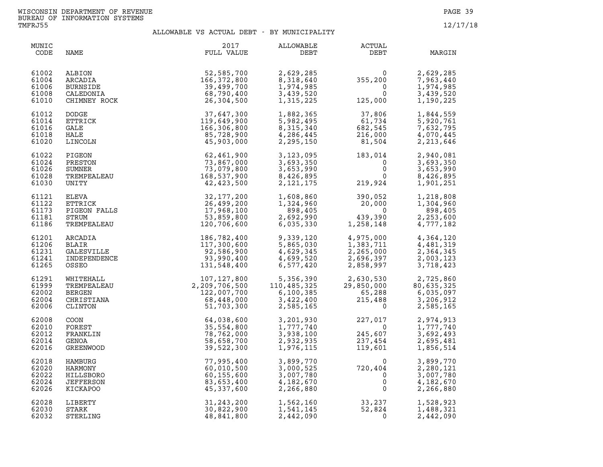| MUNIC<br>CODE                             | NAME                                                       | 2017<br>FULL VALUE                                                                                                                                                                                                                                                   | ALLOWABLE<br>DEBT                                                                                                                                                                                                                                                 | ACTUAL<br>DEBT                                                                                                                          | MARGIN                                                        |
|-------------------------------------------|------------------------------------------------------------|----------------------------------------------------------------------------------------------------------------------------------------------------------------------------------------------------------------------------------------------------------------------|-------------------------------------------------------------------------------------------------------------------------------------------------------------------------------------------------------------------------------------------------------------------|-----------------------------------------------------------------------------------------------------------------------------------------|---------------------------------------------------------------|
| 61002<br>61004<br>61006<br>61008<br>61010 | ALBION<br>ARCADIA<br>BURNSIDE<br>CALEDONIA<br>CHIMNEY ROCK | 52,585,700<br>166,372,800<br>39,499,700<br>68,790,400<br>26,304,500                                                                                                                                                                                                  | 2,629,285<br>8,318,640<br>1,974,985<br>3,439,520<br>1,315,225                                                                                                                                                                                                     | $355,200$<br>0<br>125,000                                                                                                               | 2,629,285<br>7,963,440<br>1,974,985<br>3,439,520<br>1,190,225 |
| 61012<br>61014<br>61016<br>61018<br>61020 | DODGE<br>ETTRICK<br>GALE<br>HALE<br>LINCOLN                | 37,647,300<br>119,649,900<br>166,306,800<br>85,728,900<br>45,903,000                                                                                                                                                                                                 | 1,882,365<br>5,982,495<br>8,315,340<br>4,286,445<br>2,295,150                                                                                                                                                                                                     | $\begin{array}{c} 37,806 \\ 61,734 \\ 682,545 \\ 216,000 \\ 81,504 \end{array}$                                                         | 1,844,559<br>5,920,761<br>7,632,795<br>4,070,445<br>2,213,646 |
| 61022<br>61024<br>61026<br>61028<br>61030 |                                                            | EIRCOLN<br>PIGEON<br>PRESTON<br>SUMNER<br>TREMPEALEAU<br>TREMPEALEAU<br>TREMPEALEAU<br>TREMPEALEAU<br>TREMPEALEAU<br>ELEVA<br>ELEVA<br>FTRICK<br>TGS 32, 177, 200<br>FIGEON FALLS<br>26, 499, 200<br>PIGEON FALLS<br>26, 499, 200<br>TREMPEALEAU<br>53, 859, 800<br> |                                                                                                                                                                                                                                                                   | 3, 123, 095<br>3, 693, 350<br>3, 653, 990<br>8, 426, 895<br>2, 121, 175<br>219, 924<br>$\begin{bmatrix} 0 \\ 0 \\ 0 \\ 0 \end{bmatrix}$ | 2,940,081<br>3,693,350<br>3,653,990<br>8,426,895<br>1,901,251 |
| 61121<br>61122<br>61173<br>61181<br>61186 |                                                            |                                                                                                                                                                                                                                                                      | 1,608,860<br>1,324,960<br>898,405<br>2,692,990<br>6,035,330                                                                                                                                                                                                       | $390,052$<br>20,000<br>0<br>439,390<br>1,258,148<br>439,390<br>1,258,148                                                                | 1,218,808<br>1,304,960<br>898,405<br>2,253,600<br>4,777,182   |
| 61201<br>61206<br>61231<br>61241<br>61265 |                                                            |                                                                                                                                                                                                                                                                      | 9,339,120<br>5,865,030<br>4,629,345<br>4,699,520<br>6,577,420                                                                                                                                                                                                     | 4,975,000<br>1,383,711<br>2,265,000<br>2,696,397<br>2,858,997                                                                           | 4,364,120<br>4,481,319<br>2,364,345<br>2,003,123<br>3,718,423 |
| 61291<br>61999<br>62002<br>62004<br>62006 |                                                            |                                                                                                                                                                                                                                                                      | $\begin{array}{cccc} 107,127,800 & 5,356,390 & 2,630,530 & 2,725,860 \\ 2,209,706,500 & 110,485,325 & 29,850,000 & 80,635,325 \\ 122,007,700 & 6,100,385 & 65,288 & 6,035,097 \\ 68,448,000 & 3,422,400 & 215,488 & 3,206,912 \\ 51,703,300 & 2,585,165 & 0 & 2,$ |                                                                                                                                         |                                                               |
| 62008<br>62010<br>62012<br>62014<br>62016 |                                                            |                                                                                                                                                                                                                                                                      | 2,932,935<br>1,976,115                                                                                                                                                                                                                                            | 3, 201, 930<br>1, 777, 740<br>3, 938, 100<br>245, 607<br>$227,017$<br>0<br>245,607<br>237,454<br>119,601                                | 2,974,913<br>1,777,740<br>3,692,493<br>2,695,481<br>1,856,514 |
| 62018<br>62020<br>62022<br>62024<br>62026 |                                                            | TREMPEALEAU 120,706,600<br>ARCADIA 186,782,400<br>GALESVILLE 186,782,400<br>GALESVILLE 17,300,600<br>INDEPENDENCE 92,586,900<br>INDEPENDENCE 93,990,400<br>OSSEO 131,548,400<br>WHITEHALL 107,127,800<br>TREMPEALEAU 107,127,800<br>DERCEN<br>CHIS                   | 3,899,770<br>3,000,525<br>3,007,780<br>4,182,670<br>2,266,880                                                                                                                                                                                                     | $720, 404$<br>0<br>0<br>0                                                                                                               | 3,899,770<br>2,280,121<br>3,007,780<br>4,182,670<br>2,266,880 |
| 62028<br>62030<br>62032                   | LIBERTY<br>STARK<br>STERLING                               | 31, 243, 200<br>30,822,900<br>48,841,800                                                                                                                                                                                                                             | 1,562,160<br>1,541,145<br>2,442,090                                                                                                                                                                                                                               | $33,237$<br>52,824<br>0                                                                                                                 | 1,528,923<br>1,488,321<br>2,442,090                           |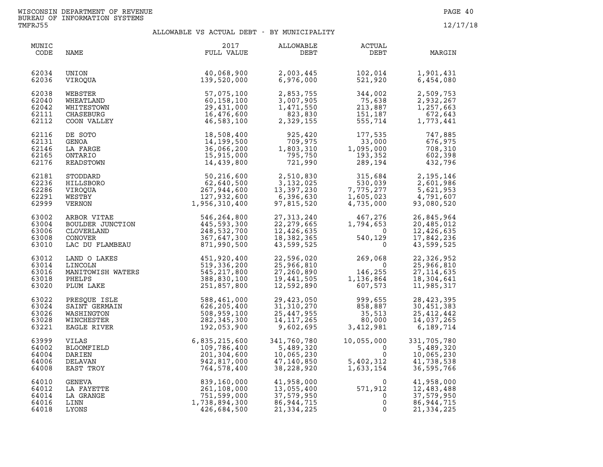| MUNIC<br>CODE                             | NAME                                                                        | 2017<br>FULL VALUE                                                        | ALLOWABLE<br>DEBT                                                                | <b>ACTUAL</b><br>DEBT                                                         | MARGIN                                                               |
|-------------------------------------------|-----------------------------------------------------------------------------|---------------------------------------------------------------------------|----------------------------------------------------------------------------------|-------------------------------------------------------------------------------|----------------------------------------------------------------------|
| 62034                                     | UNION                                                                       | 40,068,900                                                                | 2,003,445                                                                        | 102,014                                                                       | 1,901,431                                                            |
| 62036                                     | VIROOUA                                                                     | 139,520,000                                                               | 6,976,000                                                                        | 521,920                                                                       | 6,454,080                                                            |
| 62038                                     | WEBSTER                                                                     | 57,075,100                                                                | 2,853,755                                                                        | 344,002                                                                       | 2,509,753                                                            |
| 62040                                     | WHEATLAND                                                                   | 60,158,100                                                                | 3,007,905                                                                        | 75,638                                                                        | 2,932,267                                                            |
| 62042                                     | WHITESTOWN                                                                  | 29,431,000                                                                | 1,471,550                                                                        | 213,887                                                                       | 1,257,663                                                            |
| 62111                                     | CHASEBURG                                                                   | 16,476,600                                                                | 823,830                                                                          | 151,187                                                                       | 672,643                                                              |
| 62112                                     | COON VALLEY                                                                 | 46,583,100                                                                | 2,329,155                                                                        | 555,714                                                                       | 1,773,441                                                            |
| 62116                                     | DE SOTO                                                                     | 18,508,400                                                                | 925,420                                                                          | 177,535                                                                       | 747,885                                                              |
| 62131                                     | GENOA                                                                       | 14,199,500                                                                | 709,975                                                                          | $\frac{177,535}{33,000}$                                                      | 676,975                                                              |
| 62146                                     | LA FARGE                                                                    | 36,066,200                                                                | 1,803,310                                                                        | 1,095,000                                                                     | 708,310                                                              |
| 62165                                     | ONTARIO                                                                     | 15,915,000                                                                | 795,750                                                                          | 193,352                                                                       | 602,398                                                              |
| 62176                                     | READSTOWN                                                                   | 14,439,800                                                                | 721,990                                                                          | 289,194                                                                       | 432,796                                                              |
| 62181<br>62236<br>62286<br>62291<br>62999 | STODDARD<br>HILLSBORO<br>VIROOUA<br>WESTBY<br>VERNON                        | 50,216,600<br>62,640,500<br>267,944,600<br>127,932,600<br>1,956,310,400   | $2,510,025$<br>$3,132,025$<br>$307,230$<br>13,397,230<br>6,396,630<br>97,815,520 | 315,684<br>530,039<br>7,775,277<br>$1,605,023$<br>4,735,000                   | 2,195,146<br>2,601,986<br>5,621,953<br>4,791,607<br>93,080,520       |
| 63002<br>63004<br>63006<br>63008<br>63010 | ARBOR VITAE<br>BOULDER JUNCTION<br>CLOVERLAND<br>CONOVER<br>LAC DU FLAMBEAU | 546,264,800<br>445,593,300<br>248,532,700<br>367,647,300<br>871,990,500   | 27, 313, 240<br>22, 279, 665<br>12,426,635<br>18,382,365<br>43,599,525           | 467,276<br>1,794,653<br>$\overline{0}$<br>540,129<br>$\mathbf 0$              | 26,845,964<br>20,485,012<br>12,426,635<br>17,842,236<br>43,599,525   |
| 63012<br>63014<br>63016<br>63018<br>63020 | LAND O LAKES<br>LINCOLN<br>MANITOWISH WATERS<br>PHELPS<br>PLUM LAKE         | 451,920,400<br>519,336,200<br>545,217,800<br>388,830,100<br>251,857,800   | 22,596,020<br>25,966,810<br>27,260,890<br>19,441,505<br>12,592,890               | $269,068$<br>0<br>146,255<br>146,255<br>1,136,864<br>607,573<br>607,573       | 22,326,952<br>25,966,810<br>27, 114, 635<br>18,304,641<br>11,985,317 |
| 63022                                     | PRESOUE ISLE                                                                | 588,461,000                                                               | 29,423,050                                                                       | 999,655                                                                       | 28, 423, 395                                                         |
| 63024                                     | SAINT GERMAIN                                                               | 626,205,400                                                               | 31, 310, 270                                                                     | 858,887                                                                       | 30,451,383                                                           |
| 63026                                     | WASHINGTON                                                                  | 508,959,100                                                               | 25,447,955                                                                       | 35,513                                                                        | 25,412,442                                                           |
| 63028                                     | WINCHESTER                                                                  | 282, 345, 300                                                             | 14, 117, 265                                                                     | 80,000                                                                        | 14,037,265                                                           |
| 63221                                     | EAGLE RIVER                                                                 | 192,053,900                                                               | 9,602,695                                                                        | 3,412,981                                                                     | 6,189,714                                                            |
| 63999<br>64002<br>64004<br>64006<br>64008 | VILAS<br>BLOOMFIELD<br>DARIEN<br>DELAVAN<br>EAST TROY                       | 6,835,215,600<br>109,786,400<br>201,304,600<br>942,817,000<br>764,578,400 | 341,760,780<br>5,489,320<br>10,065,230<br>47,140,850<br>38,228,920               | 10,055,000<br>$\begin{array}{c} 0 \\ 0 \\ 5,402,312 \\ 1,633,154 \end{array}$ | 331,705,780<br>5,489,320<br>10,065,230<br>41,738,538<br>36,595,766   |
| 64010                                     | GENEVA                                                                      | 839,160,000                                                               | 41,958,000                                                                       | 0                                                                             | 41,958,000                                                           |
| 64012                                     | LA FAYETTE                                                                  | 261,108,000                                                               | 13,055,400                                                                       | 571,912                                                                       | 12,483,488                                                           |
| 64014                                     | LA GRANGE                                                                   | 751,599,000                                                               | 37,579,950                                                                       | 0                                                                             | 37,579,950                                                           |
| 64016                                     | LINN                                                                        | 1,738,894,300                                                             | 86, 944, 715                                                                     | 0                                                                             | 86,944,715                                                           |
| 64018                                     | LYONS                                                                       | 426,684,500                                                               | 21, 334, 225                                                                     | 0                                                                             | 21,334,225                                                           |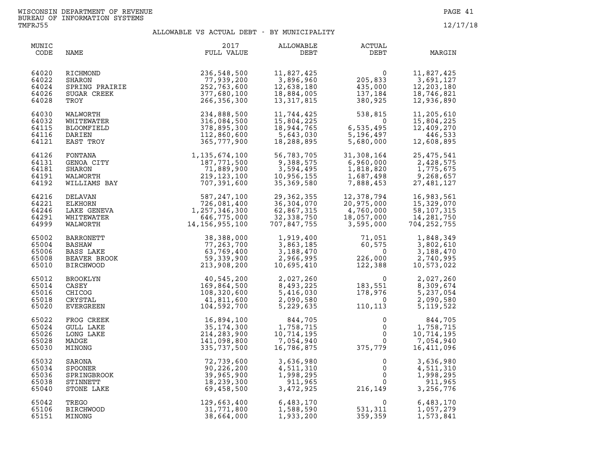| MUNIC<br>CODE                             | NAME                                                               | 2017<br>FULL VALUE                                                                                                       | ALLOWABLE<br>DEBT                                                                 | <b>ACTUAL</b><br>DEBT                                                                                                                                | MARGIN                                                                                                       |
|-------------------------------------------|--------------------------------------------------------------------|--------------------------------------------------------------------------------------------------------------------------|-----------------------------------------------------------------------------------|------------------------------------------------------------------------------------------------------------------------------------------------------|--------------------------------------------------------------------------------------------------------------|
| 64020<br>64022<br>64024<br>64026<br>64028 | RICHMOND<br>SHARON<br>SPRING PRAIRIE<br>SUGAR CREEK<br>TROY        | 236,548,500<br>77,939,200<br>252,763,600<br>377,680,100<br>266,356,300                                                   | 11,827,425<br>3,896,960<br>12,638,180<br>18,884,005<br>13,317,815                 | 0<br>205,833<br>435,000<br>137,184<br>380,925                                                                                                        | 11,827,425<br>3,691,127<br>12,203,180<br>18,746,821<br>12,936,890                                            |
| 64030<br>64032<br>64115<br>64116<br>64121 | WALWORTH<br>WHITEWATER<br><b>BLOOMFIELD</b><br>DARIEN<br>EAST TROY | 234,888,500<br>316,084,500<br>378,895,300<br>112,860,600<br>365,777,900                                                  | 11,744,425<br>15,804,225<br>18,944,765<br>5,643,030<br>18,288,895                 | $538, 815$<br>$6, 535, 495$<br>$5, 196, 497$<br>$\overline{0}$<br>5,680,000                                                                          | 11,205,610<br>15,804,225<br>12,409,270<br>446,533<br>12,608,895                                              |
| 64126<br>64131<br>64181<br>64191<br>64192 |                                                                    | FONTANA 1,135,674,100<br>GENOA CITY 187,771,500<br>SHARON 71,889,900<br>WALWORTH 219,123,100<br>WILLIAMS BAY 707,391,600 | 56,783,705<br>9,388,575<br>3,594,495<br>10,956,155<br>35,369,580                  | 31,308,164<br>6,960,000<br>1,818,820<br>1,687,498<br>7,888,453                                                                                       | 25,475,541<br>2,428,575<br>1,775,675<br>9,268,657<br>27, 481, 127                                            |
| 64216<br>64221<br>64246<br>64291<br>64999 | DELAVAN<br>ELKHORN<br>LAKE GENEVA<br>WHITEWATER<br>WALWORTH        | $587,247,100726,081,4001,257,346,300646,775,00014,156,955.100$                                                           | 29,362,355<br>36,304,070<br>36,304,070<br>62,867,315<br>32,338,750<br>707,847,755 | 12,378,794<br>20,975,000<br>4,760,000<br>18,057,000<br>12,378,794<br>20,975,000<br>4,760,000<br>18,057,000<br>3,595,000                              | 16,983,561<br>15,329,070<br>58,107,315<br>14,281,750<br>704, 252, 755                                        |
| 65002<br>65004<br>65006<br>65008<br>65010 | BARRONETT<br>BASHAW<br>BASS LAKE<br>BEAVER BROOK<br>BIRCHWOOD      | 38,388,000<br>77, 263, 700<br>63,769,400<br>59,339,900<br>213,908,200                                                    | 10,695,410                                                                        | $\begin{array}{llll} 1,919,400 & & 71,051 \\ 3,863,185 & & 60,575 \\ 3,188,470 & & 0 \\ 2,966,995 & & 226,000 \\ 10,695,410 & & 122,388 \end{array}$ | 1,848,349<br>3,802,610<br>3,188,470<br>2,740,995<br>10,573,022                                               |
| 65012<br>65014<br>65016<br>65018<br>65020 | BROOKLYN<br>CASEY<br>CHICOG<br>CRYSTAL<br>EVERGREEN                | 40,545,200<br>169,864,500<br>108,320,600<br>41,811,600<br>104,592,700                                                    | 2,027,260<br>8,493,225<br>5,416,030<br>2,090,580<br>5,229,635                     | 0<br>183,551<br>178,976<br>0<br>110,113                                                                                                              | 2,027,260<br>8,309,674<br>5,237,054<br>2,090,580<br>5,119,522                                                |
| 65022<br>65024<br>65026<br>65028<br>65030 | FROG CREEK<br><b>GULL LAKE</b><br>LONG LAKE<br>MADGE<br>MINONG     | 16,894,100<br>35, 174, 300<br>214,283,900<br>141,098,800<br>335,737,500                                                  | 844,705<br>1,758,715<br>10,714,195<br>7,054,940<br>16,786,875                     | $0 \qquad \qquad$<br>$\mathsf{O}$<br>375,779                                                                                                         | 844,705<br>$0 \t 1,758,715$<br>$\begin{matrix} 0 \\ 0 \end{matrix}$<br>10,714,195<br>7,054,940<br>16,411,096 |
| 65032<br>65034<br>65036<br>65038<br>65040 | SARONA<br>SPOONER<br>SPRINGBROOK<br>STINNETT<br>STONE LAKE         | 72,739,600<br>90,226,200<br>39,965,900<br>18,239,300<br>69,458,500                                                       | 3,636,980<br>4,511,310<br>1,998,295<br>911,965<br>3,472,925                       | $\mathbf{0}$<br>$\overline{0}$<br>216, 149                                                                                                           | 3,636,980<br>4,511,310<br>1,998,295<br>$\begin{matrix}0\\0\end{matrix}$<br>911,965<br>3,256,776              |
| 65042<br>65106<br>65151                   | TREGO<br><b>BIRCHWOOD</b><br>MINONG                                | 129,663,400<br>31,771,800<br>38,664,000                                                                                  | 6,483,170<br>1,588,590<br>1,933,200                                               | 0<br>531,311<br>359,359<br>359,359                                                                                                                   | 6,483,170<br>1,057,279<br>1,573,841                                                                          |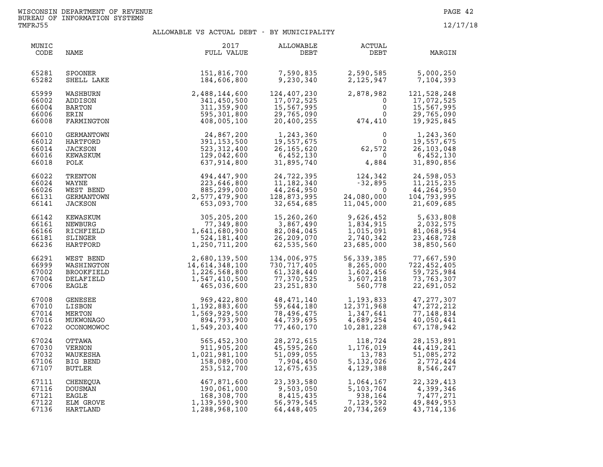| MUNIC<br>CODE                             | NAME                                                               | 2017<br>FULL VALUE                                                               | ALLOWABLE<br>DEBT                                                      | ACTUAL<br>DEBT                                                                | MARGIN                                                                     |
|-------------------------------------------|--------------------------------------------------------------------|----------------------------------------------------------------------------------|------------------------------------------------------------------------|-------------------------------------------------------------------------------|----------------------------------------------------------------------------|
| 65281                                     | SPOONER                                                            | 151,816,700                                                                      | 7,590,835                                                              | 2,590,585                                                                     | 5,000,250                                                                  |
| 65282                                     | SHELL LAKE                                                         | 184,606,800                                                                      | 9,230,340                                                              | 2,125,947                                                                     | 7,104,393                                                                  |
| 65999                                     | WASHBURN                                                           | $2,488,144,600 \ 341,450,500 \ 311,359,900 \ 595,301,800 \ 408,005,100$          | 124,407,230                                                            | 2,878,982                                                                     | 121,528,248                                                                |
| 66002                                     | ADDISON                                                            |                                                                                  | 17,072,525                                                             | $\mathbf 0$                                                                   | 17,072,525                                                                 |
| 66004                                     | BARTON                                                             |                                                                                  | 15,567,995                                                             | $\mathbf{0}$                                                                  | 15,567,995                                                                 |
| 66006                                     | ERIN                                                               |                                                                                  | 29,765,090                                                             | $\mathbf 0$                                                                   | 29,765,090                                                                 |
| 66008                                     | FARMINGTON                                                         |                                                                                  | 20,400,255                                                             | 474,410                                                                       | 19,925,845                                                                 |
| 66010                                     | GERMANTOWN                                                         | 24,867,200                                                                       | 1,243,360                                                              | $\mathbf{0}$                                                                  | 1,243,360                                                                  |
| 66012                                     | HARTFORD                                                           | 391, 153, 500                                                                    | 19,557,675                                                             | $\overline{0}$                                                                | 19,557,675                                                                 |
| 66014                                     | JACKSON                                                            | 523,312,400                                                                      | 26,165,620                                                             | 62,572                                                                        | 26,103,048                                                                 |
| 66016                                     | KEWASKUM                                                           | 129,042,600                                                                      | 6,452,130                                                              | $\overline{0}$                                                                | 6,452,130                                                                  |
| 66018                                     | POLK                                                               | 637,914,800                                                                      | 31,895,740                                                             | 4,884                                                                         | 31,890,856                                                                 |
| 66022<br>66024<br>66026<br>66131<br>66141 | TRENTON<br>WAYNE<br>WEST BEND<br>GERMANTOWN<br><b>JACKSON</b>      | 494,447,900<br>223,646,800<br>885,299,000<br>2,577,479,900<br>653,093,700        | 24,722,395<br>11, 182, 340<br>44,264,950<br>128,873,995<br>32,654,685  | 124,342<br>$-32,895$<br>$\Omega$<br>24,080,000<br>11,045,000                  | 24,598,053<br>11, 215, 235<br>44,264,950<br>104,793,995<br>21,609,685      |
| 66142<br>66161<br>66166<br>66181<br>66236 | KEWASKUM<br>NEWBURG<br>RICHFIELD<br>SLINGER<br>HARTFORD            | 305,205,200<br>77,349,800<br>1,641,680,900<br>524,181,400<br>1,250,711,200       | 15,260,260<br>3,867,490<br>82,084,045<br>26,209,070<br>62,535,560      | 9,626,452<br>1,834,915<br>1,015,091<br>2,740,342<br>23,685,000                | 5,633,808<br>2,032,575<br>81,068,954<br>23,468,728<br>38,850,560           |
| 66291<br>66999<br>67002<br>67004<br>67006 | WEST BEND<br>WASHINGTON<br><b>BROOKFIELD</b><br>DELAFIELD<br>EAGLE | 2,680,139,500<br>14,614,348,100<br>1,226,568,800<br>1,547,410,500<br>465,036,600 | 134,006,975<br>730,717,405<br>61,328,440<br>77,370,525<br>23, 251, 830 | 56,339,385<br>8,265,000<br>1,602,456<br>3,607,218<br>560,778                  | 77,667,590<br>722,452,405<br>59,725,984<br>73,763,307<br>22,691,052        |
| 67008<br>67010<br>67014<br>67016<br>67022 | GENESEE<br>LISBON<br>MERTON<br>MUKWONAGO<br>OCONOMOWOC             | 969,422,800<br>1,192,883,600<br>1,569,929,500<br>894,793,900<br>1,549,203,400    | 48,471,140<br>59,644,180<br>78,496,475<br>44,739,695<br>77,460,170     | 1,193,833<br>12,371.968<br>12,371,968<br>1,347,641<br>4,689,254<br>10,281,228 | 47, 277, 307<br>47, 272, 212<br>77, 148, 834<br>40,050,441<br>67, 178, 942 |
| 67024                                     | OTTAWA                                                             | 565,452,300                                                                      | 28, 272, 615                                                           | 118,724                                                                       | 28, 153, 891                                                               |
| 67030                                     | VERNON                                                             | 911,905,200                                                                      | 45,595,260                                                             | 1,176,019                                                                     | 44,419,241                                                                 |
| 67032                                     | WAUKESHA                                                           | 1,021,981,100                                                                    | 51,099,055                                                             | 13,783                                                                        | 51,085,272                                                                 |
| 67106                                     | BIG BEND                                                           | 158,089,000                                                                      | 7,904,450                                                              | 5,132,026                                                                     | 2,772,424                                                                  |
| 67107                                     | BUTLER                                                             | 253,512,700                                                                      | 12,675,635                                                             | 4,129,388                                                                     | 8,546,247                                                                  |
| 67111                                     | CHENEQUA                                                           | 467,871,600                                                                      | 23,393,580                                                             | 1,064,167<br>5,103,704                                                        | 22,329,413                                                                 |
| 67116                                     | DOUSMAN                                                            | 190,061,000                                                                      | 9,503,050                                                              | 5,103,704                                                                     | 4,399,346                                                                  |
| 67121                                     | EAGLE                                                              | 168,308,700                                                                      | 8,415,435                                                              | 938,164                                                                       | 7,477,271                                                                  |
| 67122                                     | ELM GROVE                                                          | 1,139,590,900                                                                    | 56,979,545                                                             | 7,129,592                                                                     | 49,849,953                                                                 |
| 67136                                     | HARTLAND                                                           | 1,288,968,100                                                                    | 64,448,405                                                             | 20,734,269                                                                    | 43,714,136                                                                 |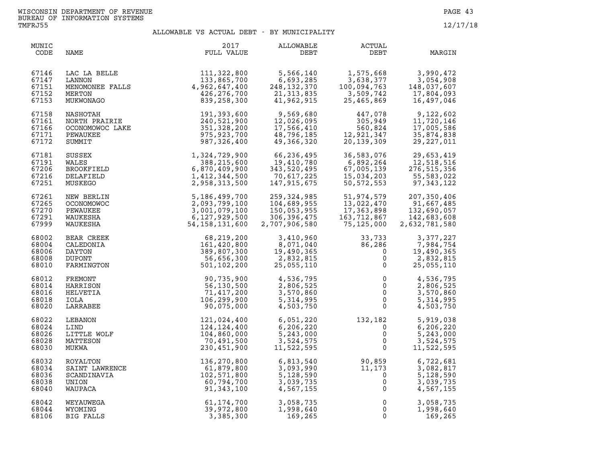| MUNIC<br>CODE                             | NAME                                                             | 2017<br>FULL VALUE                                                        | ALLOWABLE<br>DEBT                                                   | ACTUAL<br>DEBT                                                         | MARGIN                                                            |
|-------------------------------------------|------------------------------------------------------------------|---------------------------------------------------------------------------|---------------------------------------------------------------------|------------------------------------------------------------------------|-------------------------------------------------------------------|
| 67146<br>67147<br>67151<br>67152<br>67153 | LAC LA BELLE<br>LANNON<br>MENOMONEE FALLS<br>MERTON<br>MUKWONAGO | 111,322,800<br>133,865,700<br>4,962,647,400<br>426,276,700<br>839,258,300 | 5,566,140<br>6,693,285<br>248,132,370<br>21, 313, 835<br>41,962,915 | 1,575,668<br>3,638,377<br>100,094,763<br>$3,509,742$<br>25 AFF         | 3,990,472<br>3,054,908<br>148,037,607<br>17,804,093<br>16,497,046 |
| 67158                                     | NASHOTAH                                                         | 191,393,600                                                               | 9,569,680                                                           | 447,078                                                                | 9,122,602                                                         |
| 67161                                     | NORTH PRAIRIE                                                    | 240,521,900                                                               | 12,026,095                                                          | 305,949                                                                | 11,720,146                                                        |
| 67166                                     | OCONOMOWOC LAKE                                                  | 351,328,200                                                               | 17,566,410                                                          | 560,824                                                                | 17,005,586                                                        |
| 67171                                     | PEWAUKEE                                                         | 975,923,700                                                               | 48,796,185                                                          | 12,921,347                                                             | 35,874,838                                                        |
| 67172                                     | SUMMIT                                                           | 987,326,400                                                               | 49,366,320                                                          | 20, 139, 309                                                           | 29, 227, 011                                                      |
| 67181                                     | SUSSEX<br>WALES<br>BROOKFIELD<br>DELAFIELD<br>MUSKEGO            | 1,324,729,900                                                             | 66,236,495                                                          | 36,583,076                                                             | 29,653,419                                                        |
| 67191                                     |                                                                  | 388, 215, 600                                                             | 19,410,780                                                          | 6,892,264                                                              | 12,518,516                                                        |
| 67206                                     |                                                                  | 6,870,409,900                                                             | 343,520,495                                                         | 67,005,139                                                             | 276,515,356                                                       |
| 67216                                     |                                                                  | 1,412,344,500                                                             | 70,617,225                                                          | 15,034,203                                                             | 55,583,022                                                        |
| 67251                                     |                                                                  | 2,958,313,500                                                             | 147,915,675                                                         | 50,572,553                                                             | 97, 343, 122                                                      |
| 67261                                     | NEW BERLIN                                                       | 5,186,499,700                                                             | 259,324,985                                                         | 51,974,579                                                             | 207,350,406                                                       |
| 67265                                     | <b>OCONOMOWOC</b>                                                | 2,093,799,100                                                             | 104,689,955                                                         | 13,022,470                                                             | 91,667,485                                                        |
| 67270                                     | PEWAUKEE                                                         | 3,001,079,100                                                             | 150,053,955                                                         | 17,363,898                                                             | 132,690,057                                                       |
| 67291                                     | WAUKESHA                                                         | 6,127,929,500                                                             | 306,396,475                                                         | 163,712,867                                                            | 142,683,608                                                       |
| 67999                                     | WAUKESHA                                                         | 54, 158, 131, 600                                                         | 2,707,906,580                                                       | 75,125,000                                                             | 2,632,781,580                                                     |
| 68002                                     | BEAR CREEK                                                       | 68,219,200                                                                | 3,410,960                                                           | 33,733                                                                 | 3,377,227                                                         |
| 68004                                     | CALEDONIA                                                        | 161,420,800                                                               | 8,071,040                                                           | 86,286                                                                 | 7,984,754                                                         |
| 68006                                     | DAYTON                                                           | 389,807,300                                                               | 19,490,365                                                          | $\overline{0}$                                                         | 19,490,365                                                        |
| 68008                                     | <b>DUPONT</b>                                                    | 56,656,300                                                                | 2,832,815                                                           | $\mathsf 0$                                                            | 2,832,815                                                         |
| 68010                                     | FARMINGTON                                                       | 501,102,200                                                               | 25,055,110                                                          | $\mathbf{0}$                                                           | 25,055,110                                                        |
| 68012<br>68014<br>68016<br>68018<br>68020 | FREMONT<br>HARRISON<br>HELVETIA<br>IOLA<br>LARRABEE              | 90,735,900<br>56,130,500<br>71,417,200<br>106,299,900<br>90,075,000       | 4,536,795<br>2,806,525<br>3,570,860<br>5,314,995<br>4,503,750       | $\begin{array}{c} 0 \\ 0 \\ 0 \\ 0 \\ 0 \end{array}$<br>$\overline{0}$ | 4,536,795<br>2,806,525<br>3,570,860<br>5,314,995<br>4,503,750     |
| 68022<br>68024<br>68026<br>68028<br>68030 | LEBANON<br>LIND<br>LITTLE WOLF<br>MATTESON<br>MUKWA              | 121,024,400<br>124,124,400<br>104,860,000<br>70,491,500<br>230,451,900    | 6,051,220<br>6,206,220<br>5,243,000<br>3,524,575<br>11,522,595      | $132, 182$<br>0<br>0<br>0<br>$\mathbf{0}$                              | 5,919,038<br>6,206,220<br>5,243,000<br>3,524,575<br>11,522,595    |
| 68032                                     | ROYALTON                                                         | 136,270,800                                                               | 6,813,540                                                           | 90,859                                                                 | 6,722,681                                                         |
| 68034                                     | SAINT LAWRENCE                                                   | 61,879,800                                                                | 3,093,990                                                           | 11,173                                                                 | 3,082,817                                                         |
| 68036                                     | SCANDINAVIA                                                      | 102,571,800                                                               | 5,128,590                                                           | $\overline{0}$                                                         | 5,128,590                                                         |
| 68038                                     | UNION                                                            | 60,794,700                                                                | 3,039,735                                                           | $\mathsf{O}\xspace$                                                    | 3,039,735                                                         |
| 68040                                     | WAUPACA                                                          | 91,343,100                                                                | 4,567,155                                                           | $\mathsf 0$                                                            | 4,567,155                                                         |
| 68042                                     | WEYAUWEGA                                                        | 61,174,700                                                                | 3,058,735                                                           | $\mathsf 0$                                                            | 3,058,735                                                         |
| 68044                                     | WYOMING                                                          | 39,972,800                                                                | 1,998,640                                                           | $\mathbf 0$                                                            | 1,998,640                                                         |
| 68106                                     | BIG FALLS                                                        | 3,385,300                                                                 | 169, 265                                                            | $\mathbf 0$                                                            | 169,265                                                           |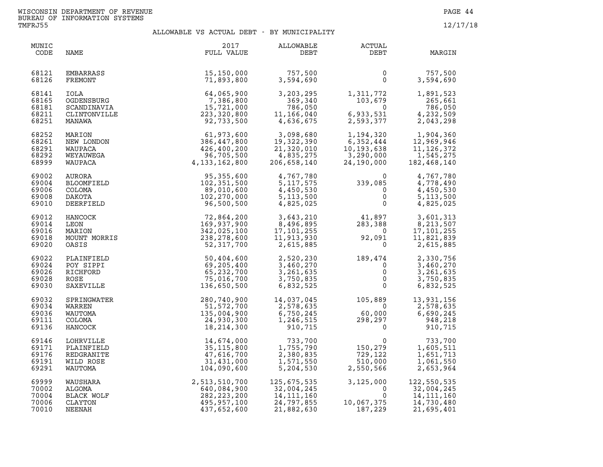| MUNIC<br>CODE                             | NAME                                                          | 2017<br>FULL VALUE                                                                       | ALLOWABLE<br>DEBT                                                         | <b>ACTUAL</b><br>DEBT                                                                                                                                                                      | MARGIN                                                                |
|-------------------------------------------|---------------------------------------------------------------|------------------------------------------------------------------------------------------|---------------------------------------------------------------------------|--------------------------------------------------------------------------------------------------------------------------------------------------------------------------------------------|-----------------------------------------------------------------------|
| 68121<br>68126                            | EMBARRASS<br>FREMONT                                          | 15,150,000<br>71,893,800                                                                 | 757,500<br>3,594,690                                                      | $\overline{0}$<br>$\Omega$                                                                                                                                                                 | 757,500<br>3,594,690<br>3,594,690                                     |
| 68141<br>68165<br>68181<br>68211<br>68251 | IOLA<br>OGDENSBURG<br>SCANDINAVIA<br>CLINTONVILLE<br>MANAWA   | 64,065,900<br>7,386,800<br>15,721,000<br>223,320,800<br>92,733,500                       | 3,203,295<br>369,340<br>786,050<br>11,166,040<br>4,636,675                | 1,311,772<br>103,679<br>$\overline{0}$<br>6,933,531<br>6,933,531<br>2,593,377                                                                                                              | 1,891,523<br>265,661<br>786,050<br>4,232,509<br>2,043,298             |
| 68252<br>68261<br>68291<br>68292<br>68999 | MARION<br>NEW LONDON<br>WAUPACA<br>WEYAUWEGA<br>WAUPACA       | 61,973,600<br>386,447,800<br>426,400,200<br>96,705,500<br>4, 133, 162, 800               | 3,098,680<br>19,322,390<br>21,320,010<br>4,835,275<br>206,658,140         | 1,194,320<br>$\begin{array}{c} 1,134,320 \\ 6,352,444 \\ 10,193,638 \\ 3,290,000 \\ 24,190,000 \end{array}$<br>$\begin{array}{r} 6,352,444\ 10,193,638\ 3,290,000\ 24,190,000 \end{array}$ | 1,904,360<br>12,969,946<br>11, 126, 372<br>1,545,275<br>182,468,140   |
| 69002<br>69004<br>69006<br>69008<br>69010 | AURORA<br>BLOOMFIELD<br>COLOMA<br>DAKOTA<br>DEERFIELD         | 95,355,600<br>102,351,500<br>89,010,600<br>102,270,000<br>96,500,500                     | 4,767,780<br>5, 117, 575<br>4,450,530<br>5, 113, 500<br>4,825,025         | $339,085$<br>0<br>0<br>0<br>0                                                                                                                                                              | 4,767,780<br>4,778,490<br>4,450,530<br>5, 113, 500<br>4,825,025       |
| 69012<br>69014<br>69016<br>69018<br>69020 | HANCOCK<br>LEON<br>MARION<br>MOUNT MORRIS<br>OASIS            | 72,864,200<br>169,937,900<br>342,025,100<br>238,278,600<br>52,317,700                    | 3,643,210<br>8,496,895<br>17,101,255<br>11,913,930<br>2,615,885           | $41,897$<br>283,388 8,213,507<br>$\overline{0}$<br>92,091<br>$\overline{\mathbf{0}}$                                                                                                       | 17,101,255<br>11,821,839<br>2,615,885                                 |
| 69022<br>69024<br>69026<br>69028<br>69030 | PLAINFIELD<br>POY SIPPI<br>RICHFORD<br>ROSE<br>SAXEVILLE      | 50,404,600<br>69,205,400<br>65, 232, 700<br>75,016,700<br>136,650,500                    | 2,520,230<br>3,460,270<br>3,261,635<br>3,750,835<br>6,832,525             | $189,474$<br>0<br>0<br>0<br>0<br>$\begin{matrix} 0 \\ 0 \end{matrix}$                                                                                                                      | 2,330,756<br>3,460,270<br>3,261,635<br>3,750,835<br>6,832,525         |
| 69032<br>69034<br>69036<br>69111<br>69136 | SPRINGWATER<br>WARREN<br>WAUTOMA<br>COLOMA<br>HANCOCK         | 280,740,900<br>51,572,700<br>135,004,900<br>24,930,300<br>18, 214, 300                   | 14,037,045<br>2,578,635<br>6,750,245<br>6,750,245<br>1,246,515<br>910,715 | 105,889<br>$60,000$<br>$298,297$<br>0                                                                                                                                                      | 13,931,156<br>2,578,635<br>6,690,245<br>$948,218$<br>910.<br>910,715  |
| 69146<br>69171<br>69176<br>69191<br>69291 | LOHRVILLE<br>PLAINFIELD<br>REDGRANITE<br>WILD ROSE<br>WAUTOMA | 14,674,000<br>35, 115, 800<br>47,616,700<br>31,431,000<br>104,090,600                    | 733,700<br>1,755,790<br>2,380,835<br>1,571,550<br>5,204,530               | $0$ $150,279$ $729,122$ $510,000$ $2.550$ $7.58$ $2.58$ $2.58$                                                                                                                             | 733,700<br>1,605,511<br>1,651,713<br>1,061,550<br>2,653,964           |
| 69999<br>70002<br>70004<br>70006<br>70010 | WAUSHARA<br>ALGOMA<br>BLACK WOLF<br>CLAYTON<br>NEENAH         | 2,513,510,700<br>640,084,900<br>282,223,200<br>495,957,100<br>437,652,600<br>437,652,600 | 125,675,535<br>32,004,245<br>14, 111, 160<br>24,797,855<br>21,882,630     | $3,125,000$<br>0<br>10,067,375<br>187,229                                                                                                                                                  | 122,550,535<br>32,004,245<br>14, 111, 160<br>14,730,480<br>21,695,401 |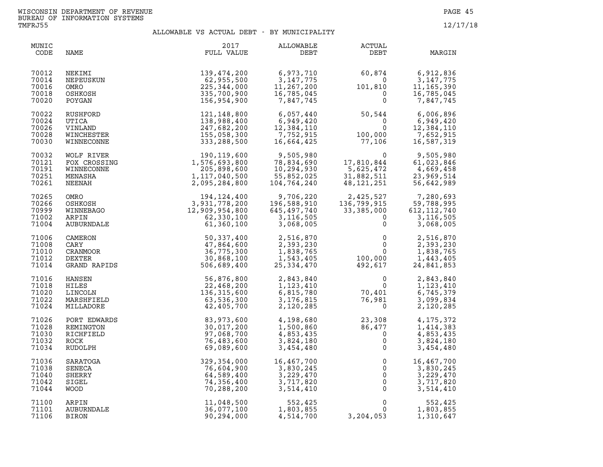| MUNIC<br>CODE                             | NAME                                                      | 2017<br>FULL VALUE                                                                                                                                                                                                                                                     | ALLOWABLE<br>DEBT                                                                         | ACTUAL<br>DEBT                                                                                             | MARGIN                                                             |
|-------------------------------------------|-----------------------------------------------------------|------------------------------------------------------------------------------------------------------------------------------------------------------------------------------------------------------------------------------------------------------------------------|-------------------------------------------------------------------------------------------|------------------------------------------------------------------------------------------------------------|--------------------------------------------------------------------|
| 70012<br>70014<br>70016<br>70018<br>70020 | NEKIMI<br>NEPEUSKUN<br>OMRO<br>OSHKOSH<br>POYGAN          | 139,474,200<br>62,955,500<br>225, 344, 000<br>335,700,900<br>156,954,900                                                                                                                                                                                               | 6,973,710<br>8, 3, 147, 775<br>3, 147, 775<br>11, 267, 200<br>16, 785, 045<br>7, 847, 745 | $60,874$<br>$0$<br>$101,810$<br>$0$<br>$0$                                                                 | 6,912,836<br>3,147,775<br>11, 165, 390<br>16,785,045<br>7,847,745  |
| 70022<br>70024<br>70026<br>70028<br>70030 | RUSHFORD<br>UTICA<br>VINLAND<br>WINCHESTER<br>WINNECONNE  | 121, 148, 800<br>138,988,400<br>247,682,200<br>155,058,300<br>333,288,500                                                                                                                                                                                              | 6,057,440<br>$6,949,420$<br>$12,384,110$<br>$7,752,915$<br>$16,664,425$<br>12,384,110     | 50,544<br>$\overline{0}$<br>$\begin{smallmatrix}&&&0\0&100\,,&000\0&77\,,&106\end{smallmatrix}$            | 6,006,896<br>6,949,420<br>12,384,110<br>7,652,915<br>16,587,319    |
| 70032<br>70121<br>70191<br>70251<br>70261 |                                                           | WOLF RIVER<br>WOLF RIVER<br>FOX CROSSING<br>MINNECONNE<br>MENASHA<br>MENASHA<br>MENASHA<br>MENASHA<br>MENASHA<br>OMRO<br>COSING<br>MENASHA<br>OMRO<br>COSING<br>MENASH<br>COSING 3,931,778,200<br>MINNERAGO<br>2,095,284,800<br>2,095,284,800<br>2,095,284,800<br>2,09 | 9,505,980<br>78,834,690<br>10.294.020<br>10,294,930<br>55,852,025<br>104,764,240          | $\overline{0}$<br>$17,810,84$<br>5,625,472<br>31,882,511<br>48,121,251<br>$5,625,472$<br>31.889            | 9,505,980<br>61,023,846<br>4,669,458<br>23,969,514<br>56,642,989   |
| 70265<br>70266<br>70999<br>71002<br>71004 |                                                           |                                                                                                                                                                                                                                                                        | 9,706,220<br>196,588,910<br>645,497,740<br>3,116,505<br>3,068,005                         | 2,425,527<br>136,799,915<br>33,385,000 6:<br>0<br>33, 385, 000                                             | 7,280,693<br>59,788,995<br>612, 112, 740<br>3,116,505<br>3,068,005 |
| 71006<br>71008<br>71010<br>71012<br>71014 |                                                           |                                                                                                                                                                                                                                                                        | 2,516,870<br>2,393,230<br>1,838,765<br>1,543,405<br>25, 334, 470                          | $\begin{array}{ccc} 5 & & & 0 \\ & & & 0 \\ 100,000 & & \\ 492,617 & & \\ & & 0 \\ & & & 0 \\ \end{array}$ | 2,516,870<br>2,393,230<br>1,838,765<br>1,443,405<br>24,841,853     |
| 71016<br>71018<br>71020<br>71022<br>71024 | HANSEN<br>HILES<br>LINCOLN<br>MARSHFIELD<br>MILLADORE     | 56,876,800<br>22,468,200<br>136,315,600<br>63,536,300<br>42,405,700                                                                                                                                                                                                    | 2,843,840<br>1,123,410<br>6,815,780<br>3,176,815<br>2,120,285                             | $\begin{smallmatrix}&&&0\0&0&0\0&70\,,401\0&981\0&0\end{smallmatrix}$                                      | 2,843,840<br>1,123,410<br>6,745,379<br>3,099,834<br>2,120,285      |
| 71026<br>71028<br>71030<br>71032<br>71034 | PORT EDWARDS<br>REMINGTON<br>RICHFIELD<br>ROCK<br>RUDOLPH | 83,973,600<br>30,017,200<br>97,068,700<br>76,483,600<br>69,089,600                                                                                                                                                                                                     | 4,198,680<br>1,500,860<br>4,853,435<br>3,824,180<br>3,454,480                             | 23,308<br>$23,308$<br>$86,477$<br>$0$<br>$0$<br>0                                                          | 4,175,372<br>1,414,383<br>4,853,435<br>3,824,180<br>3,454,480      |
| 71036<br>71038<br>71040<br>71042<br>71044 | SARATOGA<br>SENECA<br>SHERRY<br>SIGEL<br><b>WOOD</b>      | 329,354,000<br>76,604,900<br>64,589,400<br>74,356,400<br>70,288,200                                                                                                                                                                                                    | 16,467,700<br>16,467,700<br>3,830,245<br>3,229,470<br>3,717,820<br>3,514,410              | $\mathbf 0$<br>$\mathbf 0$<br>$\mathsf{O}$<br>$\overline{0}$<br>$\mathbf 0$                                | 16,467,700<br>3,830,245<br>3,229,470<br>3,717,820<br>3,514,410     |
| 71100<br>71101<br>71106                   | ARPIN<br>AUBURNDALE<br>BIRON                              | 11,048,500<br>36,077,100<br>90,294,000                                                                                                                                                                                                                                 | 552,425<br>1,803,855<br>4,514,700                                                         | $0 \qquad \qquad$<br>0<br>3,204,053                                                                        | 552,425<br>1,803,855<br>1,310,647                                  |